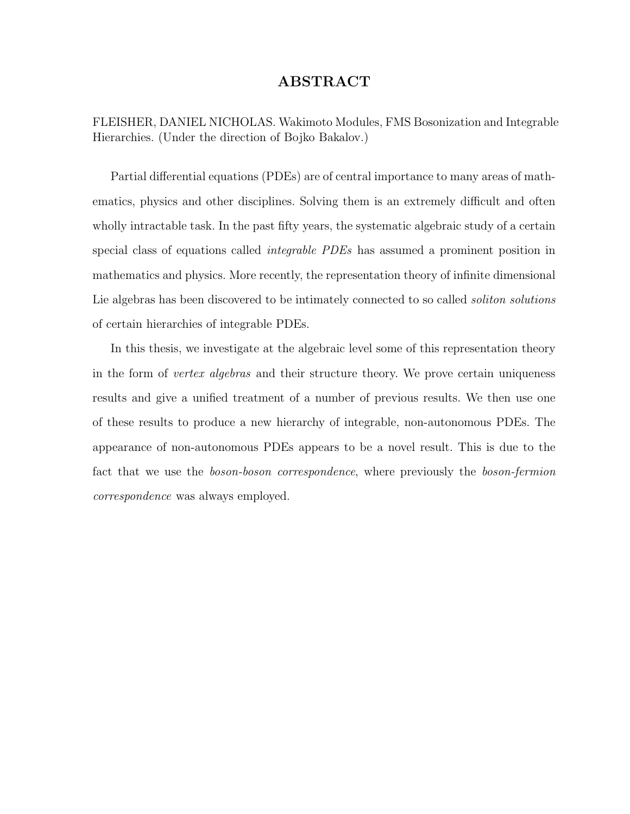#### ABSTRACT

FLEISHER, DANIEL NICHOLAS. Wakimoto Modules, FMS Bosonization and Integrable Hierarchies. (Under the direction of Bojko Bakalov.)

Partial differential equations (PDEs) are of central importance to many areas of mathematics, physics and other disciplines. Solving them is an extremely difficult and often wholly intractable task. In the past fifty years, the systematic algebraic study of a certain special class of equations called *integrable PDEs* has assumed a prominent position in mathematics and physics. More recently, the representation theory of infinite dimensional Lie algebras has been discovered to be intimately connected to so called *soliton solutions* of certain hierarchies of integrable PDEs.

In this thesis, we investigate at the algebraic level some of this representation theory in the form of *vertex algebras* and their structure theory. We prove certain uniqueness results and give a unified treatment of a number of previous results. We then use one of these results to produce a new hierarchy of integrable, non-autonomous PDEs. The appearance of non-autonomous PDEs appears to be a novel result. This is due to the fact that we use the *boson-boson correspondence*, where previously the *boson-fermion* correspondence was always employed.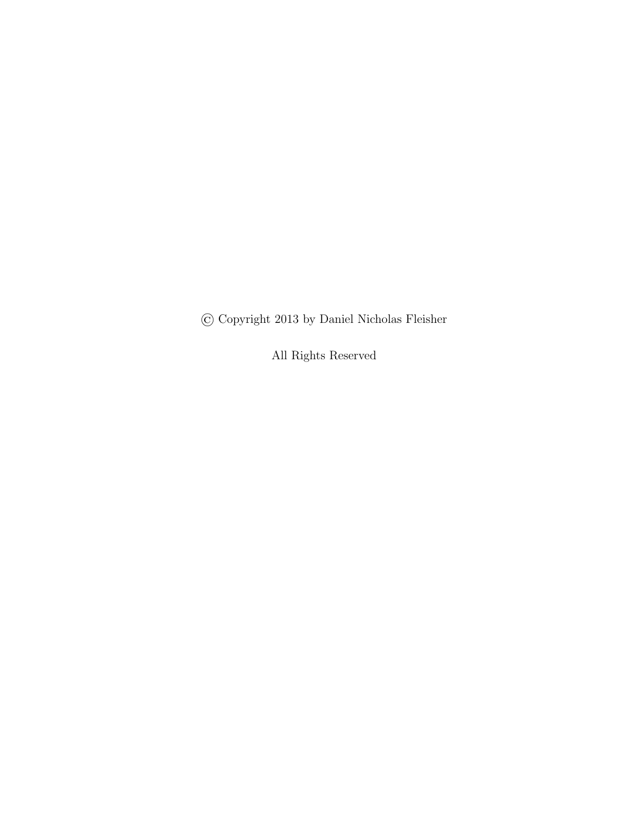© Copyright 2013 by Daniel Nicholas Fleisher

All Rights Reserved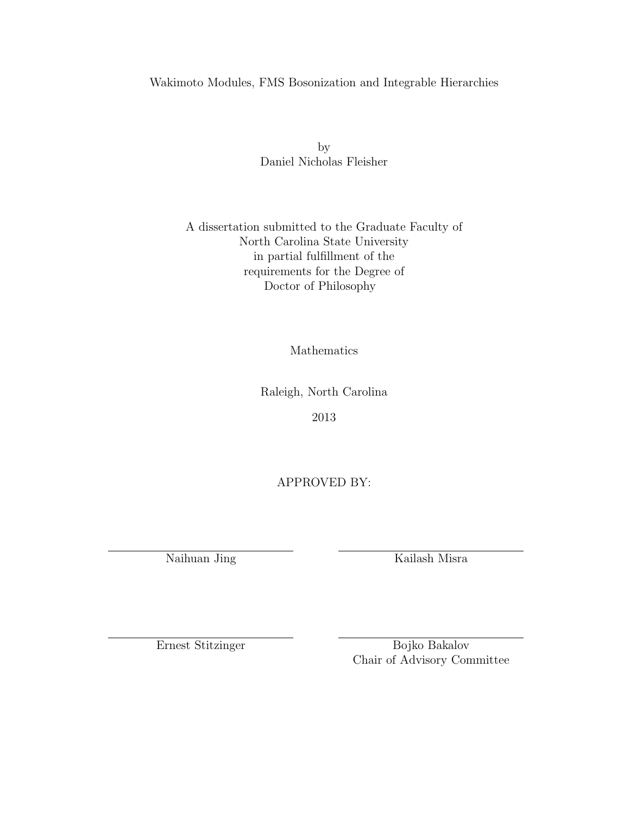#### Wakimoto Modules, FMS Bosonization and Integrable Hierarchies

by Daniel Nicholas Fleisher

#### A dissertation submitted to the Graduate Faculty of North Carolina State University in partial fulfillment of the requirements for the Degree of Doctor of Philosophy

Mathematics

Raleigh, North Carolina

2013

APPROVED BY:

Naihuan Jing Kailash Misra

Ernest Stitzinger Bojko Bakalov Chair of Advisory Committee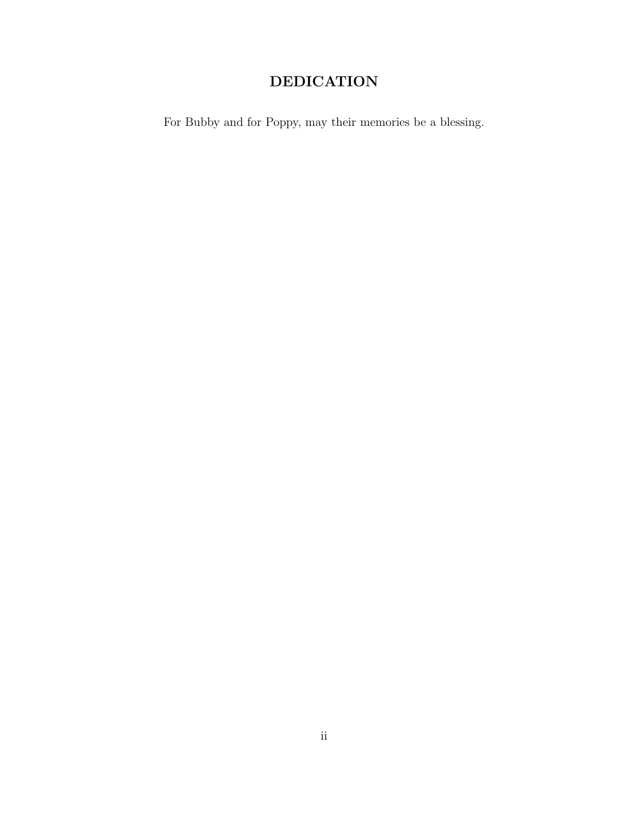### DEDICATION

For Bubby and for Poppy, may their memories be a blessing.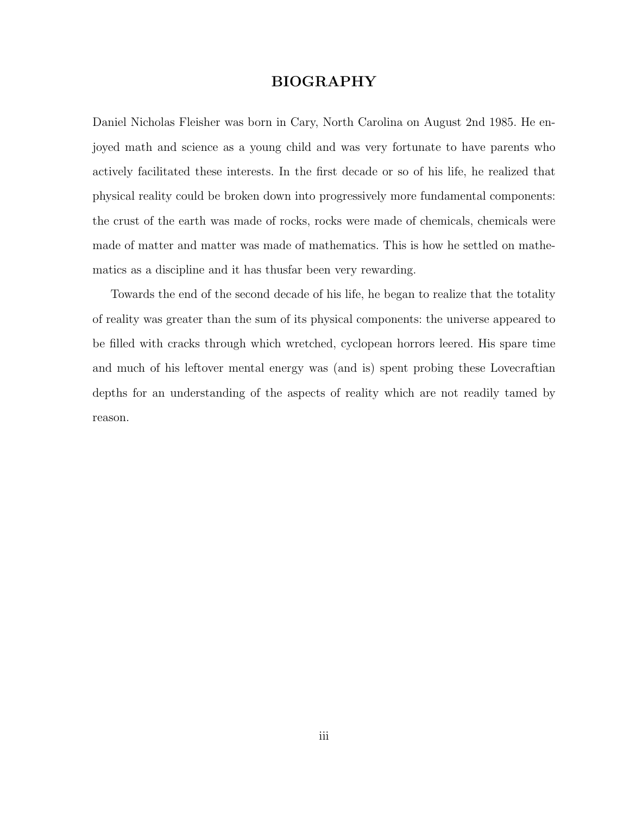#### BIOGRAPHY

Daniel Nicholas Fleisher was born in Cary, North Carolina on August 2nd 1985. He enjoyed math and science as a young child and was very fortunate to have parents who actively facilitated these interests. In the first decade or so of his life, he realized that physical reality could be broken down into progressively more fundamental components: the crust of the earth was made of rocks, rocks were made of chemicals, chemicals were made of matter and matter was made of mathematics. This is how he settled on mathematics as a discipline and it has thusfar been very rewarding.

Towards the end of the second decade of his life, he began to realize that the totality of reality was greater than the sum of its physical components: the universe appeared to be filled with cracks through which wretched, cyclopean horrors leered. His spare time and much of his leftover mental energy was (and is) spent probing these Lovecraftian depths for an understanding of the aspects of reality which are not readily tamed by reason.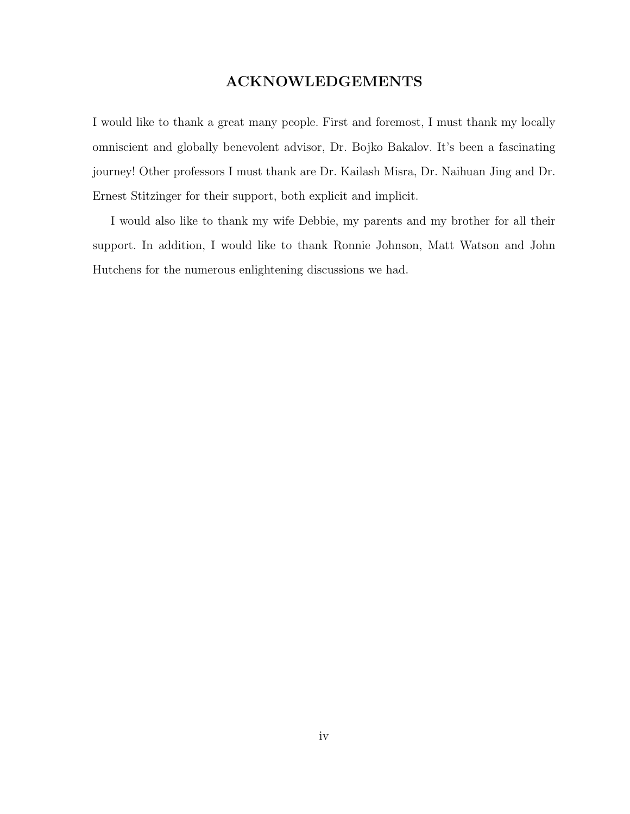#### ACKNOWLEDGEMENTS

I would like to thank a great many people. First and foremost, I must thank my locally omniscient and globally benevolent advisor, Dr. Bojko Bakalov. It's been a fascinating journey! Other professors I must thank are Dr. Kailash Misra, Dr. Naihuan Jing and Dr. Ernest Stitzinger for their support, both explicit and implicit.

I would also like to thank my wife Debbie, my parents and my brother for all their support. In addition, I would like to thank Ronnie Johnson, Matt Watson and John Hutchens for the numerous enlightening discussions we had.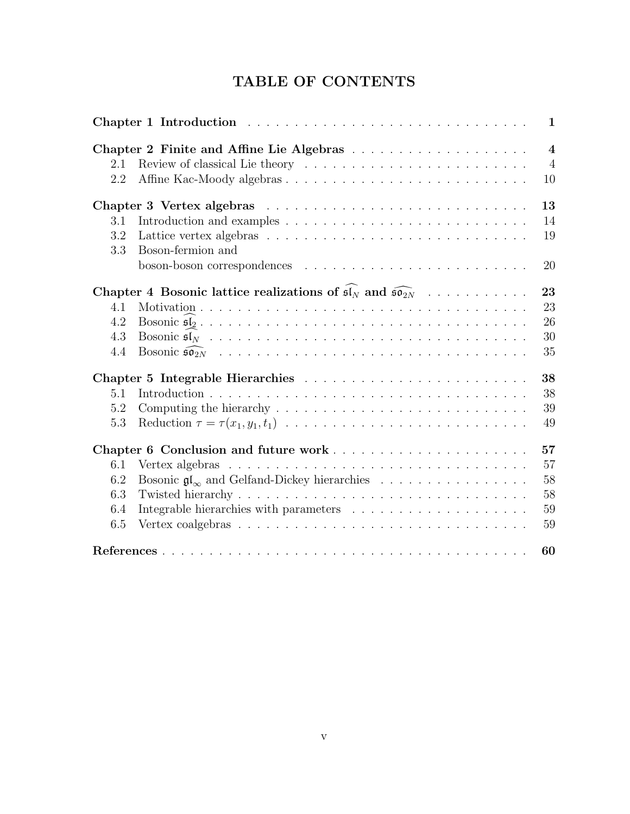### TABLE OF CONTENTS

|            |                                                                                                    | $\mathbf{1}$            |
|------------|----------------------------------------------------------------------------------------------------|-------------------------|
|            |                                                                                                    | $\overline{\mathbf{4}}$ |
| 2.1        |                                                                                                    | $\overline{4}$          |
| 2.2        |                                                                                                    | 10                      |
|            |                                                                                                    | 13                      |
| 3.1        |                                                                                                    | 14                      |
| 3.2<br>3.3 | Boson-fermion and                                                                                  | 19                      |
|            |                                                                                                    | 20                      |
|            | Chapter 4 Bosonic lattice realizations of $\mathfrak{sl}_N$ and $\widehat{\mathfrak{so}_{2N}}$     | 23                      |
| 4.1        |                                                                                                    | 23                      |
| 4.2        |                                                                                                    | 26                      |
| 4.3        |                                                                                                    | 30                      |
| 4.4        |                                                                                                    | 35                      |
|            |                                                                                                    | 38                      |
| 5.1        |                                                                                                    | 38                      |
| 5.2        |                                                                                                    | 39                      |
| 5.3        | Reduction $\tau = \tau(x_1, y_1, t_1) \dots \dots \dots \dots \dots \dots \dots \dots \dots \dots$ | 49                      |
|            | Chapter 6 Conclusion and future work                                                               | 57                      |
| 6.1        | Vertex algebras $\ldots \ldots \ldots \ldots \ldots \ldots \ldots \ldots \ldots \ldots \ldots$     | 57                      |
| 6.2        | Bosonic $\mathfrak{gl}_{\infty}$ and Gelfand-Dickey hierarchies                                    | 58                      |
| 6.3        |                                                                                                    | 58                      |
| 6.4        |                                                                                                    | 59                      |
| 6.5        |                                                                                                    | 59                      |
|            |                                                                                                    | 60                      |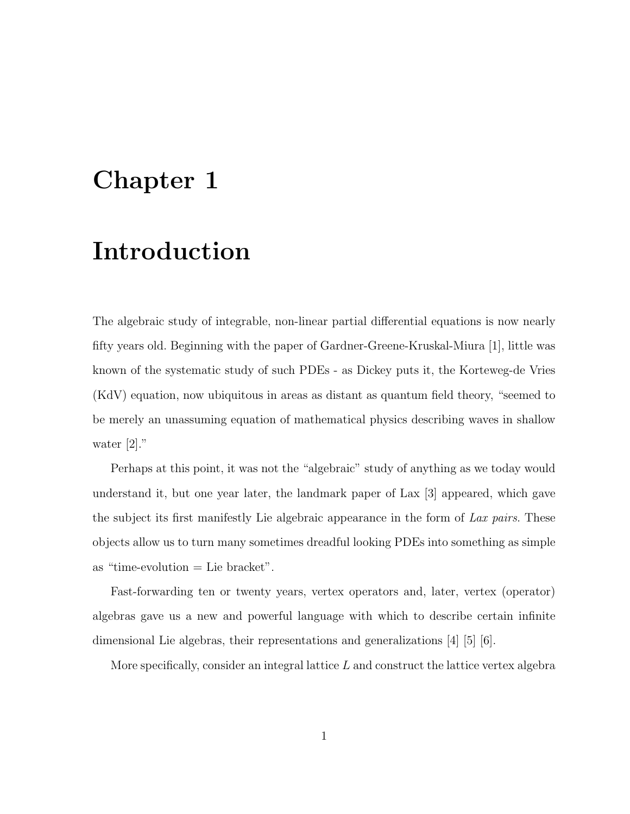# Chapter 1

# Introduction

The algebraic study of integrable, non-linear partial differential equations is now nearly fifty years old. Beginning with the paper of Gardner-Greene-Kruskal-Miura [1], little was known of the systematic study of such PDEs - as Dickey puts it, the Korteweg-de Vries (KdV) equation, now ubiquitous in areas as distant as quantum field theory, "seemed to be merely an unassuming equation of mathematical physics describing waves in shallow water [2]."

Perhaps at this point, it was not the "algebraic" study of anything as we today would understand it, but one year later, the landmark paper of Lax [3] appeared, which gave the subject its first manifestly Lie algebraic appearance in the form of Lax pairs. These objects allow us to turn many sometimes dreadful looking PDEs into something as simple as "time-evolution  $=$  Lie bracket".

Fast-forwarding ten or twenty years, vertex operators and, later, vertex (operator) algebras gave us a new and powerful language with which to describe certain infinite dimensional Lie algebras, their representations and generalizations [4] [5] [6].

More specifically, consider an integral lattice  $L$  and construct the lattice vertex algebra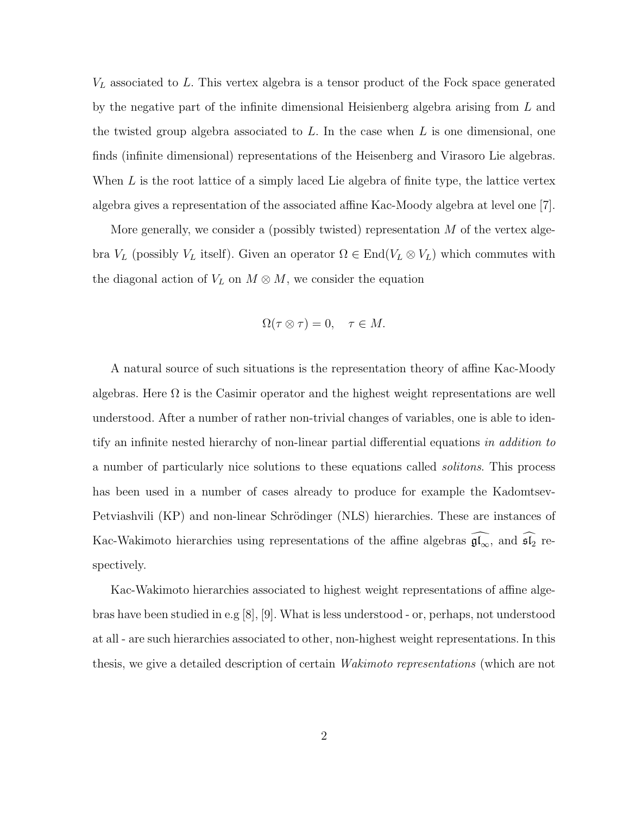$V_L$  associated to L. This vertex algebra is a tensor product of the Fock space generated by the negative part of the infinite dimensional Heisienberg algebra arising from L and the twisted group algebra associated to  $L$ . In the case when  $L$  is one dimensional, one finds (infinite dimensional) representations of the Heisenberg and Virasoro Lie algebras. When  $L$  is the root lattice of a simply laced Lie algebra of finite type, the lattice vertex algebra gives a representation of the associated affine Kac-Moody algebra at level one [7].

More generally, we consider a (possibly twisted) representation  $M$  of the vertex algebra  $V_L$  (possibly  $V_L$  itself). Given an operator  $\Omega \in \text{End}(V_L \otimes V_L)$  which commutes with the diagonal action of  $V_L$  on  $M \otimes M$ , we consider the equation

$$
\Omega(\tau \otimes \tau) = 0, \quad \tau \in M
$$

A natural source of such situations is the representation theory of affine Kac-Moody algebras. Here  $\Omega$  is the Casimir operator and the highest weight representations are well understood. After a number of rather non-trivial changes of variables, one is able to identify an infinite nested hierarchy of non-linear partial differential equations in addition to a number of particularly nice solutions to these equations called solitons. This process has been used in a number of cases already to produce for example the Kadomtsev-Petviashvili (KP) and non-linear Schrödinger (NLS) hierarchies. These are instances of Kac-Wakimoto hierarchies using representations of the affine algebras  $\widehat{\mathfrak{gl}_\infty}$ , and  $\widehat{\mathfrak{sl}_2}$  respectively.

Kac-Wakimoto hierarchies associated to highest weight representations of affine algebras have been studied in e.g [8], [9]. What is less understood - or, perhaps, not understood at all - are such hierarchies associated to other, non-highest weight representations. In this thesis, we give a detailed description of certain *Wakimoto representations* (which are not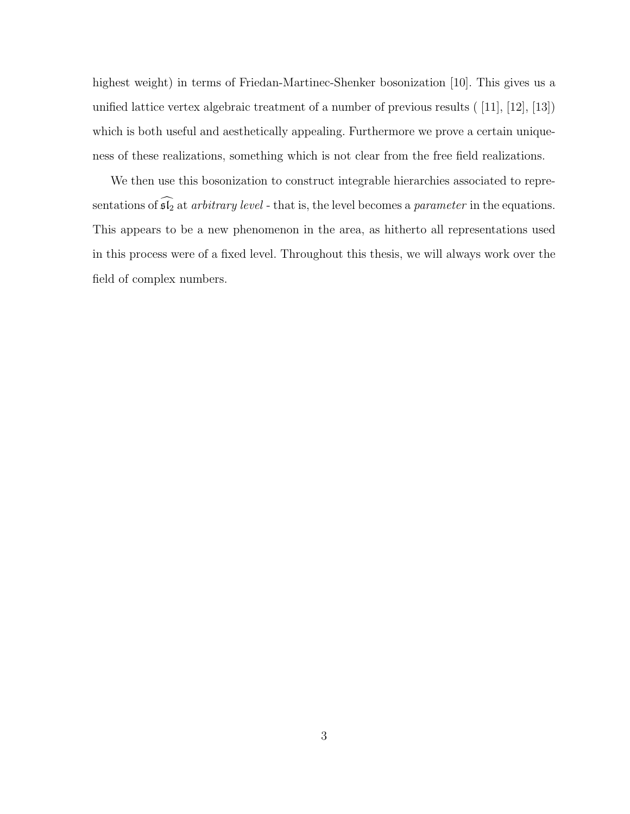highest weight) in terms of Friedan-Martinec-Shenker bosonization [10]. This gives us a unified lattice vertex algebraic treatment of a number of previous results ( [11], [12], [13]) which is both useful and aesthetically appealing. Furthermore we prove a certain uniqueness of these realizations, something which is not clear from the free field realizations.

We then use this bosonization to construct integrable hierarchies associated to representations of  $\widehat{\mathfrak{sl}_2}$  at *arbitrary level* - that is, the level becomes a *parameter* in the equations. This appears to be a new phenomenon in the area, as hitherto all representations used in this process were of a fixed level. Throughout this thesis, we will always work over the field of complex numbers.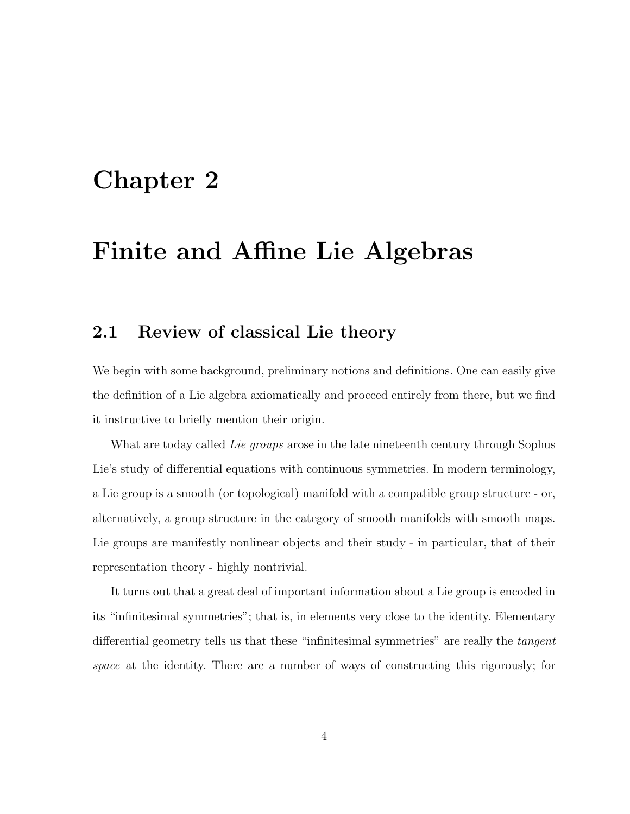## Chapter 2

### Finite and Affine Lie Algebras

#### 2.1 Review of classical Lie theory

We begin with some background, preliminary notions and definitions. One can easily give the definition of a Lie algebra axiomatically and proceed entirely from there, but we find it instructive to briefly mention their origin.

What are today called Lie groups arose in the late nineteenth century through Sophus Lie's study of differential equations with continuous symmetries. In modern terminology, a Lie group is a smooth (or topological) manifold with a compatible group structure - or, alternatively, a group structure in the category of smooth manifolds with smooth maps. Lie groups are manifestly nonlinear objects and their study - in particular, that of their representation theory - highly nontrivial.

It turns out that a great deal of important information about a Lie group is encoded in its "infinitesimal symmetries"; that is, in elements very close to the identity. Elementary differential geometry tells us that these "infinitesimal symmetries" are really the tangent space at the identity. There are a number of ways of constructing this rigorously; for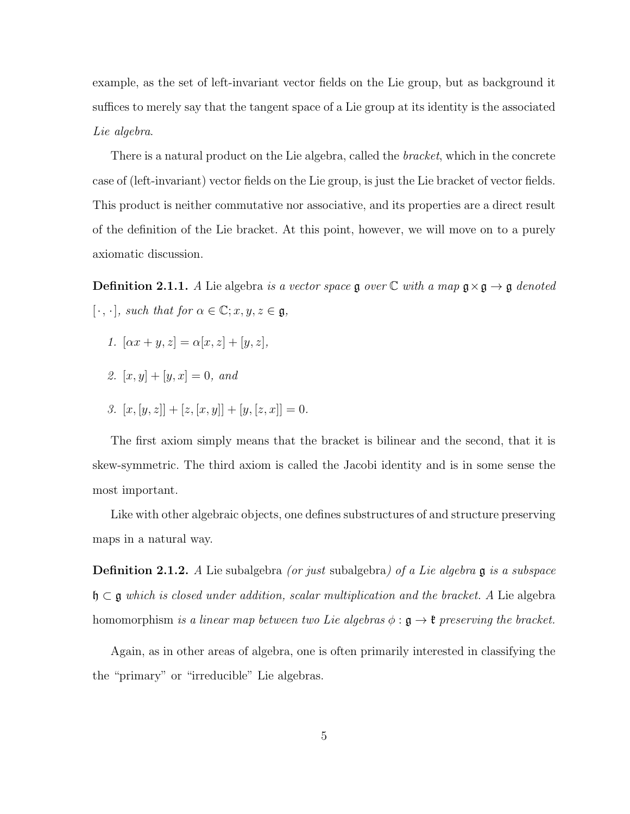example, as the set of left-invariant vector fields on the Lie group, but as background it suffices to merely say that the tangent space of a Lie group at its identity is the associated Lie algebra.

There is a natural product on the Lie algebra, called the *bracket*, which in the concrete case of (left-invariant) vector fields on the Lie group, is just the Lie bracket of vector fields. This product is neither commutative nor associative, and its properties are a direct result of the definition of the Lie bracket. At this point, however, we will move on to a purely axiomatic discussion.

**Definition 2.1.1.** A Lie algebra is a vector space  $\mathfrak g$  over  $\mathbb C$  with a map  $\mathfrak g \times \mathfrak g \to \mathfrak g$  denoted  $[\cdot, \cdot]$ , such that for  $\alpha \in \mathbb{C}$ ;  $x, y, z \in \mathfrak{g}$ ,

- 1.  $[\alpha x + y, z] = \alpha[x, z] + [y, z],$
- 2.  $[x, y] + [y, x] = 0$ , and
- 3.  $[x, [y, z]] + [z, [x, y]] + [y, [z, x]] = 0.$

The first axiom simply means that the bracket is bilinear and the second, that it is skew-symmetric. The third axiom is called the Jacobi identity and is in some sense the most important.

Like with other algebraic objects, one defines substructures of and structure preserving maps in a natural way.

**Definition 2.1.2.** A Lie subalgebra *(or just* subalgebra) of a Lie algebra **g** is a subspace  $\mathfrak{h} \subset \mathfrak{g}$  which is closed under addition, scalar multiplication and the bracket. A Lie algebra homomorphism is a linear map between two Lie algebras  $\phi : \mathfrak{g} \to \mathfrak{k}$  preserving the bracket.

Again, as in other areas of algebra, one is often primarily interested in classifying the the "primary" or "irreducible" Lie algebras.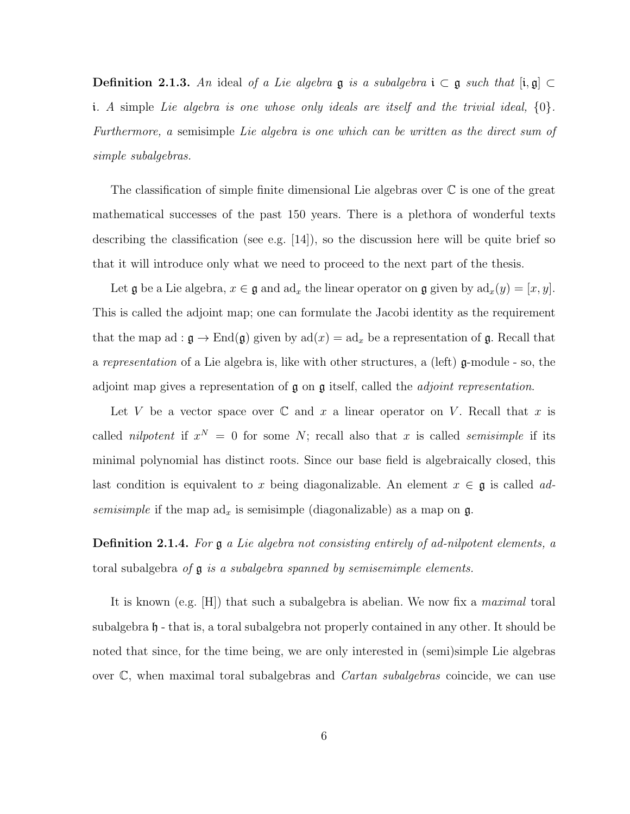**Definition 2.1.3.** An ideal of a Lie algebra  $\mathfrak{g}$  is a subalgebra  $\mathfrak{i} \subset \mathfrak{g}$  such that  $[\mathfrak{i}, \mathfrak{g}] \subset$ i. A simple Lie algebra is one whose only ideals are itself and the trivial ideal,  $\{0\}$ . Furthermore, a semisimple Lie algebra is one which can be written as the direct sum of simple subalgebras.

The classification of simple finite dimensional Lie algebras over C is one of the great mathematical successes of the past 150 years. There is a plethora of wonderful texts describing the classification (see e.g. [14]), so the discussion here will be quite brief so that it will introduce only what we need to proceed to the next part of the thesis.

Let  $\mathfrak g$  be a Lie algebra,  $x \in \mathfrak g$  and ad<sub>x</sub> the linear operator on  $\mathfrak g$  given by  $ad_x(y) = [x, y]$ . This is called the adjoint map; one can formulate the Jacobi identity as the requirement that the map ad :  $\mathfrak{g} \to \text{End}(\mathfrak{g})$  given by  $ad(x) = ad_x$  be a representation of  $\mathfrak{g}$ . Recall that a representation of a Lie algebra is, like with other structures, a (left) g-module - so, the adjoint map gives a representation of  $\mathfrak g$  on  $\mathfrak g$  itself, called the *adjoint representation*.

Let V be a vector space over  $\mathbb C$  and x a linear operator on V. Recall that x is called *nilpotent* if  $x^N = 0$  for some N; recall also that x is called *semisimple* if its minimal polynomial has distinct roots. Since our base field is algebraically closed, this last condition is equivalent to x being diagonalizable. An element  $x \in \mathfrak{g}$  is called adsemisimple if the map  $ad_x$  is semisimple (diagonalizable) as a map on  $\mathfrak{g}$ .

**Definition 2.1.4.** For  $\mathfrak{g}$  a Lie algebra not consisting entirely of ad-nilpotent elements, a toral subalgebra of  $\mathfrak g$  is a subalgebra spanned by semisemimple elements.

It is known (e.g.  $[H]$ ) that such a subalgebra is abelian. We now fix a *maximal* toral subalgebra h - that is, a toral subalgebra not properly contained in any other. It should be noted that since, for the time being, we are only interested in (semi)simple Lie algebras over  $\mathbb{C}$ , when maximal toral subalgebras and *Cartan subalgebras* coincide, we can use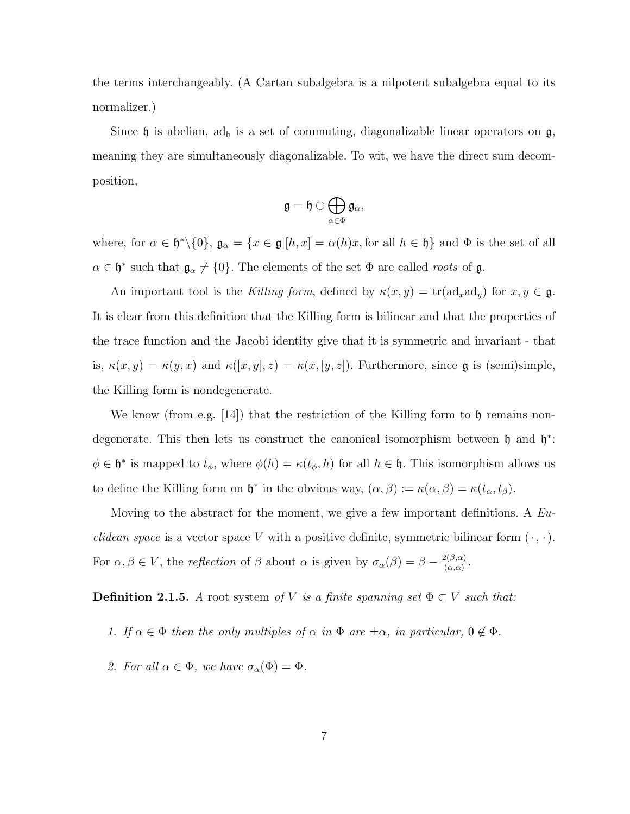the terms interchangeably. (A Cartan subalgebra is a nilpotent subalgebra equal to its normalizer.)

Since  $\mathfrak h$  is abelian, ad<sub> $\mathfrak h$ </sub> is a set of commuting, diagonalizable linear operators on  $\mathfrak g$ , meaning they are simultaneously diagonalizable. To wit, we have the direct sum decomposition,

$$
\mathfrak{g}=\mathfrak{h}\oplus\bigoplus_{\alpha\in\Phi}\mathfrak{g}_{\alpha},
$$

where, for  $\alpha \in \mathfrak{h}^*\setminus\{0\}$ ,  $\mathfrak{g}_{\alpha} = \{x \in \mathfrak{g} | [h, x] = \alpha(h)x$ , for all  $h \in \mathfrak{h}\}$  and  $\Phi$  is the set of all  $\alpha \in \mathfrak{h}^*$  such that  $\mathfrak{g}_{\alpha} \neq \{0\}$ . The elements of the set  $\Phi$  are called *roots* of  $\mathfrak{g}$ .

An important tool is the Killing form, defined by  $\kappa(x, y) = \text{tr}(\text{ad}_x \text{ad}_y)$  for  $x, y \in \mathfrak{g}$ . It is clear from this definition that the Killing form is bilinear and that the properties of the trace function and the Jacobi identity give that it is symmetric and invariant - that is,  $\kappa(x, y) = \kappa(y, x)$  and  $\kappa([x, y], z) = \kappa(x, [y, z])$ . Furthermore, since **g** is (semi)simple, the Killing form is nondegenerate.

We know (from e.g. [14]) that the restriction of the Killing form to h remains nondegenerate. This then lets us construct the canonical isomorphism between  $\mathfrak h$  and  $\mathfrak h^*$ :  $\phi \in \mathfrak{h}^*$  is mapped to  $t_{\phi}$ , where  $\phi(h) = \kappa(t_{\phi}, h)$  for all  $h \in \mathfrak{h}$ . This isomorphism allows us to define the Killing form on  $\mathfrak{h}^*$  in the obvious way,  $(\alpha, \beta) := \kappa(\alpha, \beta) = \kappa(t_\alpha, t_\beta)$ .

Moving to the abstract for the moment, we give a few important definitions. A  $Eu$ *clidean space* is a vector space V with a positive definite, symmetric bilinear form  $(\cdot, \cdot)$ . For  $\alpha, \beta \in V$ , the reflection of  $\beta$  about  $\alpha$  is given by  $\sigma_{\alpha}(\beta) = \beta - \frac{2(\beta,\alpha)}{(\alpha,\alpha)}$  $\frac{2(\beta,\alpha)}{(\alpha,\alpha)}$ .

**Definition 2.1.5.** A root system of V is a finite spanning set  $\Phi \subset V$  such that:

- 1. If  $\alpha \in \Phi$  then the only multiples of  $\alpha$  in  $\Phi$  are  $\pm \alpha$ , in particular,  $0 \notin \Phi$ .
- 2. For all  $\alpha \in \Phi$ , we have  $\sigma_{\alpha}(\Phi) = \Phi$ .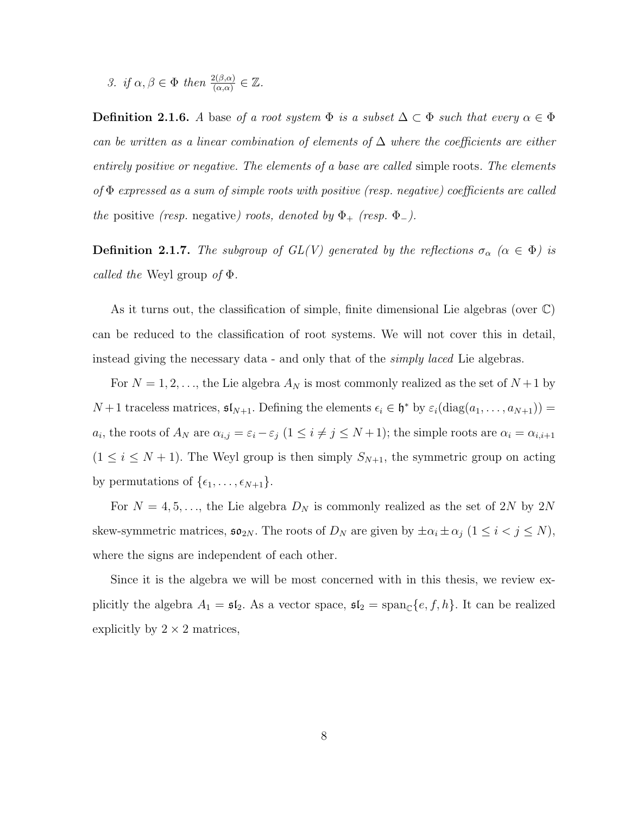3. if  $\alpha, \beta \in \Phi$  then  $\frac{2(\beta,\alpha)}{(\alpha,\alpha)} \in \mathbb{Z}$ .

**Definition 2.1.6.** A base of a root system  $\Phi$  is a subset  $\Delta \subset \Phi$  such that every  $\alpha \in \Phi$ can be written as a linear combination of elements of  $\Delta$  where the coefficients are either entirely positive or negative. The elements of a base are called simple roots. The elements of Φ expressed as a sum of simple roots with positive (resp. negative) coefficients are called the positive (resp. negative) roots, denoted by  $\Phi_{+}$  (resp.  $\Phi_{-}$ ).

**Definition 2.1.7.** The subgroup of  $GL(V)$  generated by the reflections  $\sigma_{\alpha}$  ( $\alpha \in \Phi$ ) is *called the* Weyl group *of*  $\Phi$ .

As it turns out, the classification of simple, finite dimensional Lie algebras (over  $\mathbb{C}$ ) can be reduced to the classification of root systems. We will not cover this in detail, instead giving the necessary data - and only that of the *simply laced* Lie algebras.

For  $N = 1, 2, \ldots$ , the Lie algebra  $A_N$  is most commonly realized as the set of  $N+1$  by  $N+1$  traceless matrices,  $\mathfrak{sl}_{N+1}$ . Defining the elements  $\epsilon_i \in \mathfrak{h}^*$  by  $\varepsilon_i(\text{diag}(a_1, \ldots, a_{N+1}))$  =  $a_i$ , the roots of  $A_N$  are  $\alpha_{i,j} = \varepsilon_i - \varepsilon_j$   $(1 \leq i \neq j \leq N+1)$ ; the simple roots are  $\alpha_i = \alpha_{i,i+1}$  $(1 \leq i \leq N+1)$ . The Weyl group is then simply  $S_{N+1}$ , the symmetric group on acting by permutations of  $\{\epsilon_1, \ldots, \epsilon_{N+1}\}.$ 

For  $N = 4, 5, \ldots$ , the Lie algebra  $D_N$  is commonly realized as the set of 2N by 2N skew-symmetric matrices,  $\mathfrak{so}_{2N}$ . The roots of  $D_N$  are given by  $\pm \alpha_i \pm \alpha_j$   $(1 \leq i < j \leq N)$ , where the signs are independent of each other.

Since it is the algebra we will be most concerned with in this thesis, we review explicitly the algebra  $A_1 = \mathfrak{sl}_2$ . As a vector space,  $\mathfrak{sl}_2 = \text{span}_{\mathbb{C}}\{e, f, h\}$ . It can be realized explicitly by  $2 \times 2$  matrices,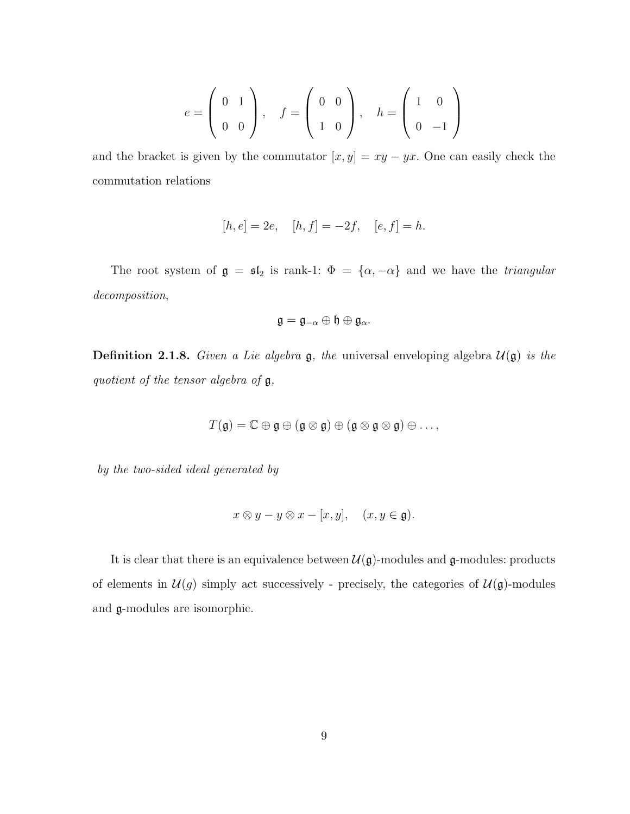$$
e = \left(\begin{array}{cc} 0 & 1 \\ 0 & 0 \end{array}\right), \quad f = \left(\begin{array}{cc} 0 & 0 \\ 1 & 0 \end{array}\right), \quad h = \left(\begin{array}{cc} 1 & 0 \\ 0 & -1 \end{array}\right)
$$

and the bracket is given by the commutator  $[x, y] = xy - yx$ . One can easily check the commutation relations

$$
[h, e] = 2e
$$
,  $[h, f] = -2f$ ,  $[e, f] = h$ .

The root system of  $\mathfrak{g} = \mathfrak{sl}_2$  is rank-1:  $\Phi = {\alpha, -\alpha}$  and we have the *triangular* decomposition,

$$
\mathfrak{g}=\mathfrak{g}_{-\alpha}\oplus\mathfrak{h}\oplus\mathfrak{g}_{\alpha}.
$$

**Definition 2.1.8.** Given a Lie algebra  $\mathfrak{g}$ , the universal enveloping algebra  $\mathcal{U}(\mathfrak{g})$  is the quotient of the tensor algebra of  $\mathfrak{g}$ ,

$$
T(\mathfrak{g})=\mathbb{C}\oplus\mathfrak{g}\oplus(\mathfrak{g}\otimes\mathfrak{g})\oplus(\mathfrak{g}\otimes\mathfrak{g}\otimes\mathfrak{g})\oplus\ldots,
$$

by the two-sided ideal generated by

$$
x \otimes y - y \otimes x - [x, y], \quad (x, y \in \mathfrak{g}).
$$

It is clear that there is an equivalence between  $\mathcal{U}(\mathfrak{g})$ -modules and  $\mathfrak{g}$ -modules: products of elements in  $\mathcal{U}(g)$  simply act successively - precisely, the categories of  $\mathcal{U}(\mathfrak{g})$ -modules and g-modules are isomorphic.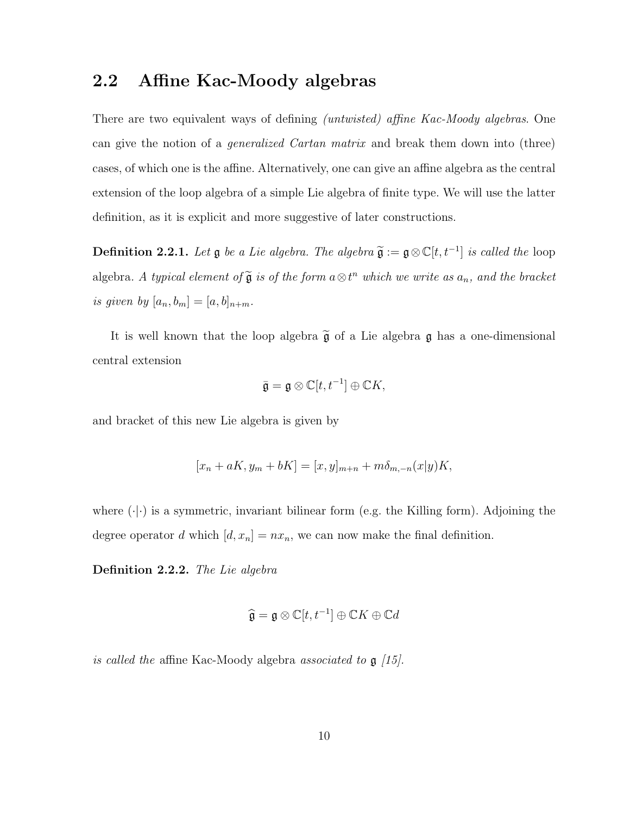### 2.2 Affine Kac-Moody algebras

There are two equivalent ways of defining *(untwisted)* affine Kac-Moody algebras. One can give the notion of a generalized Cartan matrix and break them down into (three) cases, of which one is the affine. Alternatively, one can give an affine algebra as the central extension of the loop algebra of a simple Lie algebra of finite type. We will use the latter definition, as it is explicit and more suggestive of later constructions.

**Definition 2.2.1.** Let  $\mathfrak{g}$  be a Lie algebra. The algebra  $\widetilde{\mathfrak{g}} := \mathfrak{g} \otimes \mathbb{C}[t, t^{-1}]$  is called the loop algebra. A typical element of  $\widetilde{\mathfrak{g}}$  is of the form  $a \otimes t^n$  which we write as  $a_n$ , and the bracket is given by  $[a_n, b_m] = [a, b]_{n+m}$ .

It is well known that the loop algebra  $\tilde{\mathfrak{g}}$  of a Lie algebra  $\mathfrak{g}$  has a one-dimensional central extension

$$
\bar{\mathfrak{g}} = \mathfrak{g} \otimes \mathbb{C}[t, t^{-1}] \oplus \mathbb{C}K,
$$

and bracket of this new Lie algebra is given by

$$
[x_n + aK, y_m + bK] = [x, y]_{m+n} + m\delta_{m,-n}(x|y)K,
$$

where  $(\cdot|\cdot)$  is a symmetric, invariant bilinear form (e.g. the Killing form). Adjoining the degree operator d which  $[d, x_n] = nx_n$ , we can now make the final definition.

Definition 2.2.2. The Lie algebra

$$
\widehat{\mathfrak{g}} = \mathfrak{g} \otimes \mathbb{C}[t, t^{-1}] \oplus \mathbb{C}K \oplus \mathbb{C}d
$$

is called the affine Kac-Moody algebra associated to  $\mathfrak{g}$  [15].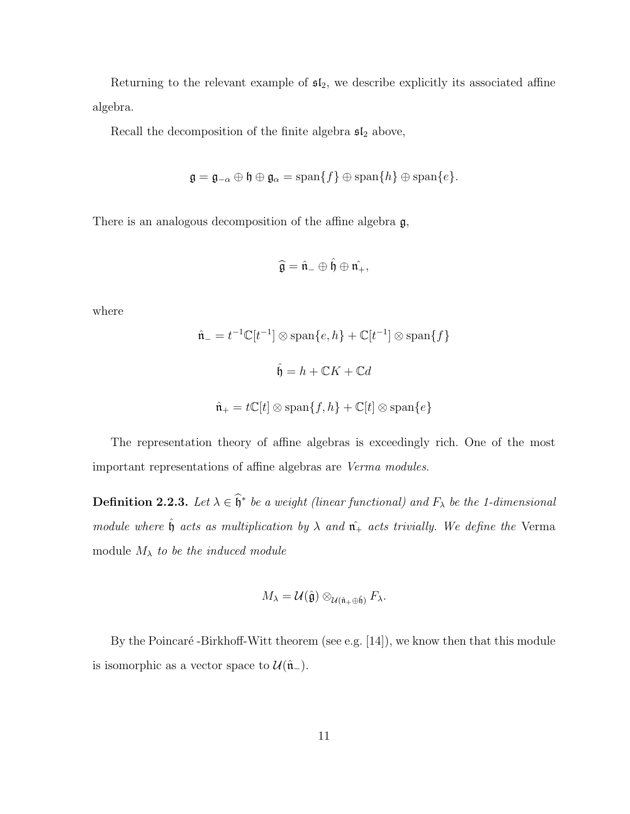Returning to the relevant example of  $sI_2$ , we describe explicitly its associated affine algebra.

Recall the decomposition of the finite algebra  $\mathfrak{sl}_2$  above,

$$
\mathfrak{g} = \mathfrak{g}_{-\alpha} \oplus \mathfrak{h} \oplus \mathfrak{g}_{\alpha} = \text{span}\{f\} \oplus \text{span}\{h\} \oplus \text{span}\{e\}.
$$

There is an analogous decomposition of the affine algebra  $\mathfrak{g}$ ,

$$
\widehat{\mathfrak{g}}=\hat{\mathfrak{n}}_-\oplus\hat{\mathfrak{h}}\oplus\hat{\mathfrak{n}_+},
$$

where

$$
\hat{\mathbf{n}}_{-} = t^{-1} \mathbb{C}[t^{-1}] \otimes \text{span}\{e, h\} + \mathbb{C}[t^{-1}] \otimes \text{span}\{f\}
$$
  

$$
\hat{\mathbf{h}} = h + \mathbb{C}K + \mathbb{C}d
$$
  

$$
\hat{\mathbf{n}}_{+} = t\mathbb{C}[t] \otimes \text{span}\{f, h\} + \mathbb{C}[t] \otimes \text{span}\{e\}
$$

The representation theory of affine algebras is exceedingly rich. One of the most important representations of affine algebras are Verma modules.

**Definition 2.2.3.** Let  $\lambda \in \widehat{\mathfrak{h}}^*$  be a weight (linear functional) and  $F_{\lambda}$  be the 1-dimensional module where  $\hat{\mathfrak{h}}$  acts as multiplication by  $\lambda$  and  $\hat{\mathfrak{n}}_+$  acts trivially. We define the Verma module  $M_{\lambda}$  to be the induced module

$$
M_{\lambda} = \mathcal{U}(\hat{\mathfrak{g}}) \otimes_{\mathcal{U}(\hat{\mathfrak{n}}_+ \oplus \hat{\mathfrak{h}})} F_{\lambda}.
$$

By the Poincaré -Birkhoff-Witt theorem (see e.g.  $[14]$ ), we know then that this module is isomorphic as a vector space to  $\mathcal{U}(\hat{\mathfrak{n}}_{-}).$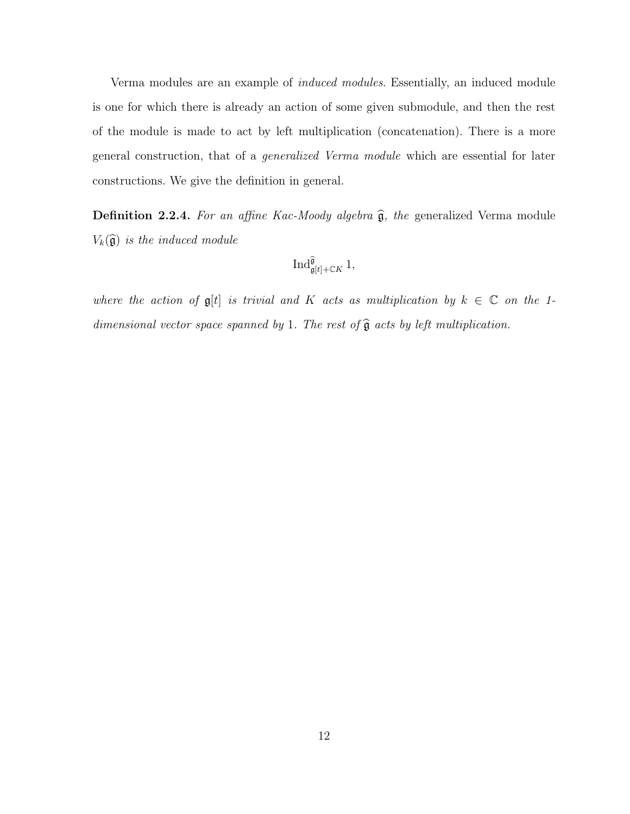Verma modules are an example of induced modules. Essentially, an induced module is one for which there is already an action of some given submodule, and then the rest of the module is made to act by left multiplication (concatenation). There is a more general construction, that of a generalized Verma module which are essential for later constructions. We give the definition in general.

Definition 2.2.4. For an affine Kac-Moody algebra  $\widehat{\mathfrak{g}}$ , the generalized Verma module  $V_k(\widehat{\mathfrak{g}})$  is the induced module

$$
\mathop{\operatorname{Ind}}\nolimits^{\widehat{\mathfrak{g}}}_{\mathfrak{g}[t]+\mathbb{C} K}1,
$$

where the action of  $\mathfrak{g}[t]$  is trivial and K acts as multiplication by  $k \in \mathbb{C}$  on the 1dimensional vector space spanned by 1. The rest of  $\widehat{\mathfrak{g}}$  acts by left multiplication.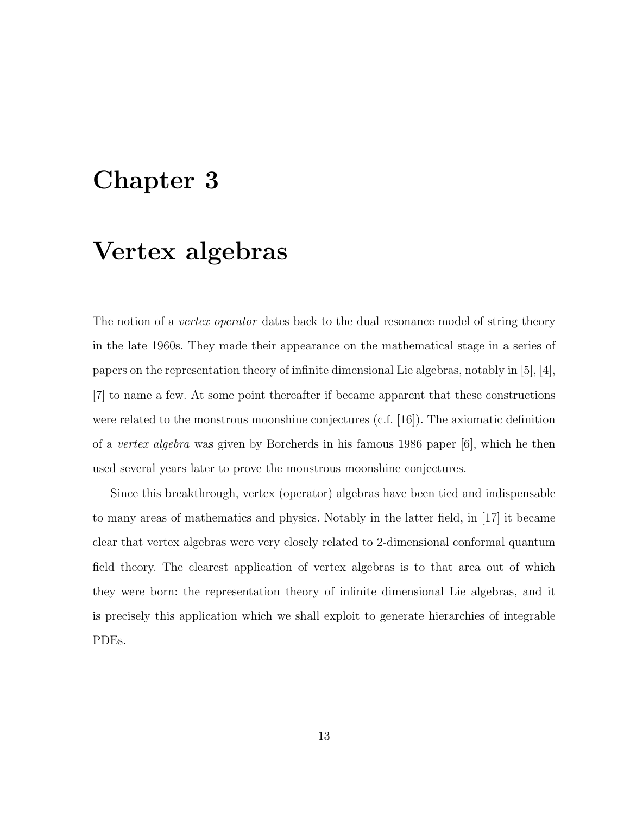# Chapter 3

## Vertex algebras

The notion of a *vertex operator* dates back to the dual resonance model of string theory in the late 1960s. They made their appearance on the mathematical stage in a series of papers on the representation theory of infinite dimensional Lie algebras, notably in [5], [4], [7] to name a few. At some point thereafter if became apparent that these constructions were related to the monstrous moonshine conjectures  $(c.f. [16])$ . The axiomatic definition of a vertex algebra was given by Borcherds in his famous 1986 paper [6], which he then used several years later to prove the monstrous moonshine conjectures.

Since this breakthrough, vertex (operator) algebras have been tied and indispensable to many areas of mathematics and physics. Notably in the latter field, in [17] it became clear that vertex algebras were very closely related to 2-dimensional conformal quantum field theory. The clearest application of vertex algebras is to that area out of which they were born: the representation theory of infinite dimensional Lie algebras, and it is precisely this application which we shall exploit to generate hierarchies of integrable PDEs.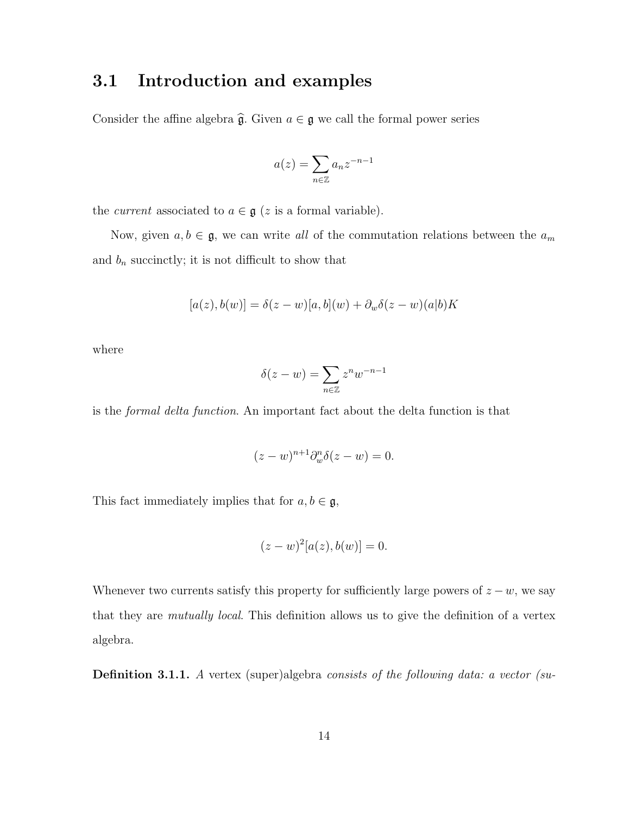### 3.1 Introduction and examples

Consider the affine algebra  $\hat{\mathfrak{g}}$ . Given  $a \in \mathfrak{g}$  we call the formal power series

$$
a(z) = \sum_{n \in \mathbb{Z}} a_n z^{-n-1}
$$

the *current* associated to  $a \in \mathfrak{g}$  (*z* is a formal variable).

Now, given  $a, b \in \mathfrak{g}$ , we can write all of the commutation relations between the  $a_m$ and  $b_n$  succinctly; it is not difficult to show that

$$
[a(z), b(w)] = \delta(z - w)[a, b](w) + \partial_w \delta(z - w)(a|b)K
$$

where

$$
\delta(z - w) = \sum_{n \in \mathbb{Z}} z^n w^{-n-1}
$$

is the formal delta function. An important fact about the delta function is that

$$
(z-w)^{n+1}\partial_w^n \delta(z-w) = 0.
$$

This fact immediately implies that for  $a, b \in \mathfrak{g}$ ,

$$
(z-w)^{2}[a(z),b(w)] = 0.
$$

Whenever two currents satisfy this property for sufficiently large powers of  $z - w$ , we say that they are *mutually local*. This definition allows us to give the definition of a vertex algebra.

Definition 3.1.1. A vertex (super)algebra consists of the following data: a vector (su-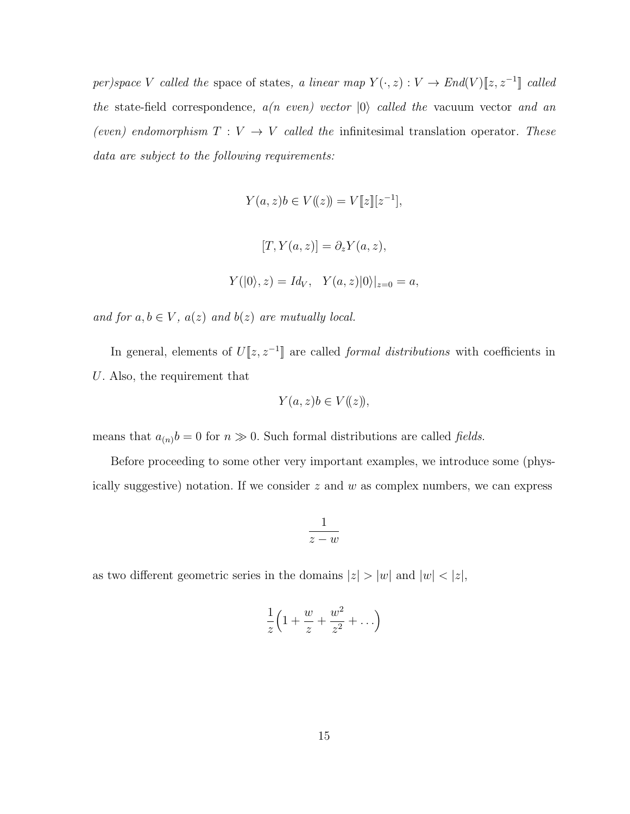per)space V called the space of states, a linear map  $Y(\cdot, z): V \to End(V)[z, z^{-1}]$  called the state-field correspondence,  $a(n \text{ even})$  vector  $|0\rangle$  called the vacuum vector and an (even) endomorphism  $T: V \rightarrow V$  called the infinitesimal translation operator. These data are subject to the following requirements:

$$
Y(a, z)b \in V((z)) = V[[z]][z^{-1}],
$$
  

$$
[T, Y(a, z)] = \partial_z Y(a, z),
$$
  

$$
Y(|0\rangle, z) = Id_V, \quad Y(a, z)|0\rangle|_{z=0} = a,
$$

and for  $a, b \in V$ ,  $a(z)$  and  $b(z)$  are mutually local.

In general, elements of  $U[z, z^{-1}]$  are called *formal distributions* with coefficients in U. Also, the requirement that

$$
Y(a, z)b \in V((z)),
$$

means that  $a_{(n)}b = 0$  for  $n \gg 0$ . Such formal distributions are called *fields*.

Before proceeding to some other very important examples, we introduce some (physically suggestive) notation. If we consider  $z$  and  $w$  as complex numbers, we can express

$$
\frac{1}{z-w}
$$

as two different geometric series in the domains  $|z| > |w|$  and  $|w| < |z|$ ,

$$
\frac{1}{z}\left(1+\frac{w}{z}+\frac{w^2}{z^2}+\ldots\right)
$$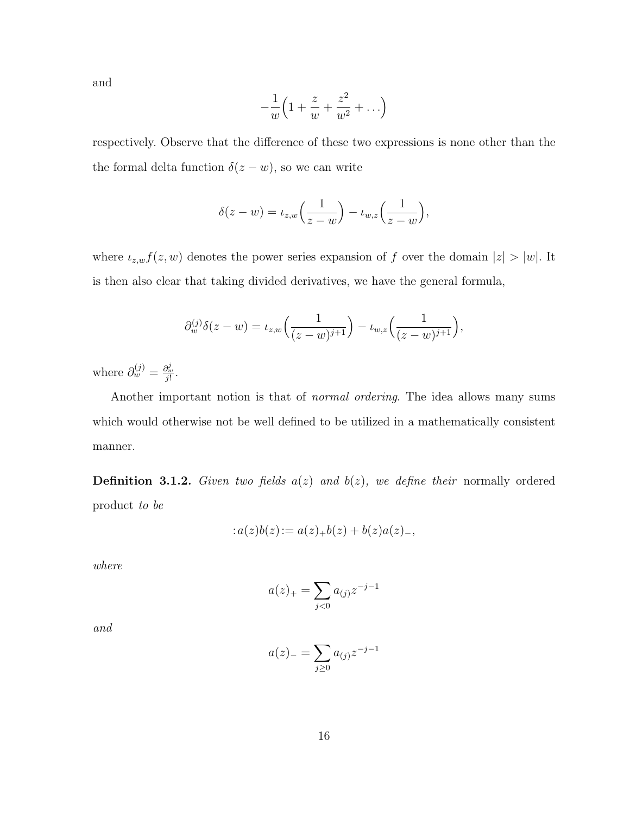and

$$
-\frac{1}{w}\left(1+\frac{z}{w}+\frac{z^2}{w^2}+\ldots\right)
$$

respectively. Observe that the difference of these two expressions is none other than the the formal delta function  $\delta(z - w)$ , so we can write

$$
\delta(z-w) = \iota_{z,w}\left(\frac{1}{z-w}\right) - \iota_{w,z}\left(\frac{1}{z-w}\right),\,
$$

where  $\iota_{z,w}f(z,w)$  denotes the power series expansion of f over the domain  $|z| > |w|$ . It is then also clear that taking divided derivatives, we have the general formula,

$$
\partial_w^{(j)} \delta(z - w) = \iota_{z,w} \left( \frac{1}{(z - w)^{j+1}} \right) - \iota_{w,z} \left( \frac{1}{(z - w)^{j+1}} \right),
$$

where  $\partial_w^{(j)} = \frac{\partial_w^j}{j!}$ .

Another important notion is that of normal ordering. The idea allows many sums which would otherwise not be well defined to be utilized in a mathematically consistent manner.

**Definition 3.1.2.** Given two fields  $a(z)$  and  $b(z)$ , we define their normally ordered product to be

$$
:a(z)b(z):=a(z)_+b(z)+b(z)a(z)_-,
$$

where

$$
a(z)_+ = \sum_{j<0} a_{(j)} z^{-j-1}
$$

and

$$
a(z)_{-} = \sum_{j \geq 0} a_{(j)} z^{-j-1}
$$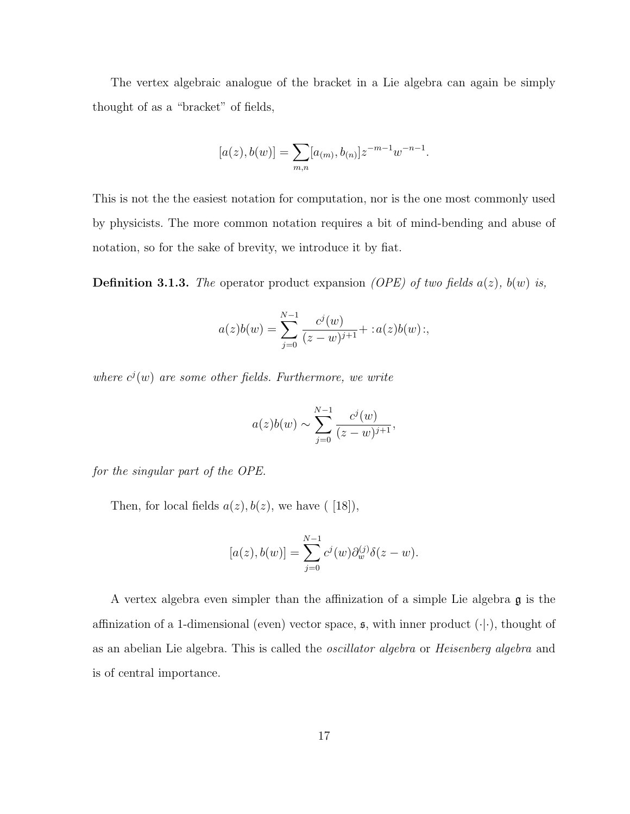The vertex algebraic analogue of the bracket in a Lie algebra can again be simply thought of as a "bracket" of fields,

$$
[a(z), b(w)] = \sum_{m,n} [a_{(m)}, b_{(n)}] z^{-m-1} w^{-n-1}.
$$

This is not the the easiest notation for computation, nor is the one most commonly used by physicists. The more common notation requires a bit of mind-bending and abuse of notation, so for the sake of brevity, we introduce it by fiat.

**Definition 3.1.3.** The operator product expansion *(OPE)* of two fields  $a(z)$ ,  $b(w)$  is,

$$
a(z)b(w) = \sum_{j=0}^{N-1} \frac{c^j(w)}{(z-w)^{j+1}} + :a(z)b(w):,
$$

where  $c^{j}(w)$  are some other fields. Furthermore, we write

$$
a(z)b(w) \sim \sum_{j=0}^{N-1} \frac{c^j(w)}{(z-w)^{j+1}},
$$

for the singular part of the OPE.

Then, for local fields  $a(z)$ ,  $b(z)$ , we have ([18]),

$$
[a(z), b(w)] = \sum_{j=0}^{N-1} c^{j}(w) \partial_{w}^{(j)} \delta(z - w).
$$

A vertex algebra even simpler than the affinization of a simple Lie algebra g is the affinization of a 1-dimensional (even) vector space,  $\mathfrak{s}$ , with inner product  $(\cdot | \cdot)$ , thought of as an abelian Lie algebra. This is called the oscillator algebra or Heisenberg algebra and is of central importance.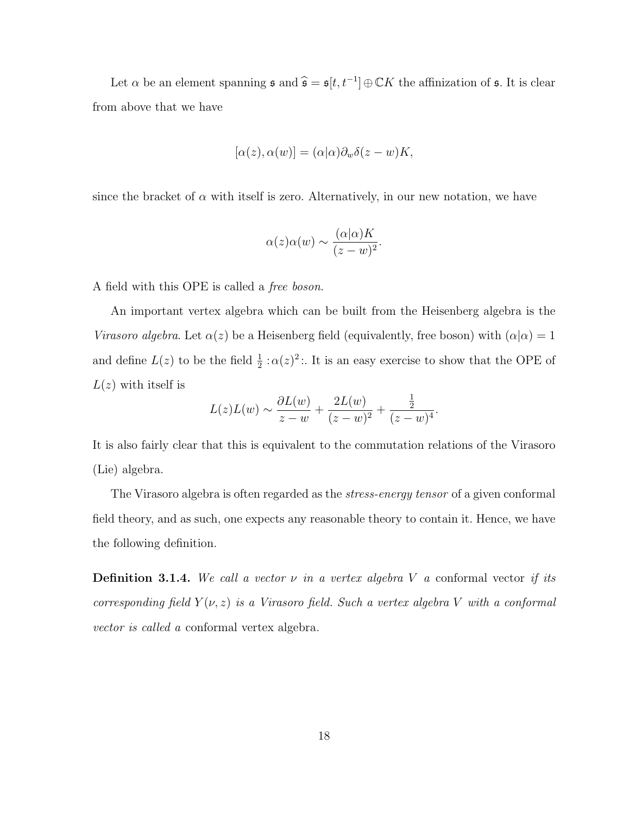Let  $\alpha$  be an element spanning  $\mathfrak{s}$  and  $\widehat{\mathfrak{s}} = \mathfrak{s}[t, t^{-1}] \oplus \mathbb{C}K$  the affinization of  $\mathfrak{s}$ . It is clear from above that we have

$$
[\alpha(z), \alpha(w)] = (\alpha|\alpha)\partial_w \delta(z-w)K,
$$

since the bracket of  $\alpha$  with itself is zero. Alternatively, in our new notation, we have

$$
\alpha(z)\alpha(w) \sim \frac{(\alpha|\alpha)K}{(z-w)^2}.
$$

A field with this OPE is called a free boson.

An important vertex algebra which can be built from the Heisenberg algebra is the Virasoro algebra. Let  $\alpha(z)$  be a Heisenberg field (equivalently, free boson) with  $(\alpha|\alpha) = 1$ and define  $L(z)$  to be the field  $\frac{1}{2}$ :  $\alpha(z)^2$ :. It is an easy exercise to show that the OPE of  $L(z)$  with itself is

$$
L(z)L(w) \sim \frac{\partial L(w)}{z-w} + \frac{2L(w)}{(z-w)^2} + \frac{\frac{1}{2}}{(z-w)^4}.
$$

It is also fairly clear that this is equivalent to the commutation relations of the Virasoro (Lie) algebra.

The Virasoro algebra is often regarded as the *stress-energy tensor* of a given conformal field theory, and as such, one expects any reasonable theory to contain it. Hence, we have the following definition.

**Definition 3.1.4.** We call a vector  $\nu$  in a vertex algebra V a conformal vector if its corresponding field  $Y(\nu, z)$  is a Virasoro field. Such a vertex algebra V with a conformal vector is called a conformal vertex algebra.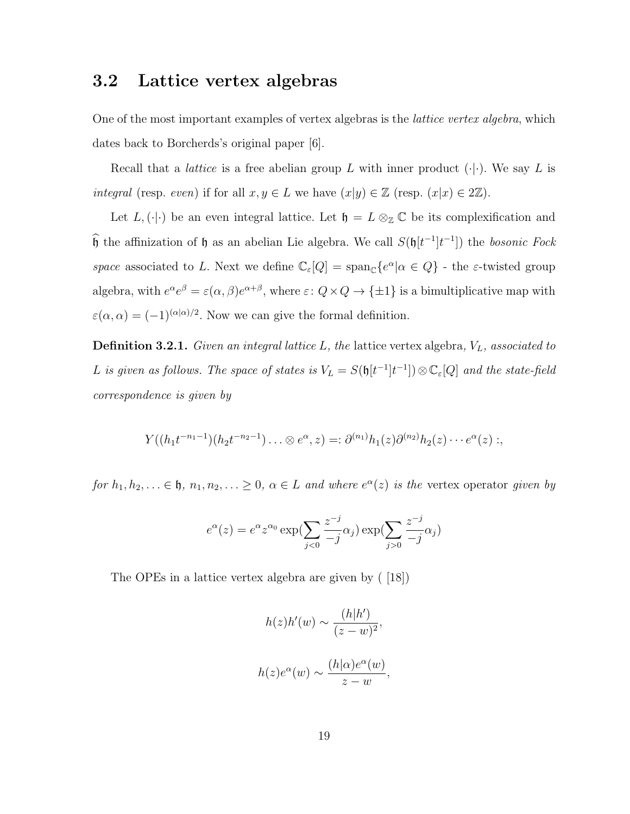#### 3.2 Lattice vertex algebras

One of the most important examples of vertex algebras is the *lattice vertex algebra*, which dates back to Borcherds's original paper [6].

Recall that a *lattice* is a free abelian group L with inner product  $(\cdot | \cdot)$ . We say L is integral (resp. even) if for all  $x, y \in L$  we have  $(x|y) \in \mathbb{Z}$  (resp.  $(x|x) \in 2\mathbb{Z}$ ).

Let  $L$ ,  $(\cdot | \cdot)$  be an even integral lattice. Let  $\mathfrak{h} = L \otimes_{\mathbb{Z}} \mathbb{C}$  be its complexification and  $\hat{\mathfrak{h}}$  the affinization of  $\mathfrak h$  as an abelian Lie algebra. We call  $S(\mathfrak{h}[t^{-1}]t^{-1}]$  the *bosonic Fock* space associated to L. Next we define  $\mathbb{C}_{\varepsilon}[Q] = \text{span}_{\mathbb{C}}\{e^{\alpha}|\alpha \in Q\}$  - the  $\varepsilon$ -twisted group algebra, with  $e^{\alpha}e^{\beta} = \varepsilon(\alpha, \beta)e^{\alpha+\beta}$ , where  $\varepsilon: Q \times Q \to {\pm 1}$  is a bimultiplicative map with  $\varepsilon(\alpha,\alpha) = (-1)^{(\alpha|\alpha)/2}$ . Now we can give the formal definition.

**Definition 3.2.1.** Given an integral lattice  $L$ , the lattice vertex algebra,  $V_L$ , associated to L is given as follows. The space of states is  $V_L = S(\mathfrak{h}[t^{-1}]t^{-1}]) \otimes \mathbb{C}_{\varepsilon}[Q]$  and the state-field correspondence is given by

$$
Y((h_1t^{-n_1-1})(h_2t^{-n_2-1})\ldots \otimes e^{\alpha},z)=:\partial^{(n_1)}h_1(z)\partial^{(n_2)}h_2(z)\cdots e^{\alpha}(z):,
$$

for  $h_1, h_2, \ldots \in \mathfrak{h}, n_1, n_2, \ldots \geq 0, \alpha \in L$  and where  $e^{\alpha}(z)$  is the vertex operator given by

$$
e^{\alpha}(z) = e^{\alpha} z^{\alpha_0} \exp\left(\sum_{j<0} \frac{z^{-j}}{-j} \alpha_j\right) \exp\left(\sum_{j>0} \frac{z^{-j}}{-j} \alpha_j\right)
$$

The OPEs in a lattice vertex algebra are given by ( [18])

$$
h(z)h'(w) \sim \frac{(h|h')}{(z-w)^2},
$$
  

$$
h(z)e^{\alpha}(w) \sim \frac{(h|\alpha)e^{\alpha}(w)}{z-w},
$$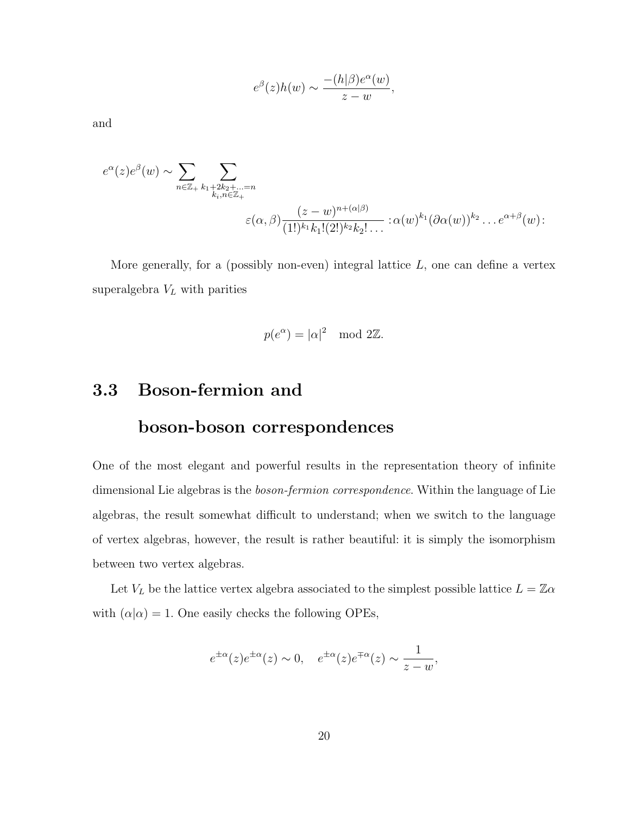$$
e^{\beta}(z)h(w) \sim \frac{-(h|\beta)e^{\alpha}(w)}{z-w},
$$

and

$$
e^{\alpha}(z)e^{\beta}(w) \sim \sum_{n \in \mathbb{Z}_+} \sum_{\substack{k_1 + 2k_2 + \ldots = n \\ k_i, n \in \mathbb{Z}_+}} \sum_{\substack{(z-w)^{n+(\alpha|\beta)} \\ \in (\alpha, \beta) \frac{z-w^{n+(\alpha|\beta)}}{(1!)^{k_1}k_1!(2!)^{k_2}k_2!\ldots}} \, : \alpha(w)^{k_1}(\partial \alpha(w))^{k_2} \ldots e^{\alpha+\beta}(w):
$$

More generally, for a (possibly non-even) integral lattice  $L$ , one can define a vertex superalgebra  $V_L$  with parities

$$
p(e^{\alpha}) = |\alpha|^2 \mod 2\mathbb{Z}.
$$

### 3.3 Boson-fermion and

#### boson-boson correspondences

One of the most elegant and powerful results in the representation theory of infinite dimensional Lie algebras is the *boson-fermion correspondence*. Within the language of Lie algebras, the result somewhat difficult to understand; when we switch to the language of vertex algebras, however, the result is rather beautiful: it is simply the isomorphism between two vertex algebras.

Let  $V_L$  be the lattice vertex algebra associated to the simplest possible lattice  $L=\mathbb{Z}\alpha$ with  $(\alpha|\alpha) = 1$ . One easily checks the following OPEs,

$$
e^{\pm \alpha}(z)e^{\pm \alpha}(z) \sim 0
$$
,  $e^{\pm \alpha}(z)e^{\mp \alpha}(z) \sim \frac{1}{z-w}$ ,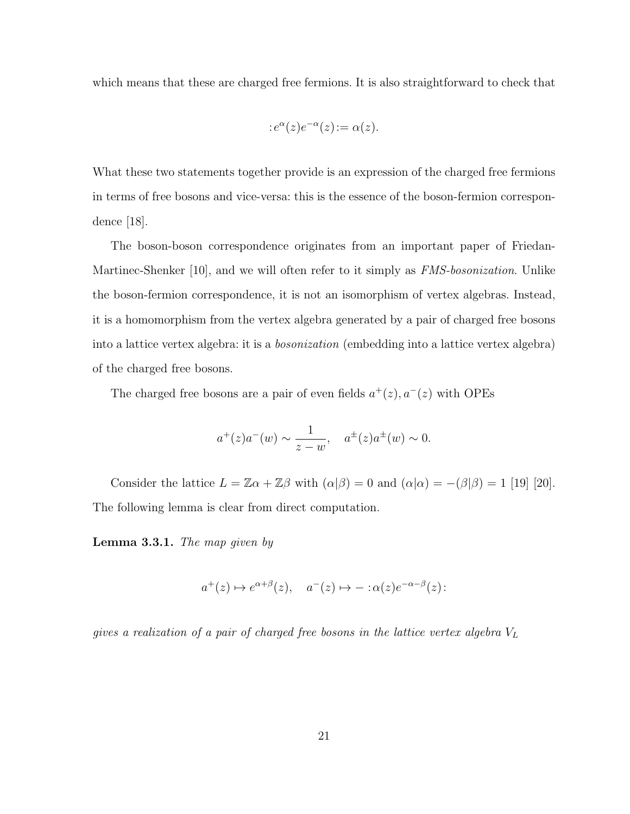which means that these are charged free fermions. It is also straightforward to check that

$$
:e^{\alpha}(z)e^{-\alpha}(z):=\alpha(z).
$$

What these two statements together provide is an expression of the charged free fermions in terms of free bosons and vice-versa: this is the essence of the boson-fermion correspondence [18].

The boson-boson correspondence originates from an important paper of Friedan-Martinec-Shenker [10], and we will often refer to it simply as *FMS-bosonization*. Unlike the boson-fermion correspondence, it is not an isomorphism of vertex algebras. Instead, it is a homomorphism from the vertex algebra generated by a pair of charged free bosons into a lattice vertex algebra: it is a bosonization (embedding into a lattice vertex algebra) of the charged free bosons.

The charged free bosons are a pair of even fields  $a^+(z)$ ,  $a^-(z)$  with OPEs

$$
a^+(z)a^-(w) \sim \frac{1}{z-w}
$$
,  $a^{\pm}(z)a^{\pm}(w) \sim 0$ .

Consider the lattice  $L = \mathbb{Z}\alpha + \mathbb{Z}\beta$  with  $(\alpha|\beta) = 0$  and  $(\alpha|\alpha) = -(\beta|\beta) = 1$  [19] [20]. The following lemma is clear from direct computation.

Lemma 3.3.1. The map given by

$$
a^+(z) \mapsto e^{\alpha+\beta}(z), \quad a^-(z) \mapsto -\alpha(z)e^{-\alpha-\beta}(z)
$$
:

gives a realization of a pair of charged free bosons in the lattice vertex algebra  $V_L$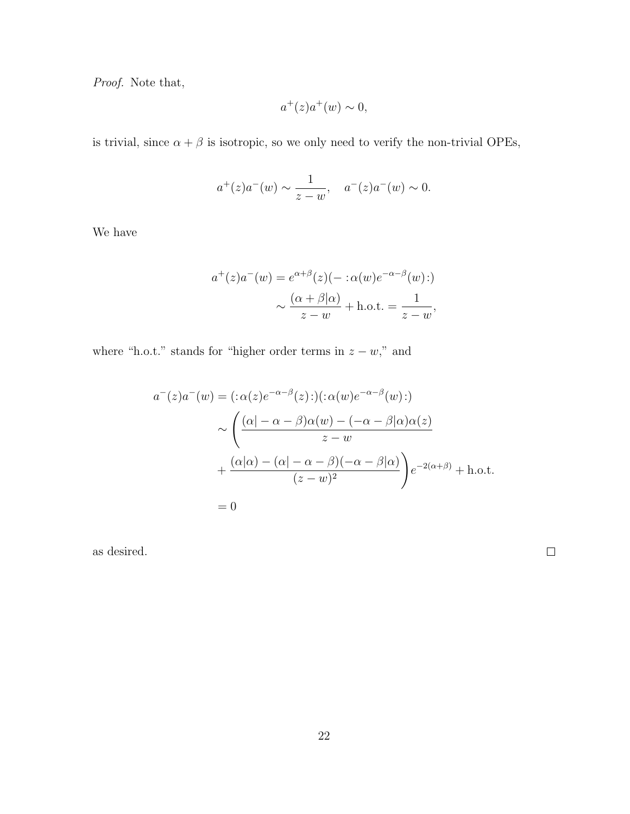Proof. Note that,

$$
a^+(z)a^+(w) \sim 0,
$$

is trivial, since  $\alpha+\beta$  is isotropic, so we only need to verify the non-trivial OPEs,

$$
a^+(z)a^-(w) \sim \frac{1}{z-w}
$$
,  $a^-(z)a^-(w) \sim 0$ .

We have

$$
a^+(z)a^-(w) = e^{\alpha+\beta}(z)(- \alpha(w)e^{-\alpha-\beta}(w))
$$

$$
\sim \frac{(\alpha+\beta|\alpha)}{z-w} + \text{h.o.t.} = \frac{1}{z-w},
$$

where "h.o.t." stands for "higher order terms in  $z - w$ ," and

$$
a^{-}(z)a^{-}(w) = (:\alpha(z)e^{-\alpha-\beta}(z)):(\alpha(w)e^{-\alpha-\beta}(w))
$$

$$
\sim \left(\frac{(\alpha|-\alpha-\beta)\alpha(w)-(-\alpha-\beta|\alpha)\alpha(z)}{z-w} + \frac{(\alpha|\alpha)-(\alpha|-\alpha-\beta)(-\alpha-\beta|\alpha)}{(z-w)^{2}}\right)e^{-2(\alpha+\beta)} + \text{h.o.t.}
$$

$$
= 0
$$

as desired.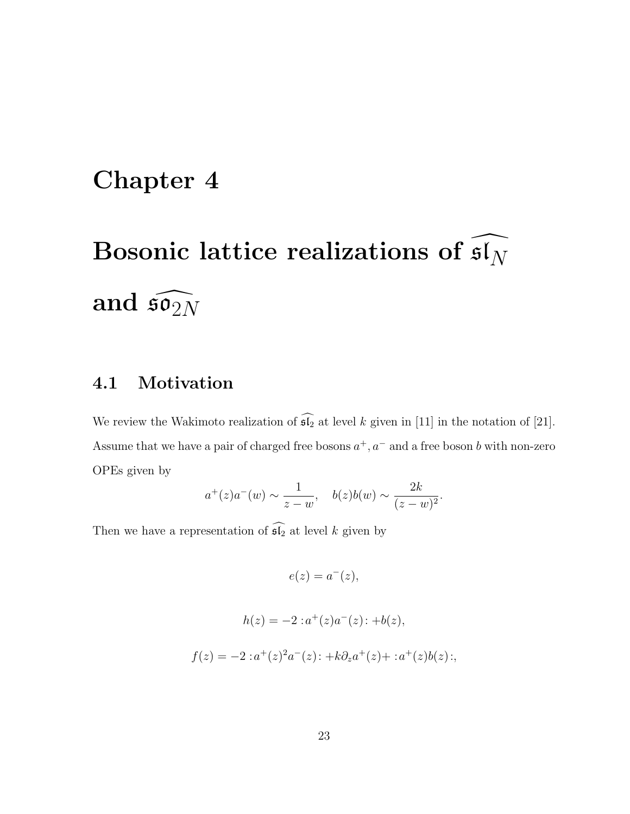# Chapter 4

## Bosonic lattice realizations of sl  $\mathfrak{sl}_N$ and  $\tilde{\mathfrak{so}}$  $\mathfrak{so}_{2N}$

### 4.1 Motivation

We review the Wakimoto realization of  $\widehat{\mathfrak{sl}_2}$  at level k given in [11] in the notation of [21]. Assume that we have a pair of charged free bosons  $a^+, a^-$  and a free boson b with non-zero OPEs given by

$$
a^+(z)a^-(w) \sim \frac{1}{z-w}
$$
,  $b(z)b(w) \sim \frac{2k}{(z-w)^2}$ .

Then we have a representation of  $\widehat{\mathfrak{sl}_2}$  at level k given by

 $e(z) = a^{-}(z),$ 

$$
h(z) = -2 :a^{+}(z)a^{-}(z): +b(z),
$$
  

$$
f(z) = -2 :a^{+}(z)^{2}a^{-}(z): +k\partial_{z}a^{+}(z) + :a^{+}(z)b(z);
$$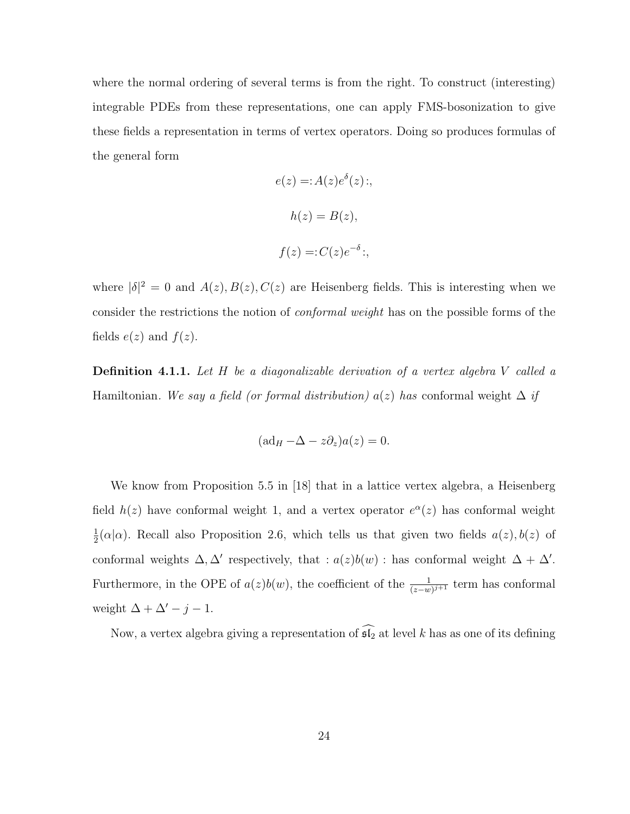where the normal ordering of several terms is from the right. To construct (interesting) integrable PDEs from these representations, one can apply FMS-bosonization to give these fields a representation in terms of vertex operators. Doing so produces formulas of the general form

$$
e(z) = A(z)e^{\delta}(z);
$$
  
\n
$$
h(z) = B(z),
$$
  
\n
$$
f(z) =: C(z)e^{-\delta};
$$

where  $|\delta|^2 = 0$  and  $A(z)$ ,  $B(z)$ ,  $C(z)$  are Heisenberg fields. This is interesting when we consider the restrictions the notion of *conformal weight* has on the possible forms of the fields  $e(z)$  and  $f(z)$ .

Definition 4.1.1. Let H be a diagonalizable derivation of a vertex algebra V called a Hamiltonian. We say a field (or formal distribution)  $a(z)$  has conformal weight  $\Delta$  if

$$
(\mathrm{ad}_H - \Delta - z\partial_z)a(z) = 0.
$$

We know from Proposition 5.5 in [18] that in a lattice vertex algebra, a Heisenberg field  $h(z)$  have conformal weight 1, and a vertex operator  $e^{\alpha}(z)$  has conformal weight 1  $\frac{1}{2}(\alpha|\alpha)$ . Recall also Proposition 2.6, which tells us that given two fields  $a(z)$ ,  $b(z)$  of conformal weights  $\Delta, \Delta'$  respectively, that :  $a(z)b(w)$  : has conformal weight  $\Delta + \Delta'$ . Furthermore, in the OPE of  $a(z)b(w)$ , the coefficient of the  $\frac{1}{(z-w)^{j+1}}$  term has conformal weight  $\Delta + \Delta' - j - 1$ .

Now, a vertex algebra giving a representation of  $\widehat{\mathfrak{sl}_2}$  at level k has as one of its defining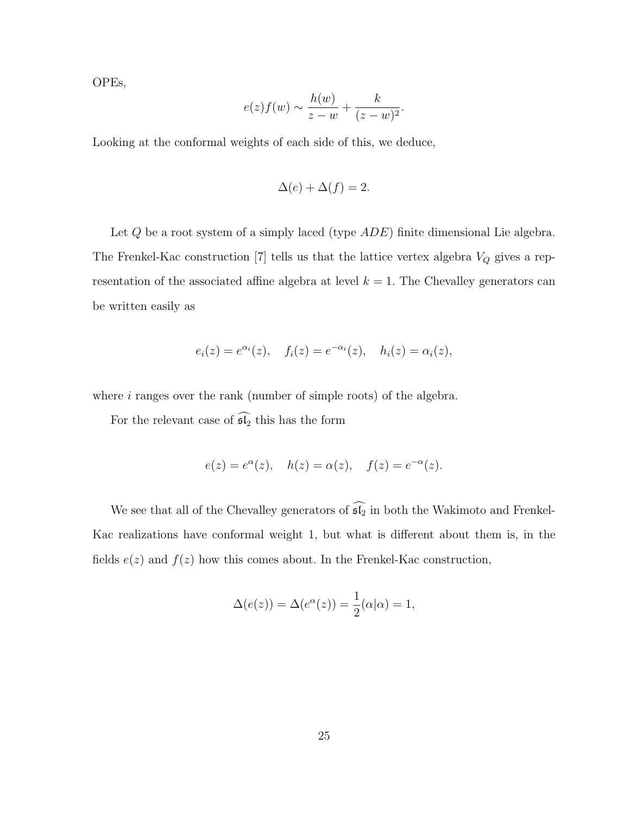OPEs,

$$
e(z)f(w) \sim \frac{h(w)}{z-w} + \frac{k}{(z-w)^2}.
$$

Looking at the conformal weights of each side of this, we deduce,

$$
\Delta(e) + \Delta(f) = 2.
$$

Let Q be a root system of a simply laced (type  $ADE$ ) finite dimensional Lie algebra. The Frenkel-Kac construction [7] tells us that the lattice vertex algebra  $V_Q$  gives a representation of the associated affine algebra at level  $k = 1$ . The Chevalley generators can be written easily as

$$
e_i(z) = e^{\alpha_i}(z), \quad f_i(z) = e^{-\alpha_i}(z), \quad h_i(z) = \alpha_i(z),
$$

where *i* ranges over the rank (number of simple roots) of the algebra.

For the relevant case of  $\widehat{\mathfrak{sl}_2}$  this has the form

$$
e(z) = e^{\alpha}(z), \quad h(z) = \alpha(z), \quad f(z) = e^{-\alpha}(z).
$$

We see that all of the Chevalley generators of  $\widehat{\mathfrak{sl}_2}$  in both the Wakimoto and Frenkel-Kac realizations have conformal weight 1, but what is different about them is, in the fields  $e(z)$  and  $f(z)$  how this comes about. In the Frenkel-Kac construction,

$$
\Delta(e(z)) = \Delta(e^{\alpha}(z)) = \frac{1}{2}(\alpha|\alpha) = 1,
$$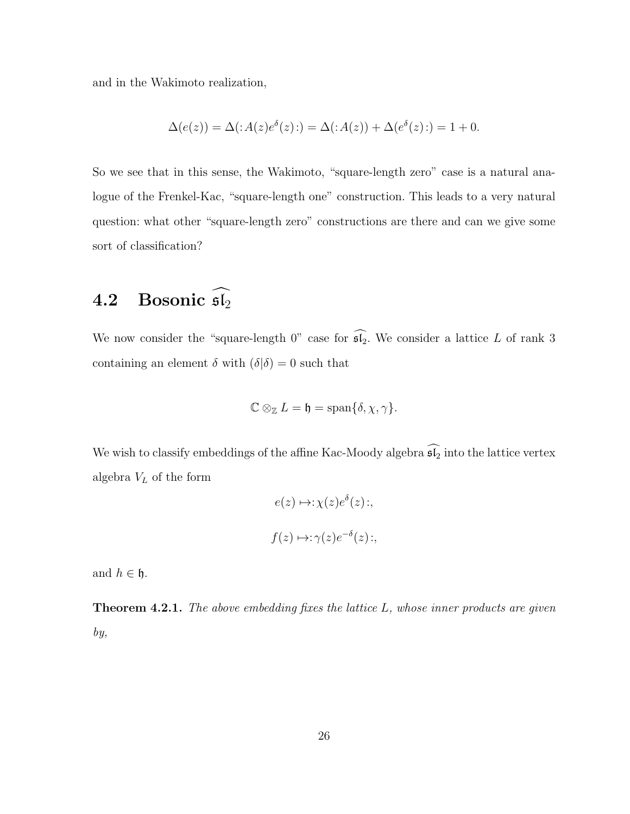and in the Wakimoto realization,

$$
\Delta(e(z)) = \Delta(\mathbf{A}(z)e^{\delta}(z)) = \Delta(\mathbf{A}(z)) + \Delta(e^{\delta}(z)) = 1 + 0.
$$

So we see that in this sense, the Wakimoto, "square-length zero" case is a natural analogue of the Frenkel-Kac, "square-length one" construction. This leads to a very natural question: what other "square-length zero" constructions are there and can we give some sort of classification?

### 4.2 Bosonic  $\widehat{\mathfrak{sl}_2}$

We now consider the "square-length 0" case for  $\widehat{\mathfrak{sl}_2}$ . We consider a lattice L of rank 3 containing an element  $\delta$  with  $(\delta|\delta) = 0$  such that

$$
\mathbb{C} \otimes_{\mathbb{Z}} L = \mathfrak{h} = \text{span}\{\delta, \chi, \gamma\}.
$$

We wish to classify embeddings of the affine Kac-Moody algebra  $\widehat{\mathfrak{sl}_2}$  into the lattice vertex algebra  $V_L$  of the form

$$
e(z) \mapsto \chi(z)e^{\delta}(z);
$$
  

$$
f(z) \mapsto \chi(z)e^{-\delta}(z);
$$

and  $h \in \mathfrak{h}$ .

**Theorem 4.2.1.** The above embedding fixes the lattice  $L$ , whose inner products are given by,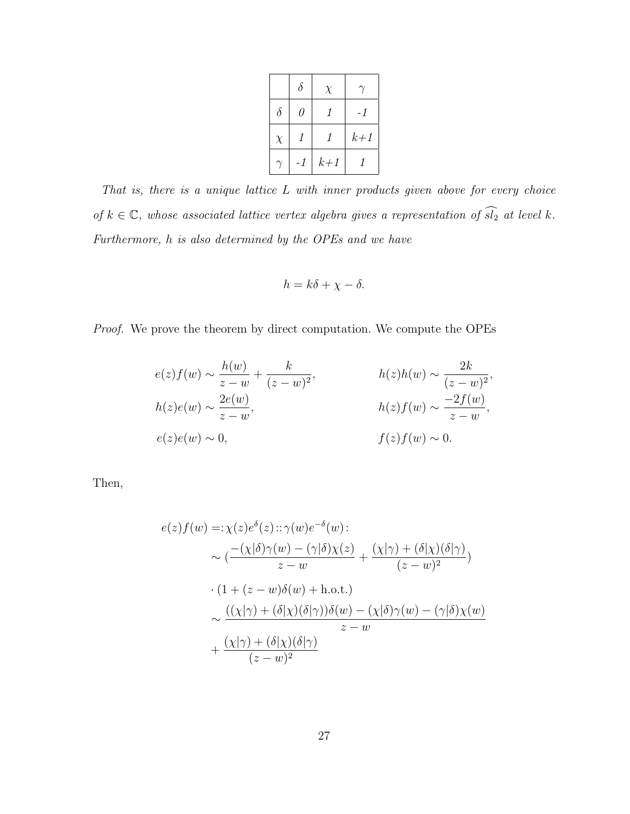|          | $\delta$ | $\chi$ |       |
|----------|----------|--------|-------|
| $\delta$ | 0        | 1      | - 1   |
| $\chi$   |          | 1      | $k+1$ |
|          | -1       | $k+1$  |       |

That is, there is a unique lattice L with inner products given above for every choice of  $k \in \mathbb{C}$ , whose associated lattice vertex algebra gives a representation of  $\widehat{sl_2}$  at level k. Furthermore, h is also determined by the OPEs and we have

$$
h = k\delta + \chi - \delta.
$$

Proof. We prove the theorem by direct computation. We compute the OPEs

$$
e(z)f(w) \sim \frac{h(w)}{z-w} + \frac{k}{(z-w)^2},
$$
  
\n
$$
h(z)e(w) \sim \frac{2e(w)}{z-w},
$$
  
\n
$$
h(z)f(w) \sim \frac{-2f(w)}{z-w},
$$
  
\n
$$
e(z)e(w) \sim 0,
$$
  
\n
$$
f(z)f(w) \sim 0.
$$

Then,

$$
e(z)f(w) =: \chi(z)e^{\delta}(z) :: \gamma(w)e^{-\delta}(w):
$$
  
\n
$$
\sim \left(\frac{-(\chi|\delta)\gamma(w) - (\gamma|\delta)\chi(z)}{z - w} + \frac{(\chi|\gamma) + (\delta|\chi)(\delta|\gamma)}{(z - w)^2}\right)
$$
  
\n
$$
\cdot (1 + (z - w)\delta(w) + \text{h.o.t.})
$$
  
\n
$$
\sim \frac{((\chi|\gamma) + (\delta|\chi)(\delta|\gamma))\delta(w) - (\chi|\delta)\gamma(w) - (\gamma|\delta)\chi(w)}{z - w}
$$
  
\n
$$
+ \frac{(\chi|\gamma) + (\delta|\chi)(\delta|\gamma)}{(z - w)^2}
$$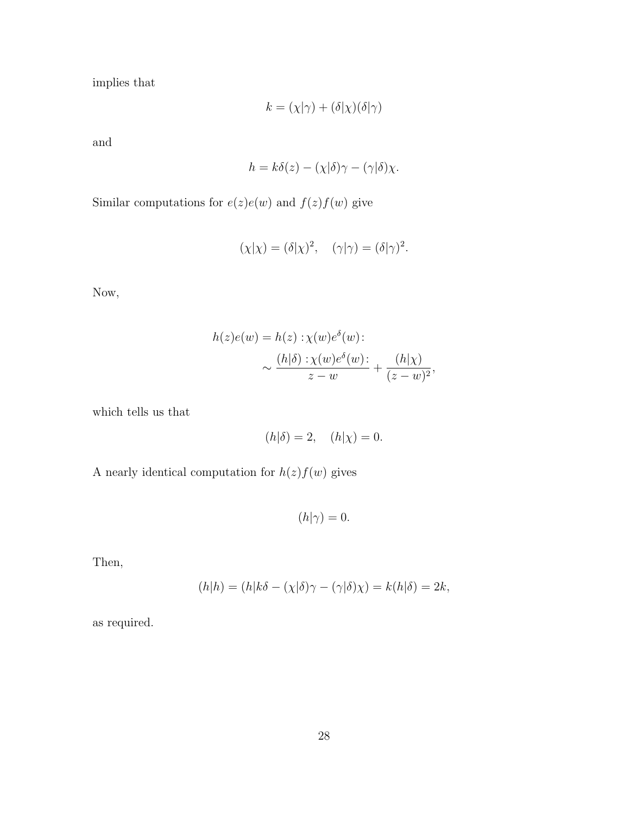implies that

$$
k = (\chi|\gamma) + (\delta|\chi)(\delta|\gamma)
$$

and

$$
h = k\delta(z) - (\chi|\delta)\gamma - (\gamma|\delta)\chi.
$$

Similar computations for  $e(z)e(w)$  and  $f(z)f(w)$  give

$$
(\chi|\chi) = (\delta|\chi)^2, \quad (\gamma|\gamma) = (\delta|\gamma)^2.
$$

Now,

$$
h(z)e(w) = h(z) : \chi(w)e^{\delta}(w):
$$

$$
\sim \frac{(h|\delta) : \chi(w)e^{\delta}(w) :}{z-w} + \frac{(h|\chi)}{(z-w)^2},
$$

which tells us that

$$
(h|\delta) = 2, \quad (h|\chi) = 0.
$$

A nearly identical computation for  $h(z)f(w)$  gives

 $(h|\gamma) = 0.$ 

Then,

$$
(h|h) = (h|k\delta - (\chi|\delta)\gamma - (\gamma|\delta)\chi) = k(h|\delta) = 2k,
$$

as required.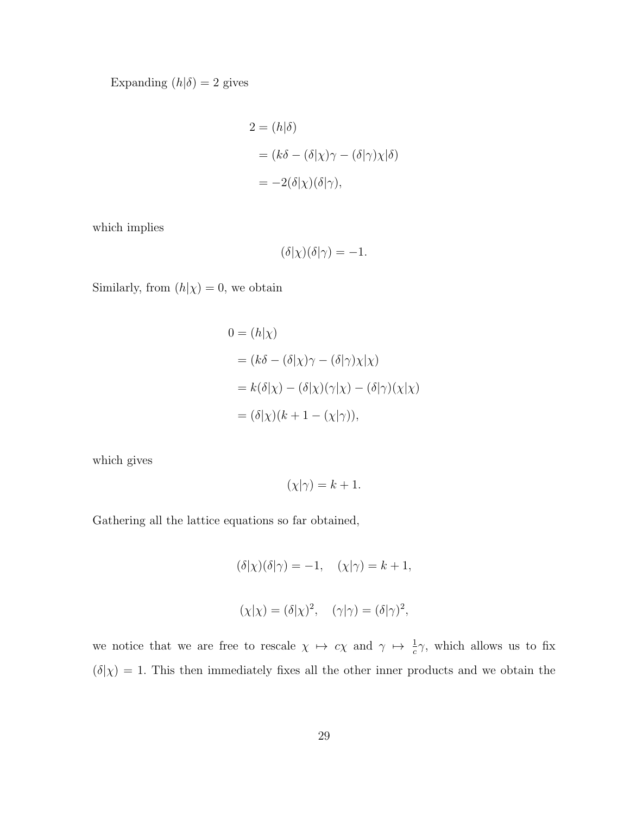Expanding  $(h|\delta) = 2$  gives

$$
2 = (h|\delta)
$$
  
=  $(k\delta - (\delta|\chi)\gamma - (\delta|\gamma)\chi|\delta)$   
=  $-2(\delta|\chi)(\delta|\gamma)$ ,

which implies

$$
(\delta|\chi)(\delta|\gamma) = -1.
$$

Similarly, from  $(h|\chi) = 0$ , we obtain

$$
0 = (h|\chi)
$$
  
=  $(k\delta - (\delta|\chi)\gamma - (\delta|\gamma)\chi|\chi)$   
=  $k(\delta|\chi) - (\delta|\chi)(\gamma|\chi) - (\delta|\gamma)(\chi|\chi)$   
=  $(\delta|\chi)(k + 1 - (\chi|\gamma)),$ 

which gives

$$
(\chi|\gamma) = k + 1.
$$

Gathering all the lattice equations so far obtained,

$$
(\delta|\chi)(\delta|\gamma) = -1, \quad (\chi|\gamma) = k + 1,
$$
  

$$
(\chi|\chi) = (\delta|\chi)^2, \quad (\gamma|\gamma) = (\delta|\gamma)^2,
$$

we notice that we are free to rescale  $\chi \mapsto c\chi$  and  $\gamma \mapsto \frac{1}{c}\gamma$ , which allows us to fix  $(\delta|\chi) = 1$ . This then immediately fixes all the other inner products and we obtain the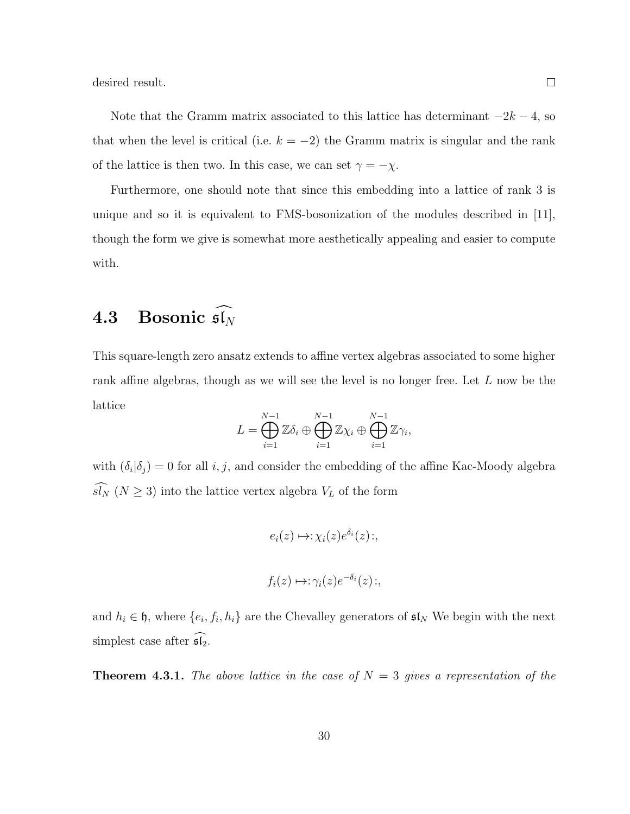desired result.

Note that the Gramm matrix associated to this lattice has determinant  $-2k - 4$ , so that when the level is critical (i.e.  $k = -2$ ) the Gramm matrix is singular and the rank of the lattice is then two. In this case, we can set  $\gamma = -\chi$ .

Furthermore, one should note that since this embedding into a lattice of rank 3 is unique and so it is equivalent to FMS-bosonization of the modules described in [11], though the form we give is somewhat more aesthetically appealing and easier to compute with.

### 4.3 Bosonic  $\widehat{\mathfrak{sl}_N}$

This square-length zero ansatz extends to affine vertex algebras associated to some higher rank affine algebras, though as we will see the level is no longer free. Let L now be the lattice

$$
L = \bigoplus_{i=1}^{N-1} \mathbb{Z} \delta_i \oplus \bigoplus_{i=1}^{N-1} \mathbb{Z} \chi_i \oplus \bigoplus_{i=1}^{N-1} \mathbb{Z} \gamma_i,
$$

with  $(\delta_i|\delta_j)=0$  for all  $i, j$ , and consider the embedding of the affine Kac-Moody algebra  $\widehat{sl_N}$  ( $N \geq 3$ ) into the lattice vertex algebra  $V_L$  of the form

$$
e_i(z) \mapsto \chi_i(z) e^{\delta_i}(z) \, ;
$$

$$
f_i(z) \mapsto \gamma_i(z) e^{-\delta_i}(z) \colon,
$$

and  $h_i \in \mathfrak{h}$ , where  $\{e_i, f_i, h_i\}$  are the Chevalley generators of  $\mathfrak{sl}_N$  We begin with the next simplest case after  $\mathfrak{sl}_2$ .

**Theorem 4.3.1.** The above lattice in the case of  $N = 3$  gives a representation of the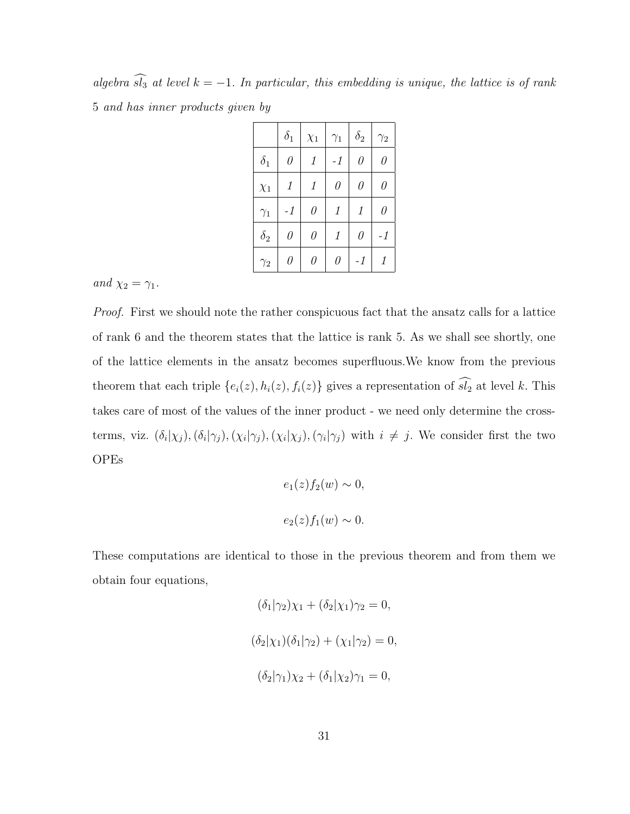algebra  $\widehat{sl}_3$  at level  $k = -1$ . In particular, this embedding is unique, the lattice is of rank 5 and has inner products given by

|            | $\delta_1$ | $\chi_1$ | $\gamma_1$ | $\delta_2$ | $\gamma_2$ |
|------------|------------|----------|------------|------------|------------|
| $\delta_1$ | $\theta$   | $\it 1$  | -1         | $\theta$   | $\theta$   |
| $\chi_1$   | $\it 1$    | $\it 1$  | $\theta$   | $\theta$   | $\theta$   |
| $\gamma_1$ | $-1$       | $\theta$ | $\it 1$    | 1          | $\theta$   |
| $\delta_2$ | $\theta$   | $\theta$ | 1          | $\theta$   | $-1$       |
| $\gamma_2$ | 0          | 0        | 0          | -1         | 1          |

and  $\chi_2 = \gamma_1$ .

Proof. First we should note the rather conspicuous fact that the ansatz calls for a lattice of rank 6 and the theorem states that the lattice is rank 5. As we shall see shortly, one of the lattice elements in the ansatz becomes superfluous.We know from the previous theorem that each triple  $\{e_i(z), h_i(z), f_i(z)\}$  gives a representation of  $\widehat{sl_2}$  at level k. This takes care of most of the values of the inner product - we need only determine the crossterms, viz.  $(\delta_i|\chi_j)$ , $(\delta_i|\gamma_j)$ , $(\chi_i|\gamma_j)$ , $(\chi_i|\chi_j)$ , $(\gamma_i|\gamma_j)$  with  $i \neq j$ . We consider first the two OPEs

$$
e_1(z)f_2(w) \sim 0,
$$
  

$$
e_2(z)f_1(w) \sim 0.
$$

These computations are identical to those in the previous theorem and from them we obtain four equations,

$$
(\delta_1|\gamma_2)\chi_1 + (\delta_2|\chi_1)\gamma_2 = 0,
$$
  

$$
(\delta_2|\chi_1)(\delta_1|\gamma_2) + (\chi_1|\gamma_2) = 0,
$$
  

$$
(\delta_2|\gamma_1)\chi_2 + (\delta_1|\chi_2)\gamma_1 = 0,
$$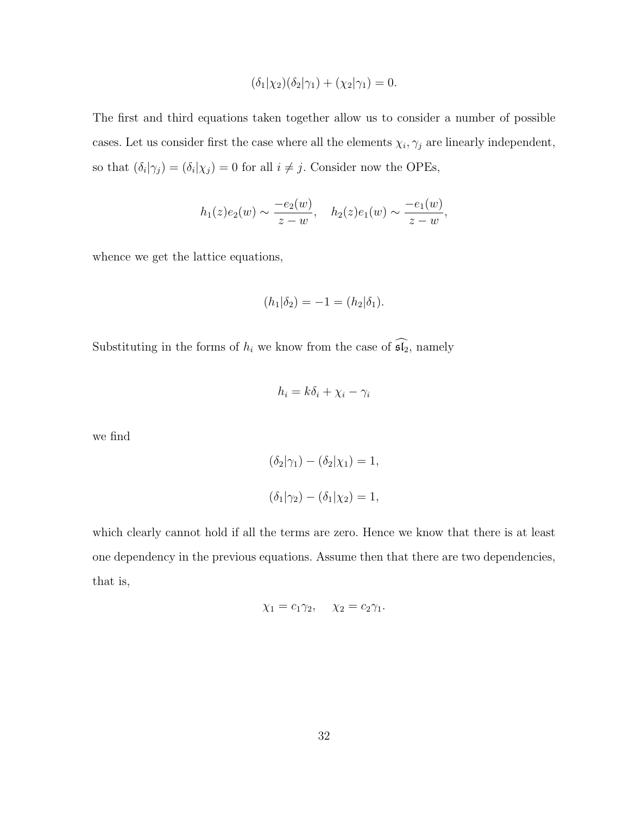$$
(\delta_1|\chi_2)(\delta_2|\gamma_1) + (\chi_2|\gamma_1) = 0.
$$

The first and third equations taken together allow us to consider a number of possible cases. Let us consider first the case where all the elements  $\chi_i, \gamma_j$  are linearly independent, so that  $(\delta_i|\gamma_j) = (\delta_i|\chi_j) = 0$  for all  $i \neq j$ . Consider now the OPEs,

$$
h_1(z)e_2(w) \sim \frac{-e_2(w)}{z-w}, \quad h_2(z)e_1(w) \sim \frac{-e_1(w)}{z-w},
$$

whence we get the lattice equations,

$$
(h_1|\delta_2) = -1 = (h_2|\delta_1).
$$

Substituting in the forms of  $h_i$  we know from the case of  $\widehat{\mathfrak{sl}_2}$ , namely

$$
h_i = k\delta_i + \chi_i - \gamma_i
$$

we find

$$
(\delta_2|\gamma_1) - (\delta_2|\chi_1) = 1,
$$
  

$$
(\delta_1|\gamma_2) - (\delta_1|\chi_2) = 1,
$$

which clearly cannot hold if all the terms are zero. Hence we know that there is at least one dependency in the previous equations. Assume then that there are two dependencies, that is,

$$
\chi_1 = c_1 \gamma_2, \quad \chi_2 = c_2 \gamma_1.
$$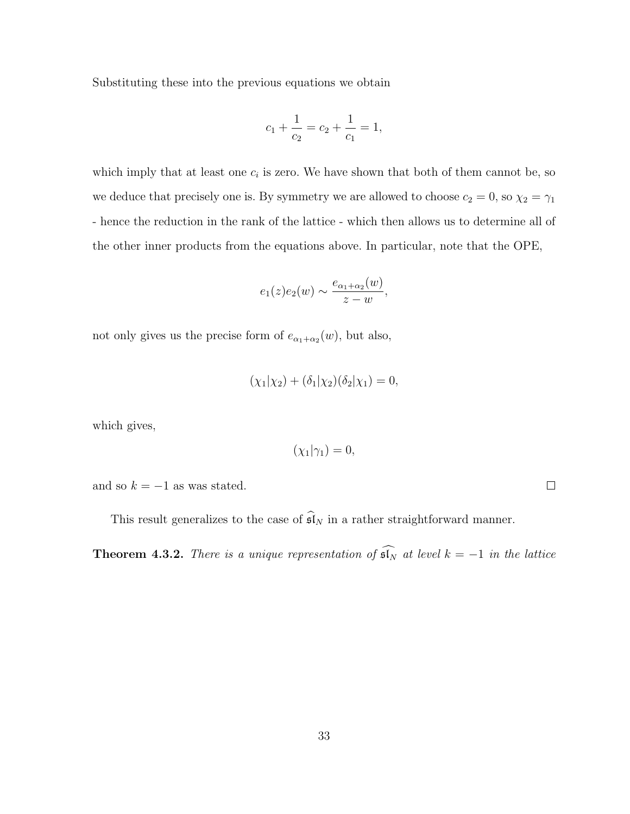Substituting these into the previous equations we obtain

$$
c_1 + \frac{1}{c_2} = c_2 + \frac{1}{c_1} = 1,
$$

which imply that at least one  $c_i$  is zero. We have shown that both of them cannot be, so we deduce that precisely one is. By symmetry we are allowed to choose  $c_2 = 0$ , so  $\chi_2 = \gamma_1$ - hence the reduction in the rank of the lattice - which then allows us to determine all of the other inner products from the equations above. In particular, note that the OPE,

$$
e_1(z)e_2(w) \sim \frac{e_{\alpha_1+\alpha_2}(w)}{z-w},
$$

not only gives us the precise form of  $e_{\alpha_1+\alpha_2}(w)$ , but also,

$$
(\chi_1|\chi_2) + (\delta_1|\chi_2)(\delta_2|\chi_1) = 0,
$$

which gives,

$$
(\chi_1|\gamma_1)=0,
$$

and so  $k = -1$  as was stated.

This result generalizes to the case of  $\widehat{\mathfrak{sl}}_N$  in a rather straightforward manner.

**Theorem 4.3.2.** There is a unique representation of  $\widehat{\mathfrak{sl}_N}$  at level  $k = -1$  in the lattice

 $\Box$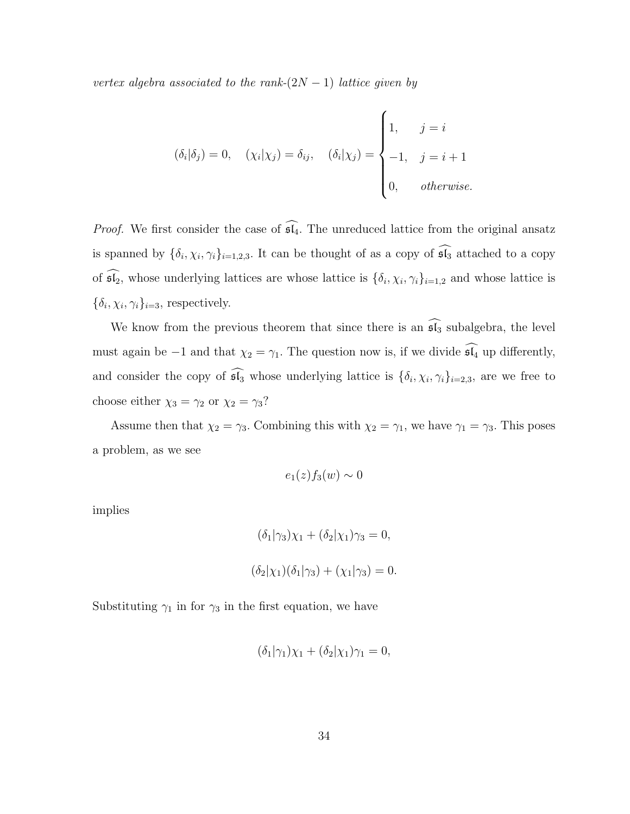vertex algebra associated to the rank- $(2N-1)$  lattice given by

$$
(\delta_i|\delta_j) = 0, \quad (\chi_i|\chi_j) = \delta_{ij}, \quad (\delta_i|\chi_j) = \begin{cases} 1, & j = i \\ -1, & j = i + 1 \\ 0, & otherwise. \end{cases}
$$

*Proof.* We first consider the case of  $\widehat{\mathfrak{sl}_4}$ . The unreduced lattice from the original ansatz is spanned by  $\{\delta_i, \chi_i, \gamma_i\}_{i=1,2,3}$ . It can be thought of as a copy of  $\mathfrak{sl}_3$  attached to a copy of  $\mathfrak{sl}_2$ , whose underlying lattices are whose lattice is  $\{\delta_i, \chi_i, \gamma_i\}_{i=1,2}$  and whose lattice is  $\{\delta_i, \chi_i, \gamma_i\}_{i=3}$ , respectively.

We know from the previous theorem that since there is an  $\widehat{\mathfrak{sl}_3}$  subalgebra, the level must again be −1 and that  $\chi_2 = \gamma_1$ . The question now is, if we divide  $\widehat{\mathfrak{sl}_4}$  up differently, and consider the copy of  $\mathfrak{sl}_3$  whose underlying lattice is  $\{\delta_i, \chi_i, \gamma_i\}_{i=2,3}$ , are we free to choose either  $\chi_3 = \gamma_2$  or  $\chi_2 = \gamma_3$ ?

Assume then that  $\chi_2 = \gamma_3$ . Combining this with  $\chi_2 = \gamma_1$ , we have  $\gamma_1 = \gamma_3$ . This poses a problem, as we see

$$
e_1(z)f_3(w) \sim 0
$$

implies

$$
(\delta_1|\gamma_3)\chi_1 + (\delta_2|\chi_1)\gamma_3 = 0,
$$
  

$$
(\delta_2|\chi_1)(\delta_1|\gamma_3) + (\chi_1|\gamma_3) = 0.
$$

Substituting  $\gamma_1$  in for  $\gamma_3$  in the first equation, we have

$$
(\delta_1|\gamma_1)\chi_1 + (\delta_2|\chi_1)\gamma_1 = 0,
$$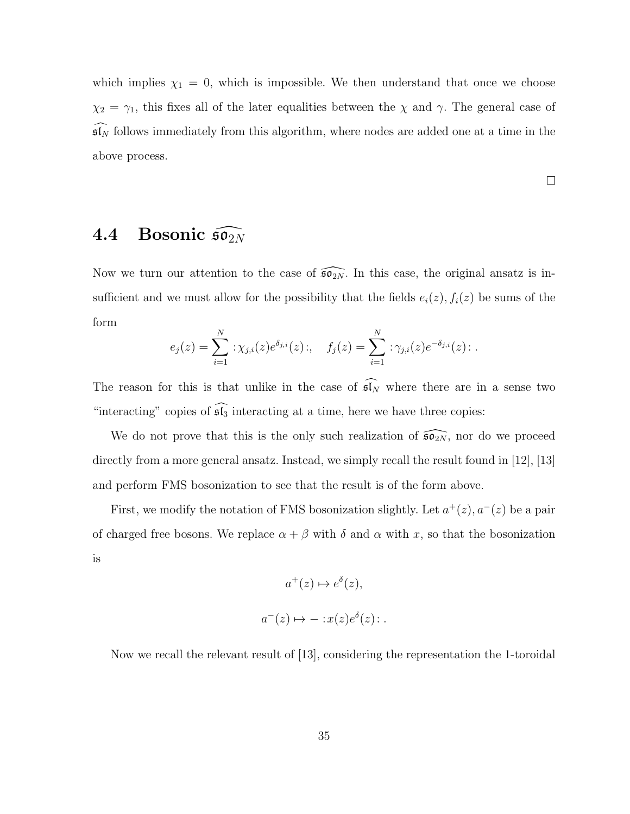which implies  $\chi_1 = 0$ , which is impossible. We then understand that once we choose  $\chi_2 = \gamma_1$ , this fixes all of the later equalities between the  $\chi$  and  $\gamma$ . The general case of  $\mathfrak{sl}_N$  follows immediately from this algorithm, where nodes are added one at a time in the above process.

 $\Box$ 

4.4 Bosonic 
$$
\widehat{\mathfrak{so}_{2N}}
$$

Now we turn our attention to the case of  $\widehat{\mathfrak{so}_{2N}}$ . In this case, the original ansatz is insufficient and we must allow for the possibility that the fields  $e_i(z)$ ,  $f_i(z)$  be sums of the form

$$
e_j(z) = \sum_{i=1}^N : \chi_{j,i}(z)e^{\delta_{j,i}}(z) : , \quad f_j(z) = \sum_{i=1}^N : \gamma_{j,i}(z)e^{-\delta_{j,i}}(z) : .
$$

The reason for this is that unlike in the case of  $\widehat{\mathfrak{sl}_N}$  where there are in a sense two "interacting" copies of  $\widehat{\mathfrak{sl}_3}$  interacting at a time, here we have three copies:

We do not prove that this is the only such realization of  $\widehat{\mathfrak{so}_{2N}}$ , nor do we proceed directly from a more general ansatz. Instead, we simply recall the result found in [12], [13] and perform FMS bosonization to see that the result is of the form above.

First, we modify the notation of FMS bosonization slightly. Let  $a^+(z)$ ,  $a^-(z)$  be a pair of charged free bosons. We replace  $\alpha + \beta$  with  $\delta$  and  $\alpha$  with x, so that the bosonization is

$$
a^+(z) \mapsto e^{\delta}(z),
$$
  

$$
a^-(z) \mapsto -: x(z)e^{\delta}(z):.
$$

Now we recall the relevant result of [13], considering the representation the 1-toroidal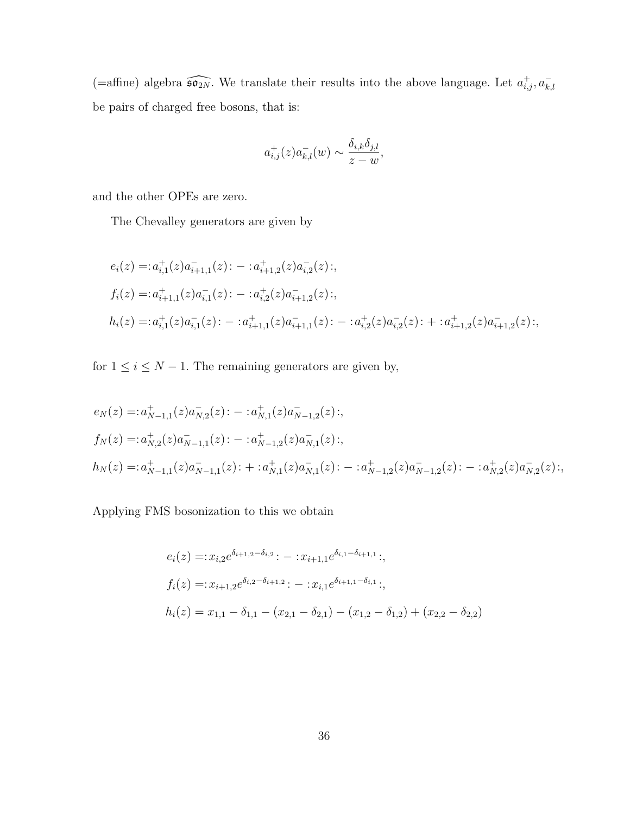(=affine) algebra  $\widehat{\mathfrak{so}_{2N}}$ . We translate their results into the above language. Let  $a^+_{i,j}, a^-_{k,l}$ be pairs of charged free bosons, that is:

$$
a_{i,j}^+(z)a_{k,l}^-(w) \sim \frac{\delta_{i,k}\delta_{j,l}}{z-w},
$$

and the other OPEs are zero.

The Chevalley generators are given by

$$
e_i(z) =: a_{i,1}^+(z)a_{i+1,1}^-(z): -: a_{i+1,2}^+(z)a_{i,2}^-(z):,
$$
  
\n
$$
f_i(z) =: a_{i+1,1}^+(z)a_{i,1}^-(z): -: a_{i,2}^+(z)a_{i+1,2}^-(z):,
$$
  
\n
$$
h_i(z) =: a_{i,1}^+(z)a_{i,1}^-(z): -: a_{i+1,1}^+(z)a_{i+1,1}^-(z): -: a_{i,2}^+(z)a_{i,2}^-(z): +: a_{i+1,2}^+(z)a_{i+1,2}^-(z):,
$$

for  $1 \leq i \leq N-1$ . The remaining generators are given by,

$$
e_N(z) =: a_{N-1,1}^+(z)a_{N,2}^-(z): -: a_{N,1}^+(z)a_{N-1,2}^-(z):,
$$
  
\n
$$
f_N(z) =: a_{N,2}^+(z)a_{N-1,1}^-(z): -: a_{N-1,2}^+(z)a_{N,1}^-(z):,
$$
  
\n
$$
h_N(z) =: a_{N-1,1}^+(z)a_{N-1,1}^-(z): +: a_{N,1}^+(z)a_{N,1}^-(z): -: a_{N-1,2}^+(z)a_{N-1,2}^-(z): -: a_{N,2}^+(z)a_{N,2}^-(z):,
$$

Applying FMS bosonization to this we obtain

$$
e_i(z) =: x_{i,2}e^{\delta_{i+1,2}-\delta_{i,2}}: -: x_{i+1,1}e^{\delta_{i,1}-\delta_{i+1,1}}: ,
$$
  
\n
$$
f_i(z) =: x_{i+1,2}e^{\delta_{i,2}-\delta_{i+1,2}}: -: x_{i,1}e^{\delta_{i+1,1}-\delta_{i,1}}: ,
$$
  
\n
$$
h_i(z) = x_{1,1} - \delta_{1,1} - (x_{2,1} - \delta_{2,1}) - (x_{1,2} - \delta_{1,2}) + (x_{2,2} - \delta_{2,2})
$$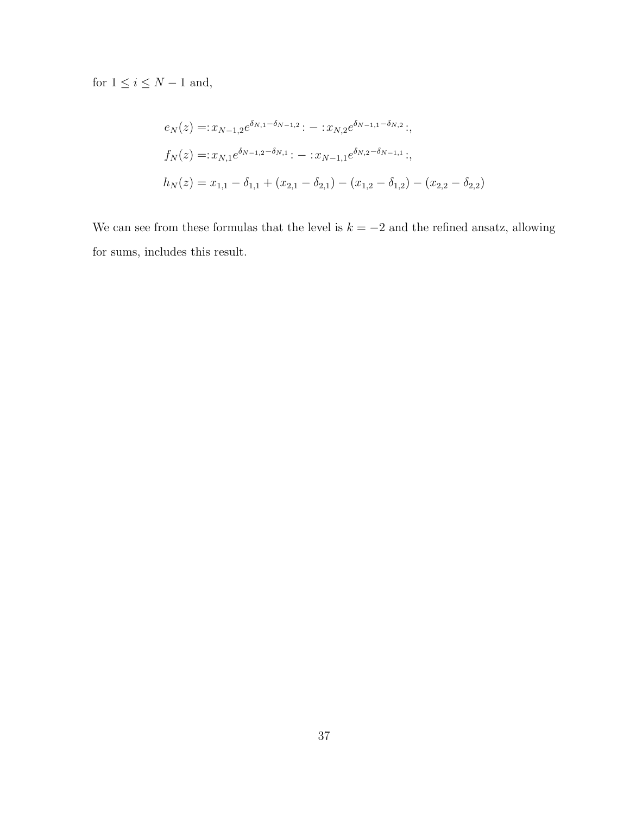for  $1 \leq i \leq N-1$  and,

$$
e_N(z) =: x_{N-1,2}e^{\delta_{N,1}-\delta_{N-1,2}}: -: x_{N,2}e^{\delta_{N-1,1}-\delta_{N,2}}: ,
$$
  
\n
$$
f_N(z) =: x_{N,1}e^{\delta_{N-1,2}-\delta_{N,1}}: -: x_{N-1,1}e^{\delta_{N,2}-\delta_{N-1,1}}: ,
$$
  
\n
$$
h_N(z) = x_{1,1} - \delta_{1,1} + (x_{2,1} - \delta_{2,1}) - (x_{1,2} - \delta_{1,2}) - (x_{2,2} - \delta_{2,2})
$$

We can see from these formulas that the level is  $k = -2$  and the refined ansatz, allowing for sums, includes this result.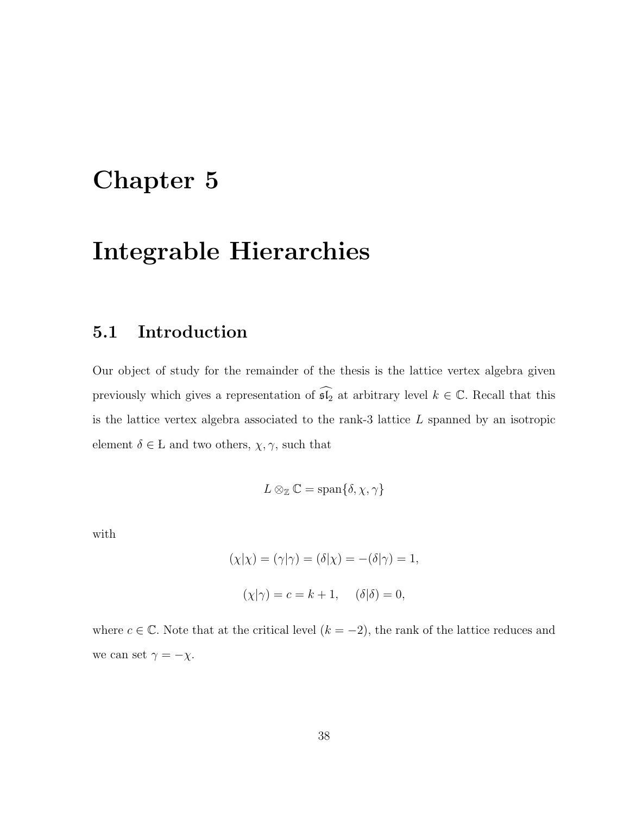# Chapter 5

# Integrable Hierarchies

### 5.1 Introduction

Our object of study for the remainder of the thesis is the lattice vertex algebra given previously which gives a representation of  $\widehat{\mathfrak{sl}_2}$  at arbitrary level  $k \in \mathbb{C}$ . Recall that this is the lattice vertex algebra associated to the rank-3 lattice L spanned by an isotropic element  $\delta \in L$  and two others,  $\chi, \gamma$ , such that

$$
L\otimes_{\mathbb{Z}}\mathbb{C}=\mathrm{span}\{\delta,\chi,\gamma\}
$$

with

$$
(\chi|\chi) = (\gamma|\gamma) = (\delta|\chi) = -(\delta|\gamma) = 1,
$$
  

$$
(\chi|\gamma) = c = k + 1, \quad (\delta|\delta) = 0,
$$

where  $c \in \mathbb{C}$ . Note that at the critical level  $(k = -2)$ , the rank of the lattice reduces and we can set  $\gamma=-\chi.$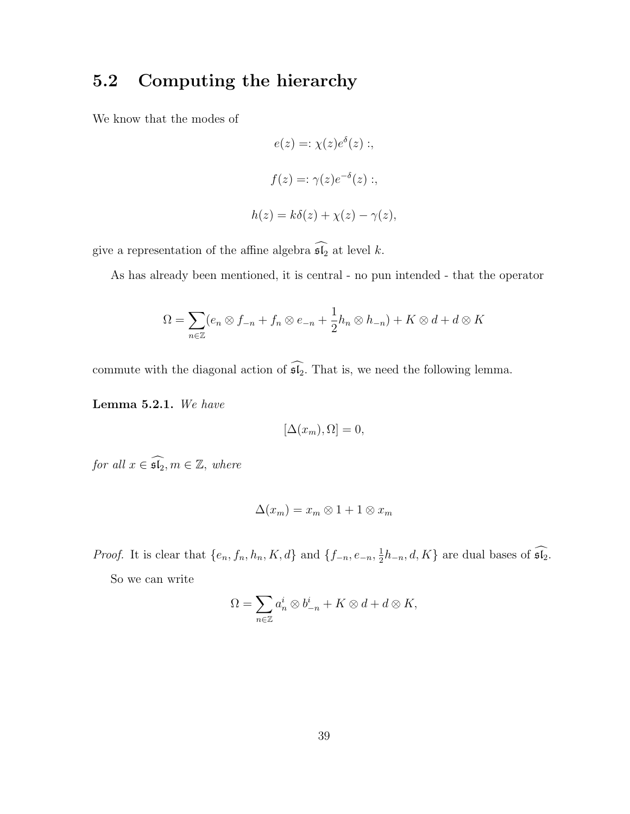### 5.2 Computing the hierarchy

We know that the modes of

$$
e(z) =: \chi(z)e^{\delta}(z) ;
$$

$$
f(z) =: \gamma(z)e^{-\delta}(z) ;
$$

$$
h(z) = k\delta(z) + \chi(z) - \gamma(z),
$$

give a representation of the affine algebra  $\widehat{\mathfrak{sl}_2}$  at level  $k.$ 

As has already been mentioned, it is central - no pun intended - that the operator

$$
\Omega = \sum_{n \in \mathbb{Z}} (e_n \otimes f_{-n} + f_n \otimes e_{-n} + \frac{1}{2} h_n \otimes h_{-n}) + K \otimes d + d \otimes K
$$

commute with the diagonal action of  $\widehat{\mathfrak{sl}_2}$ . That is, we need the following lemma.

Lemma 5.2.1. We have

$$
[\Delta(x_m), \Omega] = 0,
$$

for all  $x \in \widehat{\mathfrak{sl}_2}, m \in \mathbb{Z}$ , where

$$
\Delta(x_m) = x_m \otimes 1 + 1 \otimes x_m
$$

*Proof.* It is clear that  $\{e_n, f_n, h_n, K, d\}$  and  $\{f_{-n}, e_{-n}, \frac{1}{2}\}$  $\frac{1}{2}h_{-n}, d, K$ } are dual bases of  $\mathfrak{sl}_2$ .

So we can write

$$
\Omega = \sum_{n \in \mathbb{Z}} a_n^i \otimes b_{-n}^i + K \otimes d + d \otimes K,
$$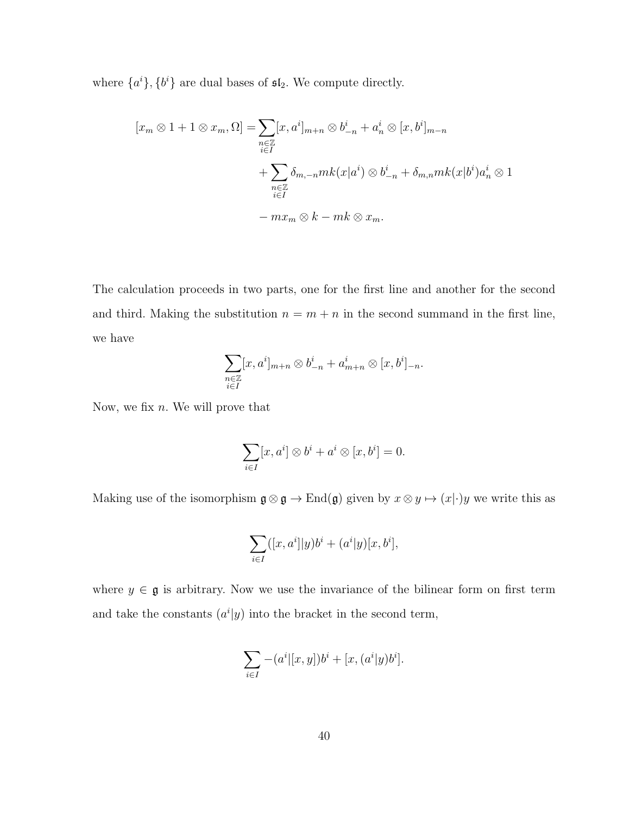where  $\{a^i\}, \{b^i\}$  are dual bases of  $\mathfrak{sl}_2$ . We compute directly.

$$
[x_m \otimes 1 + 1 \otimes x_m, \Omega] = \sum_{\substack{n \in \mathbb{Z} \\ i \in I}} [x, a^i]_{m+n} \otimes b_{-n}^i + a_n^i \otimes [x, b^i]_{m-n}
$$

$$
+ \sum_{\substack{n \in \mathbb{Z} \\ i \in I}} \delta_{m,-n} mk(x|a^i) \otimes b_{-n}^i + \delta_{m,n} mk(x|b^i) a_n^i \otimes 1
$$

$$
- mx_m \otimes k - mk \otimes x_m.
$$

The calculation proceeds in two parts, one for the first line and another for the second and third. Making the substitution  $n = m + n$  in the second summand in the first line, we have

$$
\sum_{\substack{n\in\mathbb{Z}\\i\in I}}[x,a^i]_{m+n}\otimes b^i_{-n}+a^i_{m+n}\otimes [x,b^i]_{-n}.
$$

Now, we fix  $n$ . We will prove that

$$
\sum_{i\in I} [x, a^i] \otimes b^i + a^i \otimes [x, b^i] = 0.
$$

Making use of the isomorphism  $\mathfrak{g} \otimes \mathfrak{g} \to \text{End}(\mathfrak{g})$  given by  $x \otimes y \mapsto (x|\cdot)y$  we write this as

$$
\sum_{i\in I}([x,a^i]|y)b^i + (a^i|y)[x,b^i],
$$

where  $y \in \mathfrak{g}$  is arbitrary. Now we use the invariance of the bilinear form on first term and take the constants  $(a^{i}|y)$  into the bracket in the second term,

$$
\sum_{i \in I} -(a^i|[x, y])b^i + [x, (a^i|y)b^i].
$$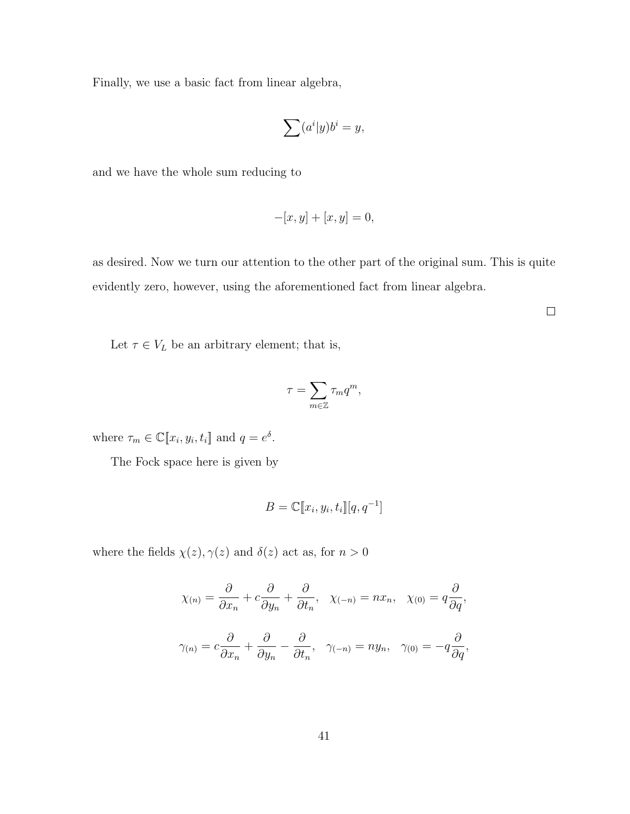Finally, we use a basic fact from linear algebra,

$$
\sum (a^i|y)b^i = y,
$$

and we have the whole sum reducing to

$$
-[x, y] + [x, y] = 0,
$$

as desired. Now we turn our attention to the other part of the original sum. This is quite evidently zero, however, using the aforementioned fact from linear algebra.

 $\Box$ 

Let  $\tau \in V_L$  be an arbitrary element; that is,

$$
\tau = \sum_{m \in \mathbb{Z}} \tau_m q^m,
$$

where  $\tau_m \in \mathbb{C}[\![x_i, y_i, t_i]\!]$  and  $q = e^{\delta}$ .

The Fock space here is given by

$$
B = \mathbb{C}[\![x_i, y_i, t_i]\!][q, q^{-1}]
$$

where the fields  $\chi(z), \gamma(z)$  and  $\delta(z)$  act as, for  $n>0$ 

$$
\chi_{(n)} = \frac{\partial}{\partial x_n} + c \frac{\partial}{\partial y_n} + \frac{\partial}{\partial t_n}, \quad \chi_{(-n)} = nx_n, \quad \chi_{(0)} = q \frac{\partial}{\partial q},
$$

$$
\gamma_{(n)} = c \frac{\partial}{\partial x_n} + \frac{\partial}{\partial y_n} - \frac{\partial}{\partial t_n}, \quad \gamma_{(-n)} = ny_n, \quad \gamma_{(0)} = -q \frac{\partial}{\partial q},
$$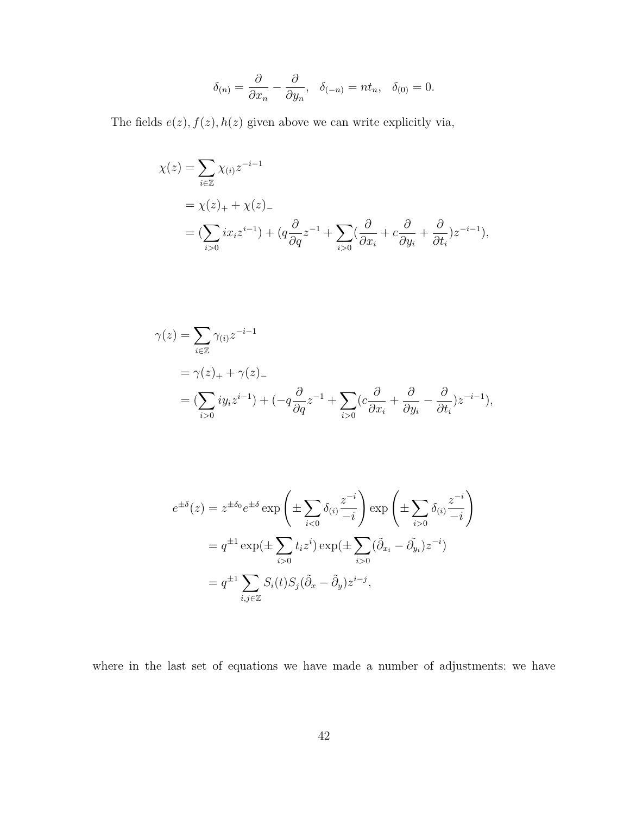$$
\delta_{(n)} = \frac{\partial}{\partial x_n} - \frac{\partial}{\partial y_n}, \quad \delta_{(-n)} = nt_n, \quad \delta_{(0)} = 0.
$$

The fields  $e(z)$ ,  $f(z)$ ,  $h(z)$  given above we can write explicitly via,

$$
\chi(z) = \sum_{i \in \mathbb{Z}} \chi_{(i)} z^{-i-1}
$$
  
=  $\chi(z)_+ + \chi(z)_-$   
=  $(\sum_{i>0} ix_i z^{i-1}) + (q \frac{\partial}{\partial q} z^{-1} + \sum_{i>0} (\frac{\partial}{\partial x_i} + c \frac{\partial}{\partial y_i} + \frac{\partial}{\partial t_i}) z^{-i-1}),$ 

$$
\gamma(z) = \sum_{i \in \mathbb{Z}} \gamma_{(i)} z^{-i-1}
$$
  
=  $\gamma(z)_+ + \gamma(z)_-$   
=  $(\sum_{i>0} iy_i z^{i-1}) + (-q \frac{\partial}{\partial q} z^{-1} + \sum_{i>0} (c \frac{\partial}{\partial x_i} + \frac{\partial}{\partial y_i} - \frac{\partial}{\partial t_i}) z^{-i-1}),$ 

$$
e^{\pm\delta}(z) = z^{\pm\delta_0} e^{\pm\delta} \exp\left(\pm \sum_{i<0} \delta_{(i)} \frac{z^{-i}}{-i}\right) \exp\left(\pm \sum_{i>0} \delta_{(i)} \frac{z^{-i}}{-i}\right)
$$

$$
= q^{\pm 1} \exp(\pm \sum_{i>0} t_i z^i) \exp(\pm \sum_{i>0} (\tilde{\partial}_{x_i} - \tilde{\partial}_{y_i}) z^{-i})
$$

$$
= q^{\pm 1} \sum_{i,j\in\mathbb{Z}} S_i(t) S_j (\tilde{\partial}_x - \tilde{\partial}_y) z^{i-j},
$$

where in the last set of equations we have made a number of adjustments: we have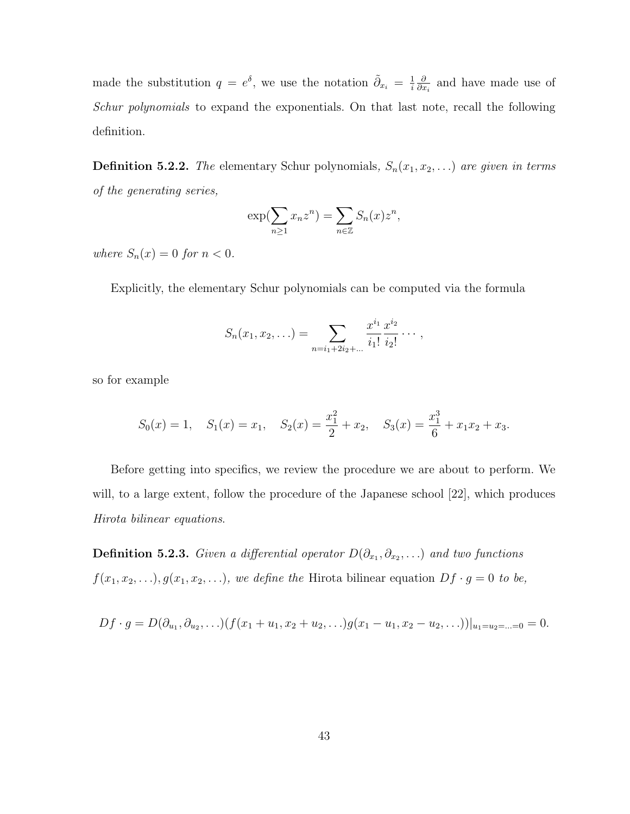made the substitution  $q = e^{\delta}$ , we use the notation  $\tilde{\partial}_{x_i} = \frac{1}{i}$ i ∂  $\frac{\partial}{\partial x_i}$  and have made use of Schur polynomials to expand the exponentials. On that last note, recall the following definition.

**Definition 5.2.2.** The elementary Schur polynomials,  $S_n(x_1, x_2, ...)$  are given in terms of the generating series,

$$
\exp(\sum_{n\geq 1} x_n z^n) = \sum_{n\in \mathbb{Z}} S_n(x) z^n,
$$

where  $S_n(x) = 0$  for  $n < 0$ .

Explicitly, the elementary Schur polynomials can be computed via the formula

$$
S_n(x_1, x_2, \ldots) = \sum_{n=i_1+2i_2+\ldots} \frac{x^{i_1}}{i_1!} \frac{x^{i_2}}{i_2!} \cdots,
$$

so for example

$$
S_0(x) = 1
$$
,  $S_1(x) = x_1$ ,  $S_2(x) = \frac{x_1^2}{2} + x_2$ ,  $S_3(x) = \frac{x_1^3}{6} + x_1x_2 + x_3$ .

Before getting into specifics, we review the procedure we are about to perform. We will, to a large extent, follow the procedure of the Japanese school [22], which produces Hirota bilinear equations.

**Definition 5.2.3.** Given a differential operator  $D(\partial_{x_1}, \partial_{x_2}, ...)$  and two functions  $f(x_1, x_2, \ldots), g(x_1, x_2, \ldots),$  we define the Hirota bilinear equation  $Df \cdot g = 0$  to be,

$$
Df \cdot g = D(\partial_{u_1}, \partial_{u_2}, \ldots) (f(x_1 + u_1, x_2 + u_2, \ldots) g(x_1 - u_1, x_2 - u_2, \ldots))|_{u_1 = u_2 = \ldots = 0} = 0.
$$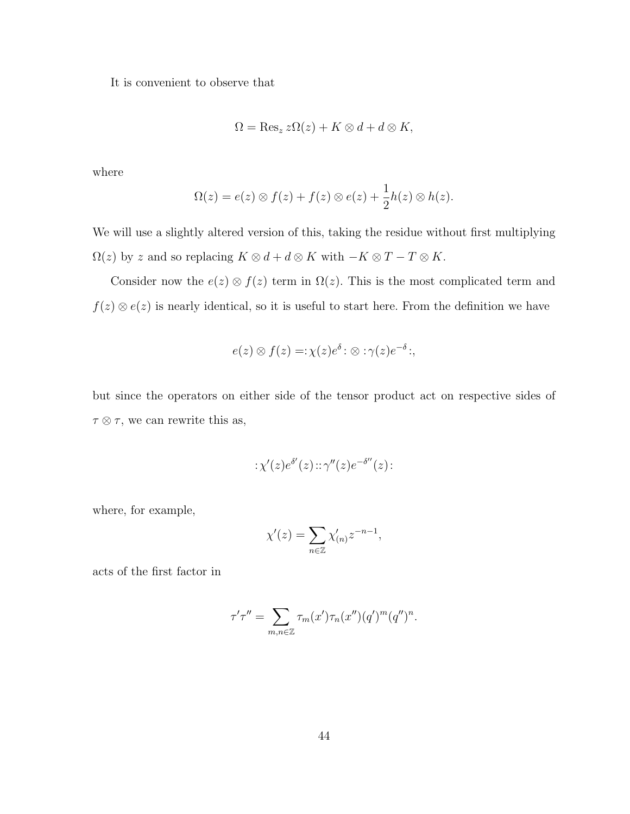It is convenient to observe that

$$
\Omega = \text{Res}_z \, z\Omega(z) + K \otimes d + d \otimes K,
$$

where

$$
\Omega(z) = e(z) \otimes f(z) + f(z) \otimes e(z) + \frac{1}{2}h(z) \otimes h(z).
$$

We will use a slightly altered version of this, taking the residue without first multiplying  $\Omega(z)$  by z and so replacing  $K \otimes d + d \otimes K$  with  $-K \otimes T - T \otimes K$ .

Consider now the  $e(z) \otimes f(z)$  term in  $\Omega(z)$ . This is the most complicated term and  $f(z) \otimes e(z)$  is nearly identical, so it is useful to start here. From the definition we have

$$
e(z) \otimes f(z) =: \chi(z)e^{\delta} : \otimes : \gamma(z)e^{-\delta} ;
$$

but since the operators on either side of the tensor product act on respective sides of  $\tau \otimes \tau$ , we can rewrite this as,

$$
:\chi'(z)e^{\delta'}(z):\varphi''(z)e^{-\delta''}(z):
$$

where, for example,

$$
\chi'(z) = \sum_{n \in \mathbb{Z}} \chi'_{(n)} z^{-n-1},
$$

acts of the first factor in

$$
\tau'\tau'' = \sum_{m,n\in\mathbb{Z}} \tau_m(x')\tau_n(x'')(q')^m(q'')^n.
$$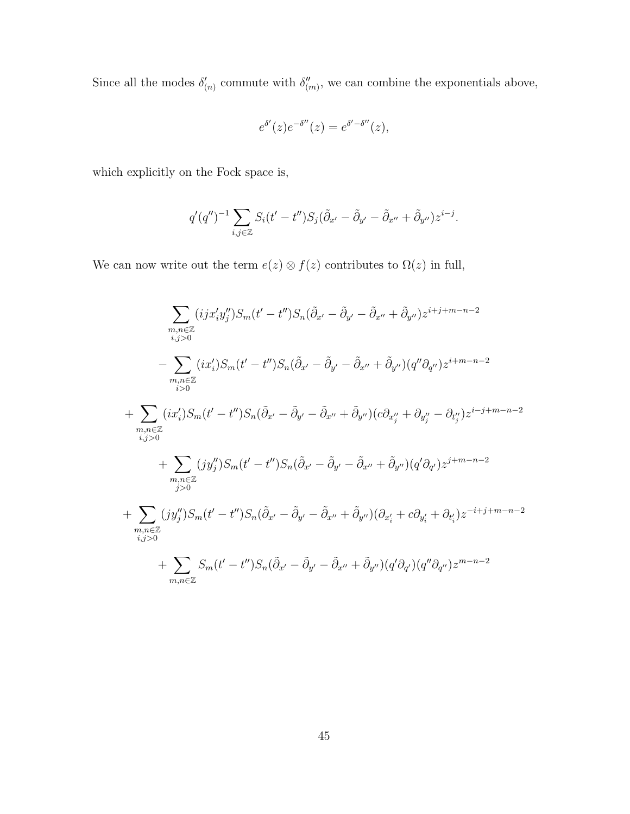Since all the modes  $\delta'_{(n)}$  commute with  $\delta''_{(m)}$ , we can combine the exponentials above,

$$
e^{\delta'}(z)e^{-\delta''}(z) = e^{\delta'-\delta''}(z),
$$

which explicitly on the Fock space is,

$$
q'(q'')^{-1} \sum_{i,j \in \mathbb{Z}} S_i(t'-t'') S_j(\tilde{\partial}_{x'} - \tilde{\partial}_{y'} - \tilde{\partial}_{x''} + \tilde{\partial}_{y''}) z^{i-j}.
$$

We can now write out the term  $e(z) \otimes f(z)$  contributes to  $\Omega(z)$  in full,

$$
\sum_{\substack{m,n\in\mathbb{Z}\\i,j>0}}(ijx_{i}'y_{j}'')S_{m}(t'-t'')S_{n}(\tilde{\partial}_{x'}-\tilde{\partial}_{y'}-\tilde{\partial}_{x''}+\tilde{\partial}_{y''})z^{i+j+m-n-2}
$$
\n
$$
-\sum_{\substack{m,n\in\mathbb{Z}\\i>0}}(ix_{i}')S_{m}(t'-t'')S_{n}(\tilde{\partial}_{x'}-\tilde{\partial}_{y'}-\tilde{\partial}_{x''}+\tilde{\partial}_{y''})(q''\partial_{q''})z^{i+m-n-2}
$$
\n
$$
+\sum_{\substack{m,n\in\mathbb{Z}\\i,j>0}}(ix_{i}')S_{m}(t'-t'')S_{n}(\tilde{\partial}_{x'}-\tilde{\partial}_{y'}-\tilde{\partial}_{x''}+\tilde{\partial}_{y''})(c\partial_{x''_{j}}+\partial_{y''_{j}}-\partial_{t''_{j}})z^{i-j+m-n-2}
$$
\n
$$
+\sum_{\substack{m,n\in\mathbb{Z}\\j>0}}(jy_{j}'')S_{m}(t'-t'')S_{n}(\tilde{\partial}_{x'}-\tilde{\partial}_{y'}-\tilde{\partial}_{x''}+\tilde{\partial}_{y''})(q'\partial_{q'})z^{j+m-n-2}
$$
\n
$$
+\sum_{\substack{m,n\in\mathbb{Z}\\i,j>0}}(jy_{j}'')S_{m}(t'-t'')S_{n}(\tilde{\partial}_{x'}-\tilde{\partial}_{y'}-\tilde{\partial}_{x''}+\tilde{\partial}_{y''})(\partial_{x'_{i}}+c\partial_{y'_{i}}+\partial_{t'_{i}})z^{-i+j+m-n-2}
$$
\n
$$
+\sum_{m,n\in\mathbb{Z}}S_{m}(t'-t'')S_{n}(\tilde{\partial}_{x'}-\tilde{\partial}_{y'}-\tilde{\partial}_{x''}+\tilde{\partial}_{y''})(q'\partial_{q'})(q''\partial_{q''})z^{m-n-2}
$$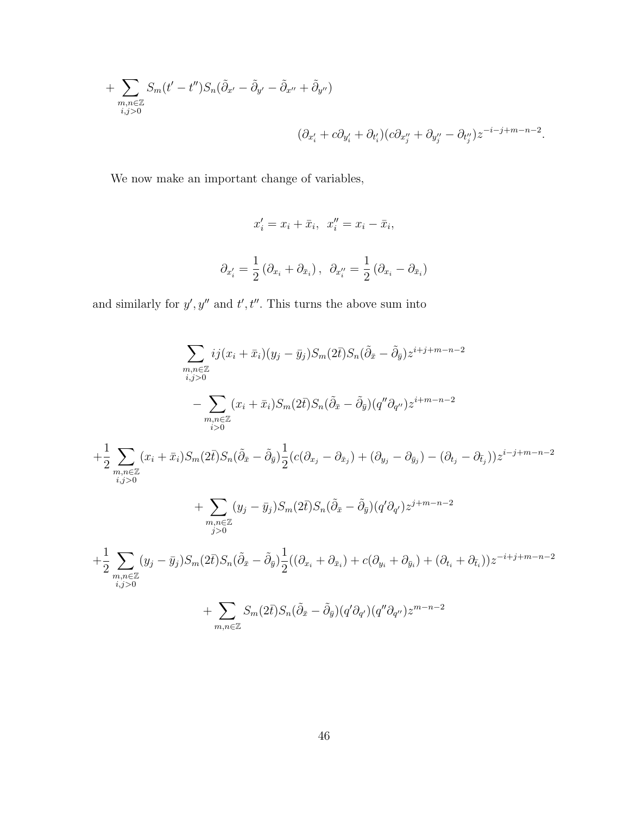+ 
$$
\sum_{\substack{m,n \in \mathbb{Z} \\ i,j>0}} S_m(t'-t'')S_n(\tilde{\partial}_{x'} - \tilde{\partial}_{y'} - \tilde{\partial}_{x''} + \tilde{\partial}_{y''})
$$
  

$$
(\partial_{x'_i} + c\partial_{y'_i} + \partial_{t'_i})(c\partial_{x''_j} + \partial_{y''_j} - \partial_{t''_j})z^{-i-j+m-n-2}.
$$

We now make an important change of variables,

$$
x'_i = x_i + \bar{x}_i, \quad x''_i = x_i - \bar{x}_i,
$$
  

$$
\partial_{x'_i} = \frac{1}{2} (\partial_{x_i} + \partial_{\bar{x}_i}), \quad \partial_{x''_i} = \frac{1}{2} (\partial_{x_i} - \partial_{\bar{x}_i})
$$

and similarly for  $y', y''$  and  $t', t''$ . This turns the above sum into

$$
\sum_{\substack{m,n\in\mathbb{Z}\\i,j>0}} ij(x_i + \bar{x}_i)(y_j - \bar{y}_j)S_m(2\bar{t})S_n(\tilde{\partial}_{\bar{x}} - \tilde{\partial}_{\bar{y}})z^{i+j+m-n-2}
$$
\n
$$
- \sum_{\substack{m,n\in\mathbb{Z}\\i,j>0}} (x_i + \bar{x}_i)S_m(2\bar{t})S_n(\tilde{\partial}_{\bar{x}} - \tilde{\partial}_{\bar{y}})(q''\partial_{q''})z^{i+m-n-2}
$$
\n
$$
+ \frac{1}{2} \sum_{\substack{m,n\in\mathbb{Z}\\i,j>0}} (x_i + \bar{x}_i)S_m(2\bar{t})S_n(\tilde{\partial}_{\bar{x}} - \tilde{\partial}_{\bar{y}})\frac{1}{2}(c(\partial_{x_j} - \partial_{\bar{x}_j}) + (\partial_{y_j} - \partial_{\bar{y}_j}) - (\partial_{t_j} - \partial_{\bar{t}_j}))z^{i-j+m-n-2}
$$
\n
$$
+ \sum_{\substack{m,n\in\mathbb{Z}\\j>0}} (y_j - \bar{y}_j)S_m(2\bar{t})S_n(\tilde{\partial}_{\bar{x}} - \tilde{\partial}_{\bar{y}})\frac{1}{2}((\partial_{x_i} + \partial_{\bar{x}_i}) + c(\partial_{y_i} + \partial_{\bar{y}_i}) + (\partial_{t_i} + \partial_{\bar{t}_i}))z^{-i+j+m-n-2}
$$
\n
$$
+ \sum_{\substack{m,n\in\mathbb{Z}\\i,j>0}} (y_j - \bar{y}_j)S_m(2\bar{t})S_n(\tilde{\partial}_{\bar{x}} - \tilde{\partial}_{\bar{y}})\frac{1}{2}((\partial_{x_i} + \partial_{\bar{x}_i}) + c(\partial_{y_i} + \partial_{\bar{y}_i}) + (\partial_{t_i} + \partial_{\bar{t}_i}))z^{-i+j+m-n-2}
$$
\n
$$
+ \sum_{m,n\in\mathbb{Z}} S_m(2\bar{t})S_n(\tilde{\partial}_{\bar{x}} - \tilde{\partial}_{\bar{y}})(q'\partial_{q'})(q''\partial_{q''})z^{m-n-2}
$$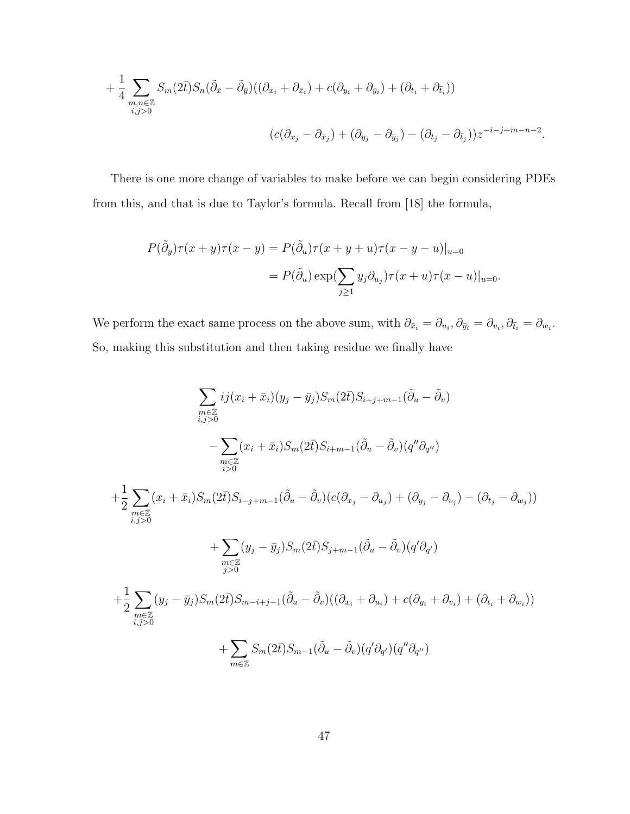+ 
$$
\frac{1}{4} \sum_{\substack{m,n \in \mathbb{Z} \\ i,j>0}} S_m(2\bar{t}) S_n(\tilde{\partial}_{\bar{x}} - \tilde{\partial}_{\bar{y}})((\partial_{x_i} + \partial_{\bar{x}_i}) + c(\partial_{y_i} + \partial_{\bar{y}_i}) + (\partial_{t_i} + \partial_{\bar{t}_i}))
$$
  

$$
(c(\partial_{x_j} - \partial_{\bar{x}_j}) + (\partial_{y_j} - \partial_{\bar{y}_j}) - (\partial_{t_j} - \partial_{\bar{t}_j}))z^{-i-j+m-n-2}.
$$

There is one more change of variables to make before we can begin considering PDEs from this, and that is due to Taylor's formula. Recall from [18] the formula,

$$
P(\tilde{\partial}_y)\tau(x+y)\tau(x-y) = P(\tilde{\partial}_u)\tau(x+y+u)\tau(x-y-u)|_{u=0}
$$

$$
= P(\tilde{\partial}_u)\exp(\sum_{j\geq 1} y_j\partial_{u_j})\tau(x+u)\tau(x-u)|_{u=0}.
$$

We perform the exact same process on the above sum, with  $\partial_{\bar{x}_i} = \partial_{u_i}, \partial_{\bar{y}_i} = \partial_{v_i}, \partial_{\bar{t}_i} = \partial_{w_i}$ . So, making this substitution and then taking residue we finally have

$$
\sum_{\substack{m\in\mathbb{Z}\\i,j>0}} ij(x_i + \bar{x}_i)(y_j - \bar{y}_j)S_m(2\bar{t})S_{i+j+m-1}(\tilde{\partial}_u - \tilde{\partial}_v)
$$
\n
$$
- \sum_{\substack{m\in\mathbb{Z}\\i,j>0}} (x_i + \bar{x}_i)S_m(2\bar{t})S_{i+m-1}(\tilde{\partial}_u - \tilde{\partial}_v)(q''\partial_{q''})
$$
\n
$$
+ \frac{1}{2} \sum_{\substack{m\in\mathbb{Z}\\i,j>0}} (x_i + \bar{x}_i)S_m(2\bar{t})S_{i-j+m-1}(\tilde{\partial}_u - \tilde{\partial}_v)(c(\partial_{x_j} - \partial_{u_j}) + (\partial_{y_j} - \partial_{v_j}) - (\partial_{t_j} - \partial_{w_j}))
$$
\n
$$
+ \sum_{\substack{m\in\mathbb{Z}\\j>0}} (y_j - \bar{y}_j)S_m(2\bar{t})S_{j+m-1}(\tilde{\partial}_u - \tilde{\partial}_v)(q'\partial_{q'})
$$
\n
$$
+ \frac{1}{2} \sum_{\substack{m\in\mathbb{Z}\\i,j>0}} (y_j - \bar{y}_j)S_m(2\bar{t})S_{m-i+j-1}(\tilde{\partial}_u - \tilde{\partial}_v)((\partial_{x_i} + \partial_{u_i}) + c(\partial_{y_i} + \partial_{v_i}) + (\partial_{t_i} + \partial_{w_i}))
$$
\n
$$
+ \sum_{m\in\mathbb{Z}} S_m(2\bar{t})S_{m-1}(\tilde{\partial}_u - \tilde{\partial}_v)(q'\partial_{q'})(q''\partial_{q''})
$$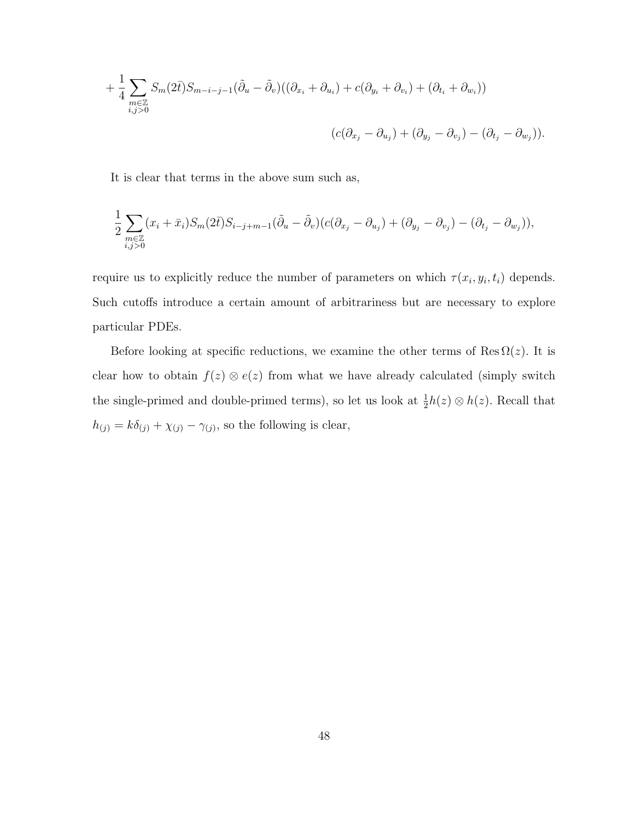+ 
$$
\frac{1}{4} \sum_{\substack{m \in \mathbb{Z} \\ i,j>0}} S_m(2\bar{t}) S_{m-i-j-1}(\tilde{\partial}_u - \tilde{\partial}_v) ((\partial_{x_i} + \partial_{u_i}) + c(\partial_{y_i} + \partial_{v_i}) + (\partial_{t_i} + \partial_{w_i}))
$$
  

$$
(c(\partial_{x_j} - \partial_{u_j}) + (\partial_{y_j} - \partial_{v_j}) - (\partial_{t_j} - \partial_{w_j})).
$$

It is clear that terms in the above sum such as,

$$
\frac{1}{2}\sum_{\substack{m\in\mathbb{Z}\\i,j>0}}(x_i+\bar{x}_i)S_m(2\bar{t})S_{i-j+m-1}(\tilde{\partial}_u-\tilde{\partial}_v)(c(\partial_{x_j}-\partial_{u_j})+(\partial_{y_j}-\partial_{v_j})-(\partial_{t_j}-\partial_{w_j})),
$$

require us to explicitly reduce the number of parameters on which  $\tau(x_i, y_i, t_i)$  depends. Such cutoffs introduce a certain amount of arbitrariness but are necessary to explore particular PDEs.

Before looking at specific reductions, we examine the other terms of Res  $\Omega(z)$ . It is clear how to obtain  $f(z) \otimes e(z)$  from what we have already calculated (simply switch the single-primed and double-primed terms), so let us look at  $\frac{1}{2}h(z) \otimes h(z)$ . Recall that  $h_{(j)} = k\delta_{(j)} + \chi_{(j)} - \gamma_{(j)}$ , so the following is clear,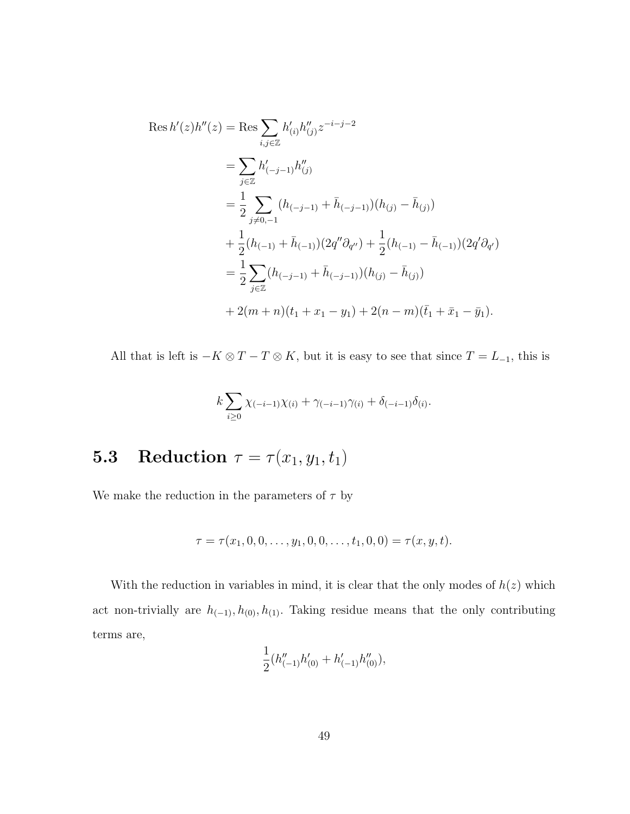$$
\operatorname{Res} h'(z)h''(z) = \operatorname{Res} \sum_{i,j \in \mathbb{Z}} h'_{(i)}h''_{(j)} z^{-i-j-2}
$$
  
\n
$$
= \sum_{j \in \mathbb{Z}} h'_{(-j-1)}h''_{(j)}
$$
  
\n
$$
= \frac{1}{2} \sum_{j \neq 0,-1} (h_{(-j-1)} + \bar{h}_{(-j-1)})(h_{(j)} - \bar{h}_{(j)})
$$
  
\n
$$
+ \frac{1}{2} (h_{(-1)} + \bar{h}_{(-1)}) (2q'' \partial_{q''}) + \frac{1}{2} (h_{(-1)} - \bar{h}_{(-1)}) (2q' \partial_{q'})
$$
  
\n
$$
= \frac{1}{2} \sum_{j \in \mathbb{Z}} (h_{(-j-1)} + \bar{h}_{(-j-1)}) (h_{(j)} - \bar{h}_{(j)})
$$
  
\n
$$
+ 2(m+n)(t_1 + x_1 - y_1) + 2(n-m)(\bar{t}_1 + \bar{x}_1 - \bar{y}_1).
$$

All that is left is  $-K \otimes T - T \otimes K$ , but it is easy to see that since  $T = L_{-1}$ , this is

$$
k \sum_{i \geq 0} \chi_{(-i-1)} \chi_{(i)} + \gamma_{(-i-1)} \gamma_{(i)} + \delta_{(-i-1)} \delta_{(i)}.
$$

### **5.3** Reduction  $\tau = \tau(x_1, y_1, t_1)$

We make the reduction in the parameters of  $\tau$  by

$$
\tau = \tau(x_1, 0, 0, \dots, y_1, 0, 0, \dots, t_1, 0, 0) = \tau(x, y, t).
$$

With the reduction in variables in mind, it is clear that the only modes of  $h(z)$  which act non-trivially are  $h_{(-1)}, h_{(0)}, h_{(1)}$ . Taking residue means that the only contributing terms are,

$$
\frac{1}{2}\big(h''_{(-1)}h'_{(0)}+h'_{(-1)}h''_{(0)}\big),
$$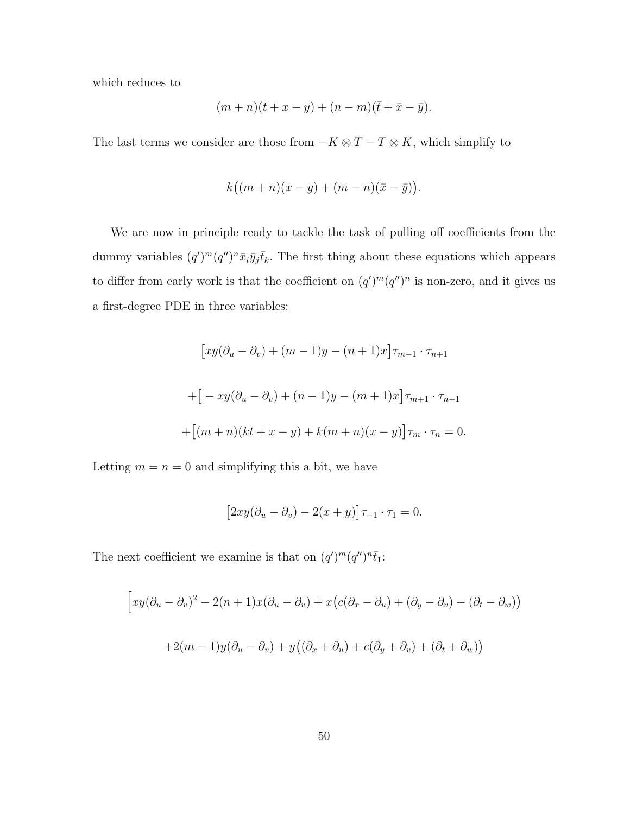which reduces to

$$
(m+n)(t+x-y) + (n-m)(\bar{t}+\bar{x}-\bar{y}).
$$

The last terms we consider are those from  $-K \otimes T - T \otimes K$ , which simplify to

$$
k((m+n)(x-y)+(m-n)(\bar{x}-\bar{y})).
$$

We are now in principle ready to tackle the task of pulling off coefficients from the dummy variables  $(q')^m (q'')^n \bar{x}_i \bar{y}_j \bar{t}_k$ . The first thing about these equations which appears to differ from early work is that the coefficient on  $(q')^m(q'')^n$  is non-zero, and it gives us a first-degree PDE in three variables:

$$
[xy(\partial_u - \partial_v) + (m-1)y - (n+1)x] \tau_{m-1} \cdot \tau_{n+1}
$$

$$
+ [-xy(\partial_u - \partial_v) + (n-1)y - (m+1)x] \tau_{m+1} \cdot \tau_{n-1}
$$

$$
+ [(m+n)(kt+x-y) + k(m+n)(x-y)] \tau_m \cdot \tau_n = 0.
$$

Letting  $m = n = 0$  and simplifying this a bit, we have

$$
[2xy(\partial_u - \partial_v) - 2(x+y)]\tau_{-1} \cdot \tau_1 = 0.
$$

The next coefficient we examine is that on  $(q')^m (q'')^n \bar{t}_1$ :

$$
\Big[xy(\partial_u - \partial_v)^2 - 2(n+1)x(\partial_u - \partial_v) + x\big(c(\partial_x - \partial_u) + (\partial_y - \partial_v) - (\partial_t - \partial_w)\big)\Big]
$$

$$
+2(m-1)y(\partial_u - \partial_v) + y\big((\partial_x + \partial_u) + c(\partial_y + \partial_v) + (\partial_t + \partial_w)\big)
$$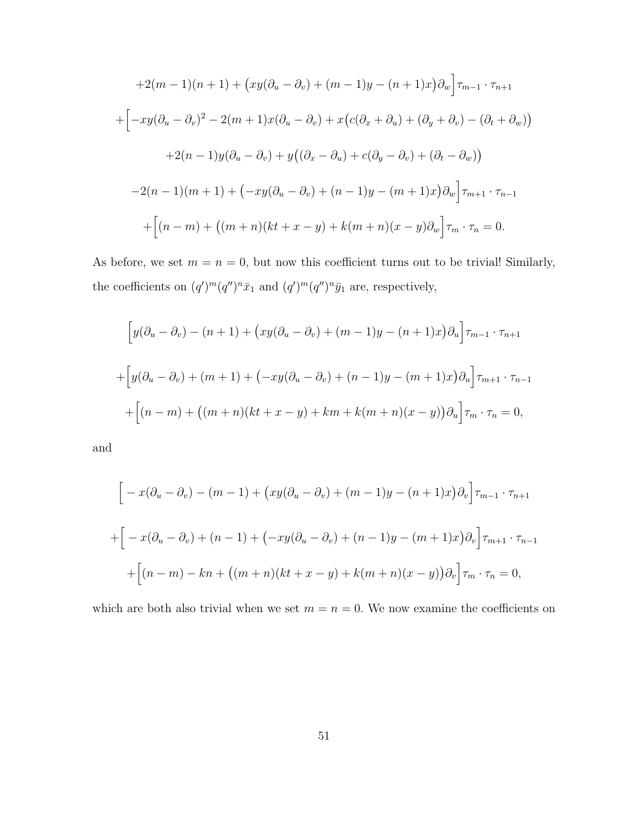$$
+2(m-1)(n+1) + (xy(\partial_u - \partial_v) + (m-1)y - (n+1)x)\partial_w\Big]\tau_{m-1} \cdot \tau_{n+1}
$$

$$
+ \Big[-xy(\partial_u - \partial_v)^2 - 2(m+1)x(\partial_u - \partial_v) + x(c(\partial_x + \partial_u) + (\partial_y + \partial_v) - (\partial_t + \partial_w))\Big]
$$

$$
+2(n-1)y(\partial_u - \partial_v) + y((\partial_x - \partial_u) + c(\partial_y - \partial_v) + (\partial_t - \partial_w))
$$

$$
-2(n-1)(m+1) + (-xy(\partial_u - \partial_v) + (n-1)y - (m+1)x)\partial_w\Big]\tau_{m+1} \cdot \tau_{n-1}
$$

$$
+ \Big[(n-m) + ((m+n)(kt+x-y) + k(m+n)(x-y)\partial_w\Big]\tau_m \cdot \tau_n = 0.
$$

As before, we set  $m = n = 0$ , but now this coefficient turns out to be trivial! Similarly, the coefficients on  $(q')^m (q'')^n \bar{x}_1$  and  $(q')^m (q'')^n \bar{y}_1$  are, respectively,

$$
\[y(\partial_u - \partial_v) - (n+1) + (xy(\partial_u - \partial_v) + (m-1)y - (n+1)x)\partial_u\] \tau_{m-1} \cdot \tau_{n+1}
$$

$$
+ \[y(\partial_u - \partial_v) + (m+1) + (-xy(\partial_u - \partial_v) + (n-1)y - (m+1)x)\partial_u\] \tau_{m+1} \cdot \tau_{n-1}
$$

$$
+ \[ (n-m) + ((m+n)(kt+x-y) + km+k(m+n)(x-y))\partial_u\] \tau_m \cdot \tau_n = 0,
$$

and

$$
\[ -x(\partial_u - \partial_v) - (m-1) + (xy(\partial_u - \partial_v) + (m-1)y - (n+1)x)\partial_v \] \tau_{m-1} \cdot \tau_{n+1}
$$

$$
+ \[ -x(\partial_u - \partial_v) + (n-1) + (-xy(\partial_u - \partial_v) + (n-1)y - (m+1)x)\partial_v \] \tau_{m+1} \cdot \tau_{n-1}
$$

$$
+ \[ (n-m) - kn + ((m+n)(kt+x-y) + k(m+n)(x-y))\partial_v \] \tau_m \cdot \tau_n = 0,
$$

which are both also trivial when we set  $m = n = 0$ . We now examine the coefficients on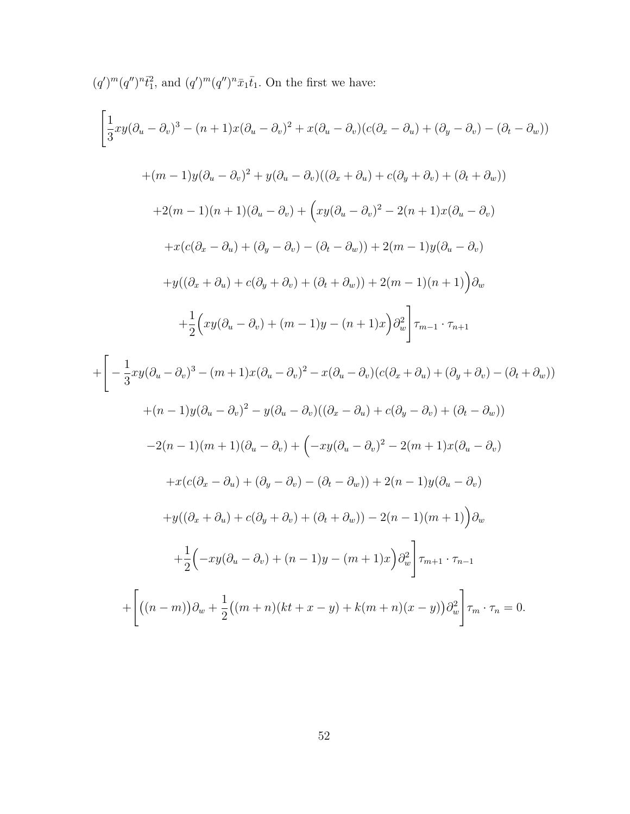$(q')^m (q'')^n \bar{t}_1^2$ , and  $(q')^m (q'')^n \bar{x}_1 \bar{t}_1$ . On the first we have:

$$
\left[\frac{1}{3}xy(\partial_u - \partial_v)^3 - (n+1)x(\partial_u - \partial_v)^2 + x(\partial_u - \partial_v)(c(\partial_x - \partial_u) + (\partial_y - \partial_v) - (\partial_t - \partial_w))\right]
$$
  
+
$$
(m-1)y(\partial_u - \partial_v)^2 + y(\partial_u - \partial_v)((\partial_x + \partial_u) + c(\partial_y + \partial_v) + (\partial_t + \partial_w))
$$
  
+
$$
2(m-1)(n+1)(\partial_u - \partial_v) + \left(xy(\partial_u - \partial_v)^2 - 2(n+1)x(\partial_u - \partial_v) - \partial_v\right)
$$
  
+
$$
x(c(\partial_x - \partial_u) + (\partial_y - \partial_v) - (\partial_t - \partial_w)) + 2(m-1)y(\partial_u - \partial_v)
$$
  
+
$$
y((\partial_x + \partial_u) + c(\partial_y + \partial_v) + (\partial_t + \partial_w)) + 2(m-1)(n+1)\right)\partial_w
$$
  
+
$$
\frac{1}{2}\left(xy(\partial_u - \partial_v) + (m-1)y - (n+1)x\right)\partial_w^2\bigg]_{m-1} \cdot \tau_{n+1}
$$
  
+
$$
\left[-\frac{1}{3}xy(\partial_u - \partial_v)^3 - (m+1)x(\partial_u - \partial_v)^2 - x(\partial_u - \partial_v)(c(\partial_x + \partial_u) + (\partial_y + \partial_v) - (\partial_t + \partial_w))\right)
$$
  
+
$$
(n-1)y(\partial_u - \partial_v)^2 - y(\partial_u - \partial_v)((\partial_x - \partial_u) + c(\partial_y - \partial_v) + (\partial_t - \partial_w))
$$
  
-
$$
2(n-1)(m+1)(\partial_u - \partial_v) + \left(-xy(\partial_u - \partial_v)^2 - 2(m+1)x(\partial_u - \partial_v) - \partial_v\right)
$$
  
+
$$
x(c(\partial_x - \partial_u) + (\partial_y - \partial_v) - (\partial_t - \partial_w)) + 2(n-1)y(\partial_u - \partial_v)
$$
  
+
$$
y((\partial_x + \partial_u) + c(\partial_y + \partial_v) + (\partial_t + \partial_w)) - 2(n-1)(m+1)\right)\partial_w
$$
  
+
$$
\frac{1}{2}\left(-xy(\partial_u - \partial_v) + (n-1)y - (m+1)x\right)\partial_w^2\bigg]_{m} \cdot \tau_n = 0.
$$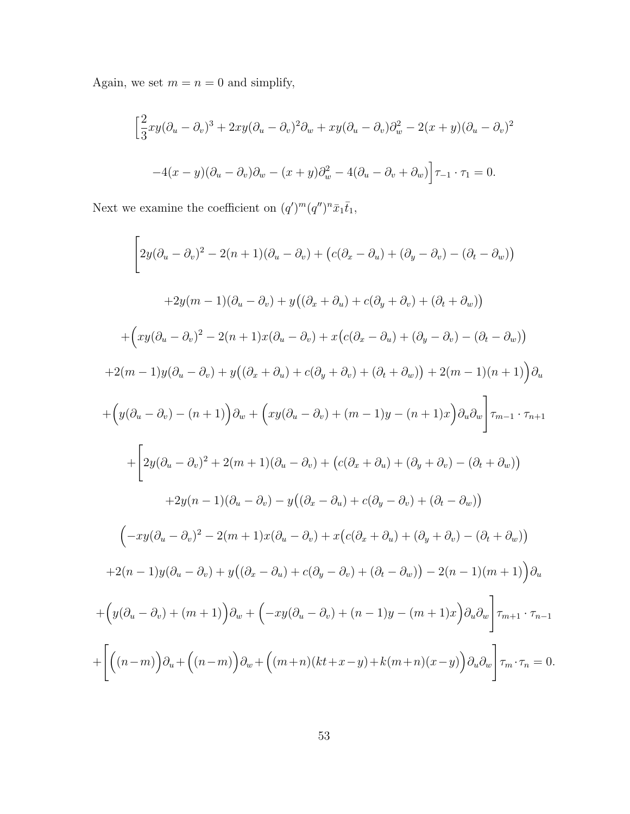Again, we set  $m = n = 0$  and simplify,

$$
\left[\frac{2}{3}xy(\partial_u - \partial_v)^3 + 2xy(\partial_u - \partial_v)^2\partial_w + xy(\partial_u - \partial_v)\partial_w^2 - 2(x + y)(\partial_u - \partial_v)^2\right]
$$

$$
-4(x - y)(\partial_u - \partial_v)\partial_w - (x + y)\partial_w^2 - 4(\partial_u - \partial_v + \partial_w)\right]\tau_{-1} \cdot \tau_1 = 0.
$$

Next we examine the coefficient on  $(q')^m (q'')^n \bar{x}_1 \bar{t}_1$ ,

$$
\left[2y(\partial_u - \partial_v)^2 - 2(n+1)(\partial_u - \partial_v) + (c(\partial_x - \partial_u) + (\partial_y - \partial_v) - (\partial_t - \partial_w))\right]
$$
  
+
$$
2y(m-1)(\partial_u - \partial_v) + y((\partial_x + \partial_u) + c(\partial_y + \partial_v) + (\partial_t + \partial_w))
$$
  
+
$$
(xy(\partial_u - \partial_v)^2 - 2(n+1)x(\partial_u - \partial_v) + x(c(\partial_x - \partial_u) + (\partial_y - \partial_v) - (\partial_t - \partial_w))\right)
$$
  
+
$$
2(m-1)y(\partial_u - \partial_v) + y((\partial_x + \partial_u) + c(\partial_y + \partial_v) + (\partial_t + \partial_w)) + 2(m-1)(n+1))\partial_u
$$
  
+
$$
(y(\partial_u - \partial_v) - (n+1))\partial_w + (xy(\partial_u - \partial_v) + (m-1)y - (n+1)x)\partial_u\partial_w\right] \tau_{m-1} \cdot \tau_{n+1}
$$
  
+
$$
\left[2y(\partial_u - \partial_v)^2 + 2(m+1)(\partial_u - \partial_v) + (c(\partial_x + \partial_u) + (\partial_y + \partial_v) - (\partial_t + \partial_w))\right]
$$
  
+
$$
2y(n-1)(\partial_u - \partial_v) - y((\partial_x - \partial_u) + c(\partial_y - \partial_v) + (\partial_t - \partial_w))
$$
  

$$
(-xy(\partial_u - \partial_v)^2 - 2(m+1)x(\partial_u - \partial_v) + x(c(\partial_x + \partial_u) + (\partial_y + \partial_v) - (\partial_t + \partial_w))\right)
$$
  
+
$$
2(n-1)y(\partial_u - \partial_v) + y((\partial_x - \partial_u) + c(\partial_y - \partial_v) + (\partial_t - \partial_w)) - 2(n-1)(m+1))\partial_u
$$
  
+
$$
(y(\partial_u - \partial_v) + (m+1))\partial_w + (-xy(\partial_u - \partial_v) + (n-1)y - (m+1)x)\partial_u\partial_w\right] \tau_{m+1} \cdot \tau_{n-1}
$$
  
+
$$
\left[\left((n-m)\right)\partial_u + \left((n-m)\right)\partial_w + \left((m+n)(kt+x-y) + k(m+n)(x-y)\right)\partial_u\partial_w\right] \tau_m \cdot \tau_n = 0.
$$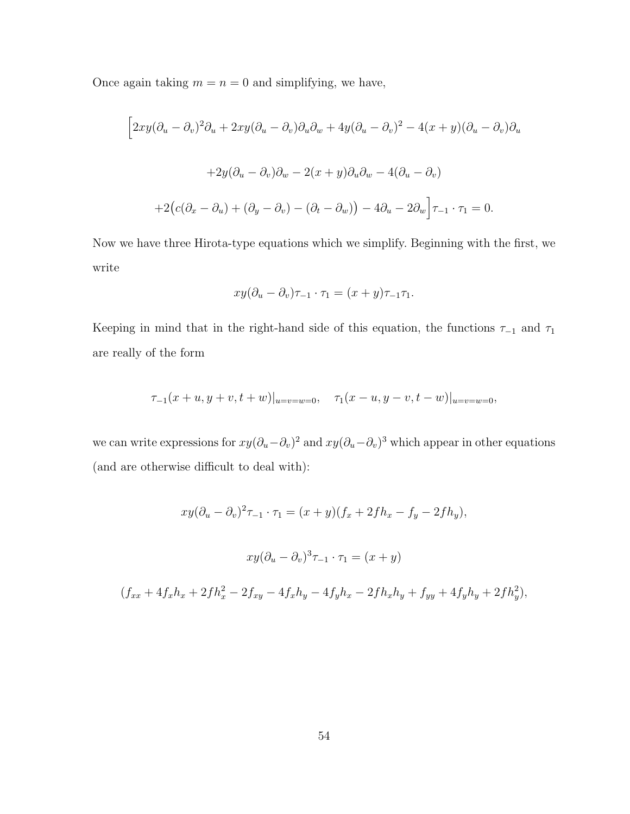Once again taking  $m = n = 0$  and simplifying, we have,

$$
\[2xy(\partial_u - \partial_v)^2 \partial_u + 2xy(\partial_u - \partial_v)\partial_u\partial_w + 4y(\partial_u - \partial_v)^2 - 4(x+y)(\partial_u - \partial_v)\partial_u
$$

$$
+ 2y(\partial_u - \partial_v)\partial_w - 2(x+y)\partial_u\partial_w - 4(\partial_u - \partial_v)
$$

$$
+ 2(c(\partial_x - \partial_u) + (\partial_y - \partial_v) - (\partial_t - \partial_w)) - 4\partial_u - 2\partial_w\Big]\tau_{-1} \cdot \tau_1 = 0.
$$

Now we have three Hirota-type equations which we simplify. Beginning with the first, we write

$$
xy(\partial_u - \partial_v)\tau_{-1} \cdot \tau_1 = (x+y)\tau_{-1}\tau_1.
$$

Keeping in mind that in the right-hand side of this equation, the functions  $\tau_{-1}$  and  $\tau_1$ are really of the form

$$
\tau_{-1}(x+u,y+v,t+w)|_{u=v=w=0}, \quad \tau_{1}(x-u,y-v,t-w)|_{u=v=w=0},
$$

we can write expressions for  $xy(\partial_u-\partial_v)^2$  and  $xy(\partial_u-\partial_v)^3$  which appear in other equations (and are otherwise difficult to deal with):

$$
xy(\partial_u - \partial_v)^2 \tau_{-1} \cdot \tau_1 = (x+y)(f_x + 2fh_x - f_y - 2fh_y),
$$
  

$$
xy(\partial_u - \partial_v)^3 \tau_{-1} \cdot \tau_1 = (x+y)
$$

$$
(f_{xx} + 4f_xh_x + 2fh_x^2 - 2f_{xy} - 4f_xh_y - 4f_yh_x - 2fh_xh_y + f_{yy} + 4f_yh_y + 2fh_y^2),
$$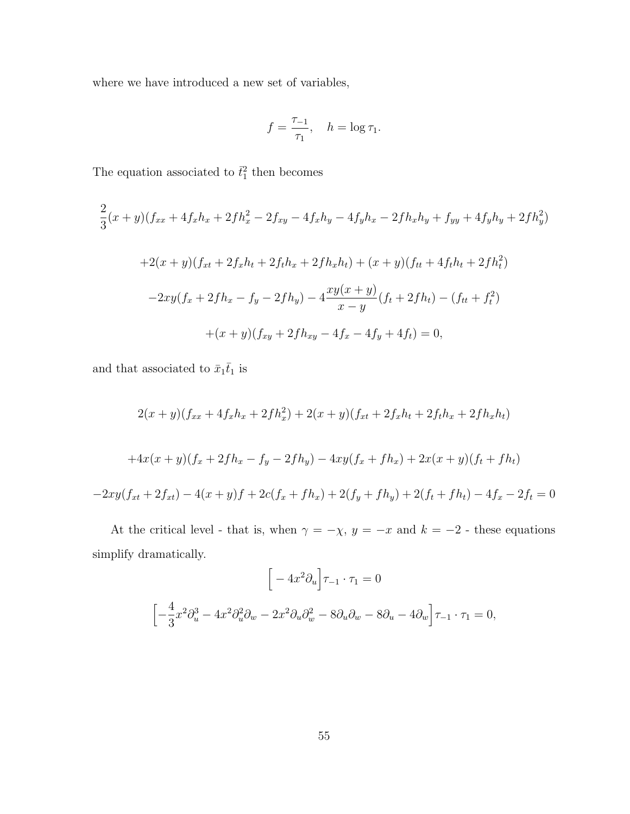where we have introduced a new set of variables,

$$
f = \frac{\tau_{-1}}{\tau_1}, \quad h = \log \tau_1.
$$

The equation associated to  $\bar{t}_1^2$  then becomes

$$
\frac{2}{3}(x+y)(f_{xx} + 4f_xh_x + 2fh_x^2 - 2f_{xy} - 4f_xh_y - 4f_yh_x - 2fh_xh_y + f_{yy} + 4f_yh_y + 2fh_y^2)
$$
  
+2(x+y)(f\_{xt} + 2f\_xh\_t + 2fh\_x + 2fh\_xh\_t) + (x+y)(f\_{tt} + 4fh\_t + 2fh\_t^2)  
-2xy(f\_x + 2fh\_x - f\_y - 2fh\_y) - 4\frac{xy(x+y)}{x-y}(f\_t + 2fh\_t) - (f\_{tt} + f\_t^2)  
+(x+y)(f\_{xy} + 2fh\_{xy} - 4f\_x - 4f\_y + 4f\_t) = 0,

and that associated to  $\bar{x}_1\bar{t}_1$  is

$$
2(x+y)(f_{xx} + 4f_xh_x + 2fh_x^2) + 2(x+y)(f_{xt} + 2f_xh_t + 2fh_x + 2fh_xh_t)
$$
  
+4x(x+y)(f\_x + 2fh\_x - f\_y - 2fh\_y) - 4xy(f\_x + fh\_x) + 2x(x+y)(f\_t + fh\_t)  
-2xy(f\_{xt} + 2f\_{xt}) - 4(x+y)f + 2c(f\_x + fh\_x) + 2(f\_y + fh\_y) + 2(f\_t + fh\_t) - 4f\_x - 2f\_t = 0

At the critical level - that is, when  $\gamma = -\chi$ ,  $y = -x$  and  $k = -2$  - these equations simplify dramatically.

$$
\[ -4x^2 \partial_u \Big] \tau_{-1} \cdot \tau_1 = 0
$$
  

$$
\[ -\frac{4}{3}x^2 \partial_u^3 - 4x^2 \partial_u^2 \partial_w - 2x^2 \partial_u \partial_w^2 - 8 \partial_u \partial_w - 8 \partial_u - 4 \partial_w \Big] \tau_{-1} \cdot \tau_1 = 0,
$$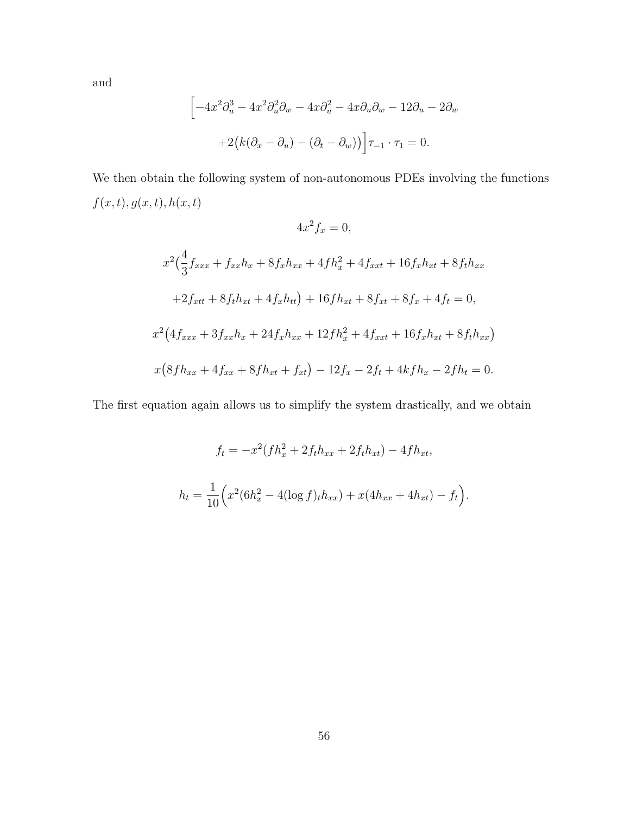and

$$
\[ -4x^2 \partial_u^3 - 4x^2 \partial_u^2 \partial_w - 4x \partial_u^2 - 4x \partial_u \partial_w - 12 \partial_u - 2 \partial_w \right. + 2(k(\partial_x - \partial_u) - (\partial_t - \partial_w)) \Big] \tau_{-1} \cdot \tau_1 = 0.
$$

We then obtain the following system of non-autonomous PDEs involving the functions  $f(x, t), g(x, t), h(x, t)$ 

$$
4x^{2}f_{x} = 0,
$$
  
\n
$$
x^{2}(\frac{4}{3}f_{xxx} + f_{xx}h_{x} + 8f_{x}h_{xx} + 4fh_{x}^{2} + 4f_{xxt} + 16f_{x}h_{xt} + 8f_{t}h_{xx} + 2f_{xtt} + 8f_{t}h_{xt} + 4f_{x}h_{tt}) + 16fh_{xt} + 8f_{xt} + 8f_{x} + 4f_{t} = 0,
$$
  
\n
$$
x^{2}(4f_{xxx} + 3f_{xx}h_{x} + 24f_{x}h_{xx} + 12fh_{x}^{2} + 4f_{xxt} + 16f_{x}h_{xt} + 8f_{t}h_{xx})
$$
  
\n
$$
x(8fh_{xx} + 4f_{xx} + 8fh_{xt} + f_{xt}) - 12f_{x} - 2f_{t} + 4kf_{t} - 2fh_{t} = 0.
$$

The first equation again allows us to simplify the system drastically, and we obtain

$$
f_t = -x^2 (fh_x^2 + 2f_t h_{xx} + 2f_t h_{xt}) - 4fh_{xt},
$$
  

$$
h_t = \frac{1}{10} \Big( x^2 (6h_x^2 - 4(\log f)_t h_{xx}) + x(4h_{xx} + 4h_{xt}) - f_t \Big).
$$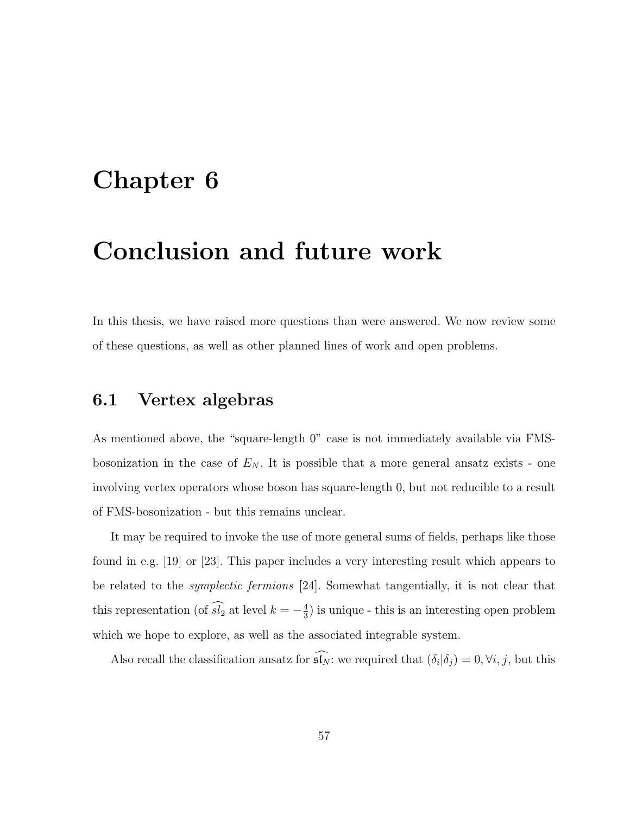# Chapter 6

## Conclusion and future work

In this thesis, we have raised more questions than were answered. We now review some of these questions, as well as other planned lines of work and open problems.

#### 6.1 Vertex algebras

As mentioned above, the "square-length 0" case is not immediately available via FMSbosonization in the case of  $E_N$ . It is possible that a more general ansatz exists - one involving vertex operators whose boson has square-length 0, but not reducible to a result of FMS-bosonization - but this remains unclear.

It may be required to invoke the use of more general sums of fields, perhaps like those found in e.g. [19] or [23]. This paper includes a very interesting result which appears to be related to the symplectic fermions [24]. Somewhat tangentially, it is not clear that this representation (of  $s\overline{l_2}$  at level  $k = -\frac{4}{3}$  $\frac{4}{3}$ ) is unique - this is an interesting open problem which we hope to explore, as well as the associated integrable system.

Also recall the classification ansatz for  $\mathfrak{sl}_N$ : we required that  $(\delta_i|\delta_j) = 0, \forall i, j$ , but this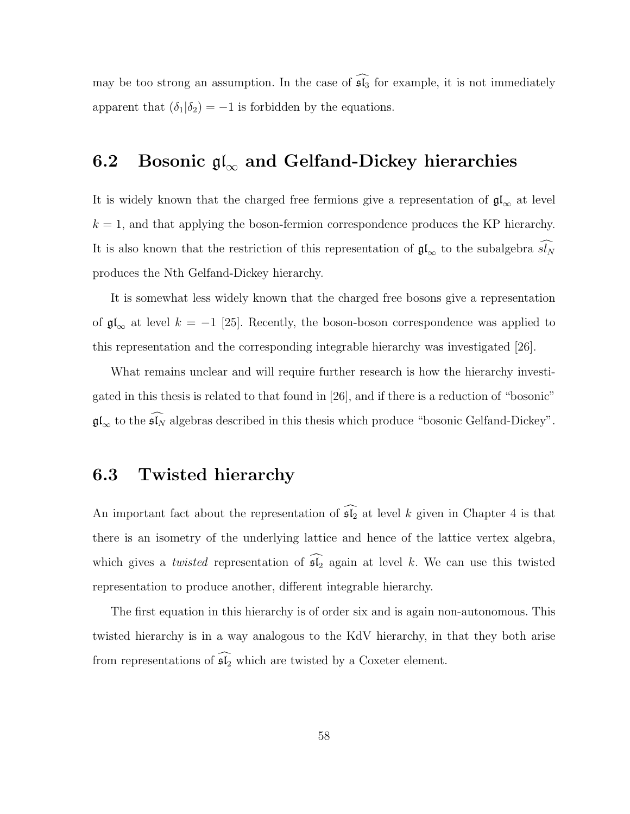may be too strong an assumption. In the case of  $\widehat{\mathfrak{sl}_3}$  for example, it is not immediately apparent that  $(\delta_1|\delta_2) = -1$  is forbidden by the equations.

### 6.2 Bosonic  $\mathfrak{gl}_{\infty}$  and Gelfand-Dickey hierarchies

It is widely known that the charged free fermions give a representation of  $\mathfrak{gl}_\infty$  at level  $k = 1$ , and that applying the boson-fermion correspondence produces the KP hierarchy. It is also known that the restriction of this representation of  $\mathfrak{gl}_{\infty}$  to the subalgebra  $\widehat{sI_N}$ produces the Nth Gelfand-Dickey hierarchy.

It is somewhat less widely known that the charged free bosons give a representation of  $\mathfrak{gl}_{\infty}$  at level  $k = -1$  [25]. Recently, the boson-boson correspondence was applied to this representation and the corresponding integrable hierarchy was investigated [26].

What remains unclear and will require further research is how the hierarchy investigated in this thesis is related to that found in [26], and if there is a reduction of "bosonic"  $\mathfrak{gl}_{\infty}$  to the  $\widehat{\mathfrak{sl}_N}$  algebras described in this thesis which produce "bosonic Gelfand-Dickey".

#### 6.3 Twisted hierarchy

An important fact about the representation of  $\widehat{\mathfrak{sl}_2}$  at level k given in Chapter 4 is that there is an isometry of the underlying lattice and hence of the lattice vertex algebra, which gives a *twisted* representation of  $\widehat{\mathfrak{sl}_2}$  again at level k. We can use this twisted representation to produce another, different integrable hierarchy.

The first equation in this hierarchy is of order six and is again non-autonomous. This twisted hierarchy is in a way analogous to the KdV hierarchy, in that they both arise from representations of  $\widehat{\mathfrak{sl}_2}$  which are twisted by a Coxeter element.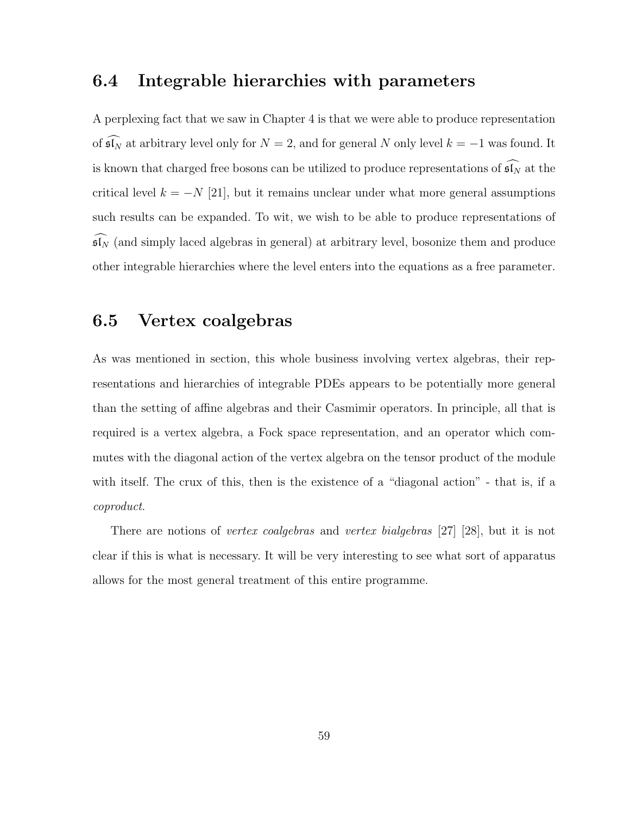#### 6.4 Integrable hierarchies with parameters

A perplexing fact that we saw in Chapter 4 is that we were able to produce representation of  $\widehat{\mathfrak{sl}_N}$  at arbitrary level only for  $N = 2$ , and for general N only level  $k = -1$  was found. It is known that charged free bosons can be utilized to produce representations of  $\widehat{\mathfrak{sl}_N}$  at the critical level  $k = -N$  [21], but it remains unclear under what more general assumptions such results can be expanded. To wit, we wish to be able to produce representations of  $\widehat{\mathfrak{sl}_N}$  (and simply laced algebras in general) at arbitrary level, bosonize them and produce other integrable hierarchies where the level enters into the equations as a free parameter.

### 6.5 Vertex coalgebras

As was mentioned in section, this whole business involving vertex algebras, their representations and hierarchies of integrable PDEs appears to be potentially more general than the setting of affine algebras and their Casmimir operators. In principle, all that is required is a vertex algebra, a Fock space representation, and an operator which commutes with the diagonal action of the vertex algebra on the tensor product of the module with itself. The crux of this, then is the existence of a "diagonal action" - that is, if a coproduct.

There are notions of *vertex coalgebras* and *vertex bialgebras* [27] [28], but it is not clear if this is what is necessary. It will be very interesting to see what sort of apparatus allows for the most general treatment of this entire programme.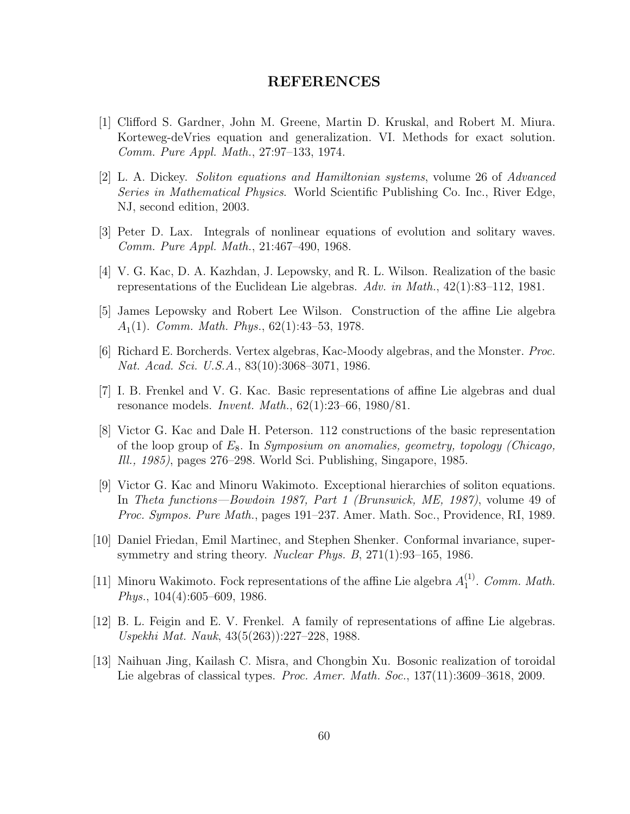#### REFERENCES

- [1] Clifford S. Gardner, John M. Greene, Martin D. Kruskal, and Robert M. Miura. Korteweg-deVries equation and generalization. VI. Methods for exact solution. Comm. Pure Appl. Math., 27:97–133, 1974.
- [2] L. A. Dickey. Soliton equations and Hamiltonian systems, volume 26 of Advanced Series in Mathematical Physics. World Scientific Publishing Co. Inc., River Edge, NJ, second edition, 2003.
- [3] Peter D. Lax. Integrals of nonlinear equations of evolution and solitary waves. Comm. Pure Appl. Math., 21:467–490, 1968.
- [4] V. G. Kac, D. A. Kazhdan, J. Lepowsky, and R. L. Wilson. Realization of the basic representations of the Euclidean Lie algebras. Adv. in Math., 42(1):83–112, 1981.
- [5] James Lepowsky and Robert Lee Wilson. Construction of the affine Lie algebra  $A_1(1)$ . Comm. Math. Phys., 62(1):43–53, 1978.
- [6] Richard E. Borcherds. Vertex algebras, Kac-Moody algebras, and the Monster. Proc. Nat. Acad. Sci. U.S.A., 83(10):3068–3071, 1986.
- [7] I. B. Frenkel and V. G. Kac. Basic representations of affine Lie algebras and dual resonance models. *Invent. Math.*,  $62(1):23-66$ ,  $1980/81$ .
- [8] Victor G. Kac and Dale H. Peterson. 112 constructions of the basic representation of the loop group of  $E_8$ . In Symposium on anomalies, geometry, topology (Chicago, Ill., 1985), pages 276–298. World Sci. Publishing, Singapore, 1985.
- [9] Victor G. Kac and Minoru Wakimoto. Exceptional hierarchies of soliton equations. In Theta functions—Bowdoin 1987, Part 1 (Brunswick, ME, 1987), volume 49 of Proc. Sympos. Pure Math., pages 191–237. Amer. Math. Soc., Providence, RI, 1989.
- [10] Daniel Friedan, Emil Martinec, and Stephen Shenker. Conformal invariance, supersymmetry and string theory. Nuclear Phys. B, 271(1):93–165, 1986.
- [11] Minoru Wakimoto. Fock representations of the affine Lie algebra  $A_1^{(1)}$  $_1^{(1)}$ . Comm. Math. Phys., 104(4):605–609, 1986.
- [12] B. L. Feigin and E. V. Frenkel. A family of representations of affine Lie algebras. Uspekhi Mat. Nauk, 43(5(263)):227–228, 1988.
- [13] Naihuan Jing, Kailash C. Misra, and Chongbin Xu. Bosonic realization of toroidal Lie algebras of classical types. Proc. Amer. Math. Soc., 137(11):3609–3618, 2009.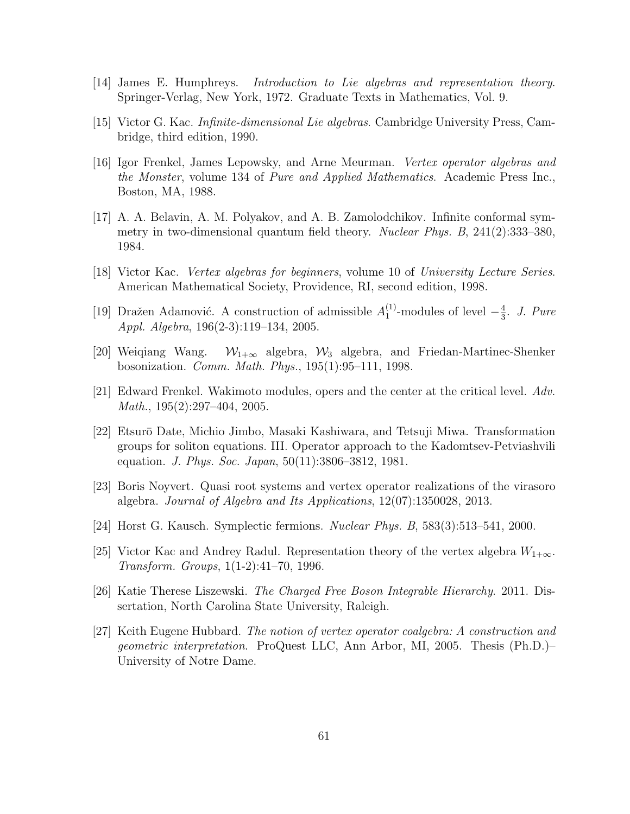- [14] James E. Humphreys. Introduction to Lie algebras and representation theory. Springer-Verlag, New York, 1972. Graduate Texts in Mathematics, Vol. 9.
- [15] Victor G. Kac. Infinite-dimensional Lie algebras. Cambridge University Press, Cambridge, third edition, 1990.
- [16] Igor Frenkel, James Lepowsky, and Arne Meurman. Vertex operator algebras and the Monster, volume 134 of Pure and Applied Mathematics. Academic Press Inc., Boston, MA, 1988.
- [17] A. A. Belavin, A. M. Polyakov, and A. B. Zamolodchikov. Infinite conformal symmetry in two-dimensional quantum field theory. Nuclear Phys. B, 241(2):333–380, 1984.
- [18] Victor Kac. Vertex algebras for beginners, volume 10 of University Lecture Series. American Mathematical Society, Providence, RI, second edition, 1998.
- [19] Dražen Adamović. A construction of admissible  $A_1^{(1)}$  $_1^{(1)}$ -modules of level  $-\frac{4}{3}$  $\frac{4}{3}$ . J. Pure Appl. Algebra, 196(2-3):119–134, 2005.
- [20] Weiqiang Wang.  $W_{1+\infty}$  algebra,  $W_3$  algebra, and Friedan-Martinec-Shenker bosonization. Comm. Math. Phys., 195(1):95–111, 1998.
- [21] Edward Frenkel. Wakimoto modules, opers and the center at the critical level. Adv. Math., 195(2):297–404, 2005.
- [22] Etsur¯o Date, Michio Jimbo, Masaki Kashiwara, and Tetsuji Miwa. Transformation groups for soliton equations. III. Operator approach to the Kadomtsev-Petviashvili equation. J. Phys. Soc. Japan, 50(11):3806–3812, 1981.
- [23] Boris Noyvert. Quasi root systems and vertex operator realizations of the virasoro algebra. Journal of Algebra and Its Applications, 12(07):1350028, 2013.
- [24] Horst G. Kausch. Symplectic fermions. Nuclear Phys. B, 583(3):513–541, 2000.
- [25] Victor Kac and Andrey Radul. Representation theory of the vertex algebra  $W_{1+\infty}$ . Transform. Groups, 1(1-2):41–70, 1996.
- [26] Katie Therese Liszewski. The Charged Free Boson Integrable Hierarchy. 2011. Dissertation, North Carolina State University, Raleigh.
- [27] Keith Eugene Hubbard. The notion of vertex operator coalgebra: A construction and geometric interpretation. ProQuest LLC, Ann Arbor, MI, 2005. Thesis (Ph.D.)– University of Notre Dame.